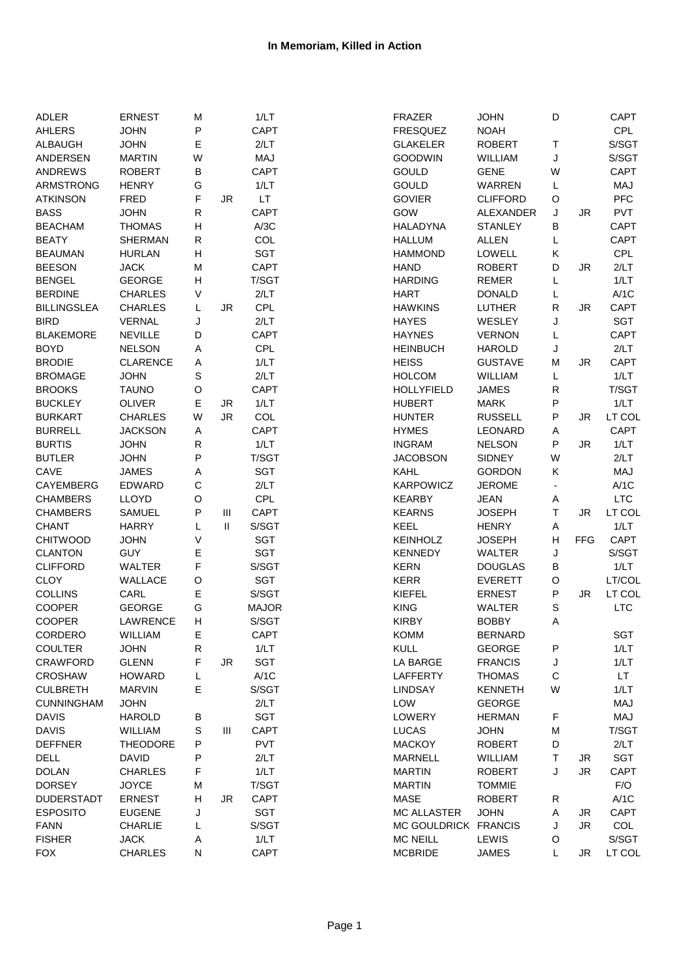| ADLER              | <b>ERNEST</b>   | М           |              | 1/LT               | FRAZER               | <b>JOHN</b>     | D                        |            | <b>CAPT</b> |
|--------------------|-----------------|-------------|--------------|--------------------|----------------------|-----------------|--------------------------|------------|-------------|
| <b>AHLERS</b>      | <b>JOHN</b>     | P           |              | CAPT               | <b>FRESQUEZ</b>      | <b>NOAH</b>     |                          |            | <b>CPL</b>  |
| <b>ALBAUGH</b>     | <b>JOHN</b>     | Е           |              | 2/LT               | <b>GLAKELER</b>      | <b>ROBERT</b>   | т                        |            | S/SGT       |
| <b>ANDERSEN</b>    | <b>MARTIN</b>   | W           |              | MAJ                | <b>GOODWIN</b>       | <b>WILLIAM</b>  | J                        |            | S/SGT       |
| <b>ANDREWS</b>     | <b>ROBERT</b>   | В           |              | <b>CAPT</b>        | <b>GOULD</b>         | <b>GENE</b>     | W                        |            | CAPT        |
| ARMSTRONG          | <b>HENRY</b>    | G           |              | 1/LT               | <b>GOULD</b>         | <b>WARREN</b>   | L                        |            | MAJ         |
| <b>ATKINSON</b>    | <b>FRED</b>     | F           | <b>JR</b>    | LT.                | <b>GOVIER</b>        | <b>CLIFFORD</b> | O                        |            | PFC         |
| <b>BASS</b>        | <b>JOHN</b>     | ${\sf R}$   |              | <b>CAPT</b>        | GOW                  | ALEXANDER       | J                        | JR         | <b>PVT</b>  |
| <b>BEACHAM</b>     | <b>THOMAS</b>   | Н           |              | A/3C               | <b>HALADYNA</b>      | <b>STANLEY</b>  | В                        |            | <b>CAPT</b> |
| <b>BEATY</b>       | <b>SHERMAN</b>  | ${\sf R}$   |              | COL                | <b>HALLUM</b>        | <b>ALLEN</b>    | L                        |            | CAPT        |
| <b>BEAUMAN</b>     | <b>HURLAN</b>   | Н           |              | <b>SGT</b>         | <b>HAMMOND</b>       | <b>LOWELL</b>   | Κ                        |            | CPL         |
| <b>BEESON</b>      | <b>JACK</b>     | M           |              | <b>CAPT</b>        | <b>HAND</b>          | <b>ROBERT</b>   | D                        | JR         | 2/LT        |
| <b>BENGEL</b>      | <b>GEORGE</b>   | Η           |              | T/SGT              | <b>HARDING</b>       | REMER           | L                        |            | 1/LT        |
|                    |                 |             |              |                    |                      |                 |                          |            | A/1C        |
| <b>BERDINE</b>     | <b>CHARLES</b>  | $\sf V$     |              | 2/LT<br><b>CPL</b> | <b>HART</b>          | <b>DONALD</b>   | L                        |            |             |
| <b>BILLINGSLEA</b> | <b>CHARLES</b>  | L           | <b>JR</b>    |                    | <b>HAWKINS</b>       | <b>LUTHER</b>   | R                        | JR         | <b>CAPT</b> |
| <b>BIRD</b>        | VERNAL          | J           |              | 2/LT               | <b>HAYES</b>         | WESLEY          | J                        |            | SGT         |
| <b>BLAKEMORE</b>   | <b>NEVILLE</b>  | D           |              | CAPT               | <b>HAYNES</b>        | <b>VERNON</b>   | L                        |            | <b>CAPT</b> |
| <b>BOYD</b>        | <b>NELSON</b>   | Α           |              | <b>CPL</b>         | <b>HEINBUCH</b>      | <b>HAROLD</b>   | J                        |            | 2/LT        |
| <b>BRODIE</b>      | CLARENCE        | A           |              | 1/LT               | <b>HEISS</b>         | <b>GUSTAVE</b>  | M                        | JR         | <b>CAPT</b> |
| <b>BROMAGE</b>     | <b>JOHN</b>     | $\mathbf S$ |              | 2/LT               | <b>HOLCOM</b>        | WILLIAM         | L                        |            | 1/LT        |
| <b>BROOKS</b>      | <b>TAUNO</b>    | O           |              | <b>CAPT</b>        | <b>HOLLYFIELD</b>    | <b>JAMES</b>    | ${\sf R}$                |            | T/SGT       |
| <b>BUCKLEY</b>     | <b>OLIVER</b>   | E           | <b>JR</b>    | 1/LT               | <b>HUBERT</b>        | <b>MARK</b>     | P                        |            | 1/LT        |
| <b>BURKART</b>     | <b>CHARLES</b>  | W           | <b>JR</b>    | COL                | <b>HUNTER</b>        | <b>RUSSELL</b>  | P                        | JR         | LT COL      |
| <b>BURRELL</b>     | <b>JACKSON</b>  | Α           |              | <b>CAPT</b>        | <b>HYMES</b>         | <b>LEONARD</b>  | Α                        |            | CAPT        |
| <b>BURTIS</b>      | <b>JOHN</b>     | ${\sf R}$   |              | 1/LT               | <b>INGRAM</b>        | <b>NELSON</b>   | P                        | JR         | 1/LT        |
| <b>BUTLER</b>      | <b>JOHN</b>     | P           |              | T/SGT              | <b>JACOBSON</b>      | <b>SIDNEY</b>   | W                        |            | 2/LT        |
| CAVE               | <b>JAMES</b>    | Α           |              | SGT                | <b>KAHL</b>          | <b>GORDON</b>   | Κ                        |            | MAJ         |
| CAYEMBERG          | <b>EDWARD</b>   | $\mathsf C$ |              | 2/LT               | <b>KARPOWICZ</b>     | <b>JEROME</b>   | $\overline{\phantom{a}}$ |            | A/1C        |
| <b>CHAMBERS</b>    | LLOYD           | O           |              | <b>CPL</b>         | <b>KEARBY</b>        | <b>JEAN</b>     | A                        |            | <b>LTC</b>  |
| <b>CHAMBERS</b>    | <b>SAMUEL</b>   | P           | Ш            | CAPT               | <b>KEARNS</b>        | <b>JOSEPH</b>   | $\mathsf T$              | JR         | LT COL      |
| <b>CHANT</b>       | <b>HARRY</b>    | L           | $\mathbf{H}$ | S/SGT              | <b>KEEL</b>          | <b>HENRY</b>    | Α                        |            | 1/LT        |
| <b>CHITWOOD</b>    | <b>JOHN</b>     | V           |              | SGT                | <b>KEINHOLZ</b>      | <b>JOSEPH</b>   | H                        | <b>FFG</b> | CAPT        |
| <b>CLANTON</b>     | <b>GUY</b>      | Ε           |              | <b>SGT</b>         | <b>KENNEDY</b>       | <b>WALTER</b>   | J                        |            | S/SGT       |
| <b>CLIFFORD</b>    | <b>WALTER</b>   | F           |              | S/SGT              | <b>KERN</b>          | <b>DOUGLAS</b>  | в                        |            | 1/LT        |
| <b>CLOY</b>        | WALLACE         | O           |              | SGT                | <b>KERR</b>          | <b>EVERETT</b>  | O                        |            | LT/COL      |
| <b>COLLINS</b>     | CARL            | E           |              | S/SGT              | <b>KIEFEL</b>        | <b>ERNEST</b>   | P                        | JR         | LT COL      |
| COOPER             | <b>GEORGE</b>   | G           |              | <b>MAJOR</b>       | <b>KING</b>          | WALTER          | S                        |            | <b>LTC</b>  |
| <b>COOPER</b>      | LAWRENCE        | н           |              | S/SGT              | <b>KIRBY</b>         | <b>BOBBY</b>    | Α                        |            |             |
| <b>CORDERO</b>     | WILLIAM         | Е           |              | CAPT               | KOMM                 | <b>BERNARD</b>  |                          |            | SGT         |
| <b>COULTER</b>     | <b>JOHN</b>     | ${\sf R}$   |              | 1/LT               | <b>KULL</b>          | GEORGE          | P                        |            | 1/LT        |
| CRAWFORD           | <b>GLENN</b>    | F           | <b>JR</b>    | SGT                | LA BARGE             | <b>FRANCIS</b>  | J                        |            | 1/LT        |
| <b>CROSHAW</b>     | <b>HOWARD</b>   | L           |              | A/1C               | <b>LAFFERTY</b>      | <b>THOMAS</b>   | $\mathsf C$              |            | LT          |
| <b>CULBRETH</b>    | <b>MARVIN</b>   | E           |              | S/SGT              | <b>LINDSAY</b>       | <b>KENNETH</b>  | W                        |            | 1/LT        |
| <b>CUNNINGHAM</b>  | <b>JOHN</b>     |             |              | 2/LT               | LOW                  | <b>GEORGE</b>   |                          |            | MAJ         |
| <b>DAVIS</b>       | <b>HAROLD</b>   | B           |              | <b>SGT</b>         | LOWERY               | <b>HERMAN</b>   | F                        |            | MAJ         |
| <b>DAVIS</b>       | WILLIAM         | $\mathbb S$ | Ш            | CAPT               | <b>LUCAS</b>         | <b>JOHN</b>     | M                        |            | T/SGT       |
| <b>DEFFNER</b>     | <b>THEODORE</b> | P           |              | <b>PVT</b>         | <b>MACKOY</b>        | <b>ROBERT</b>   | D                        |            | 2/LT        |
| <b>DELL</b>        | <b>DAVID</b>    | P           |              | 2/LT               | <b>MARNELL</b>       | <b>WILLIAM</b>  | T                        | JR         | SGT         |
| <b>DOLAN</b>       | <b>CHARLES</b>  | F           |              | 1/LT               | <b>MARTIN</b>        | <b>ROBERT</b>   | J                        | JR.        | <b>CAPT</b> |
| <b>DORSEY</b>      | <b>JOYCE</b>    | M           |              | T/SGT              | <b>MARTIN</b>        | <b>TOMMIE</b>   |                          |            | F/O         |
| <b>DUDERSTADT</b>  | <b>ERNEST</b>   | Η           | JR.          | <b>CAPT</b>        | <b>MASE</b>          | <b>ROBERT</b>   | R                        |            | A/1C        |
| <b>ESPOSITO</b>    | <b>EUGENE</b>   | J           |              | SGT                | <b>MC ALLASTER</b>   | <b>JOHN</b>     | Α                        | JR         | <b>CAPT</b> |
| <b>FANN</b>        | <b>CHARLIE</b>  | L           |              | S/SGT              | MC GOULDRICK FRANCIS |                 | J                        | <b>JR</b>  | COL         |
| <b>FISHER</b>      | <b>JACK</b>     | Α           |              | 1/LT               | <b>MC NEILL</b>      | LEWIS           | O                        |            | S/SGT       |
| <b>FOX</b>         | <b>CHARLES</b>  | N           |              | CAPT               | <b>MCBRIDE</b>       | <b>JAMES</b>    | L                        | JR         | LT COL      |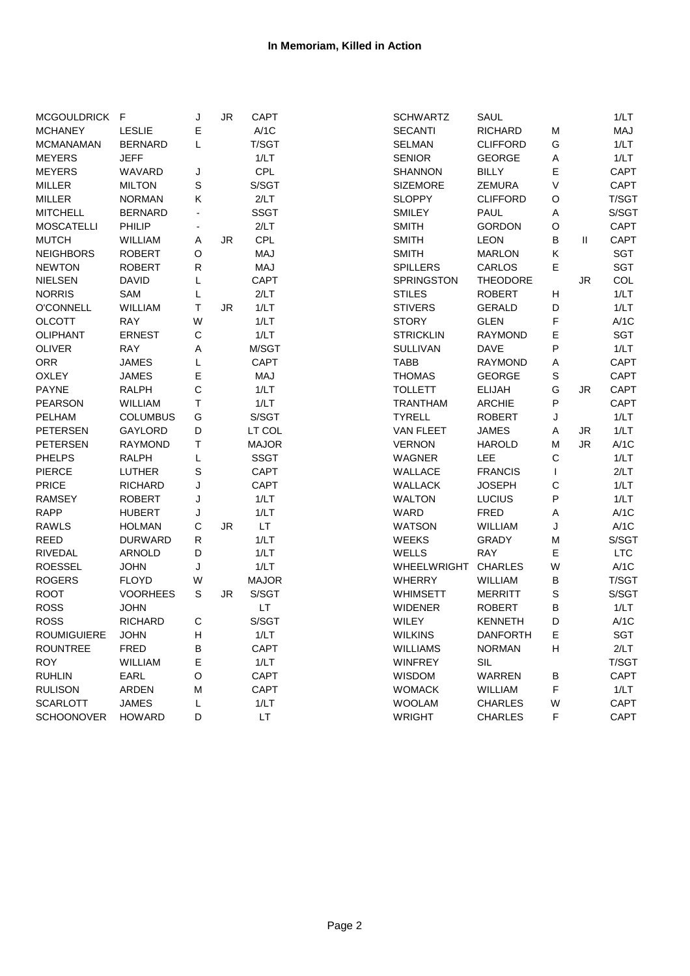| <b>MCGOULDRICK</b> | F               | J           | <b>JR</b> | CAPT         | <b>SCHWARTZ</b>    | SAUL            |             |           | 1/LT        |
|--------------------|-----------------|-------------|-----------|--------------|--------------------|-----------------|-------------|-----------|-------------|
| <b>MCHANEY</b>     | LESLIE          | E           |           | A/1C         | <b>SECANTI</b>     | <b>RICHARD</b>  | M           |           | <b>MAJ</b>  |
| <b>MCMANAMAN</b>   | <b>BERNARD</b>  | L           |           | T/SGT        | <b>SELMAN</b>      | <b>CLIFFORD</b> | G           |           | 1/LT        |
| <b>MEYERS</b>      | <b>JEFF</b>     |             |           | 1/LT         | <b>SENIOR</b>      | <b>GEORGE</b>   | A           |           | 1/LT        |
| <b>MEYERS</b>      | WAVARD          | J           |           | <b>CPL</b>   | <b>SHANNON</b>     | <b>BILLY</b>    | E           |           | <b>CAPT</b> |
| <b>MILLER</b>      | <b>MILTON</b>   | S           |           | S/SGT        | <b>SIZEMORE</b>    | <b>ZEMURA</b>   | V           |           | <b>CAPT</b> |
| <b>MILLER</b>      | <b>NORMAN</b>   | Κ           |           | 2/LT         | <b>SLOPPY</b>      | <b>CLIFFORD</b> | O           |           | T/SGT       |
| <b>MITCHELL</b>    | <b>BERNARD</b>  |             |           | <b>SSGT</b>  | <b>SMILEY</b>      | <b>PAUL</b>     | Α           |           | S/SGT       |
| <b>MOSCATELLI</b>  | PHILIP          |             |           | 2/LT         | <b>SMITH</b>       | <b>GORDON</b>   | O           |           | <b>CAPT</b> |
| <b>MUTCH</b>       | WILLIAM         | Α           | JR.       | <b>CPL</b>   | <b>SMITH</b>       | <b>LEON</b>     | B           | Ш         | CAPT        |
| <b>NEIGHBORS</b>   | <b>ROBERT</b>   | O           |           | <b>MAJ</b>   | <b>SMITH</b>       | <b>MARLON</b>   | Κ           |           | <b>SGT</b>  |
| <b>NEWTON</b>      | <b>ROBERT</b>   | ${\sf R}$   |           | MAJ          | <b>SPILLERS</b>    | CARLOS          | E           |           | <b>SGT</b>  |
| <b>NIELSEN</b>     | <b>DAVID</b>    | Г           |           | CAPT         | <b>SPRINGSTON</b>  | <b>THEODORE</b> |             | JR        | COL         |
| <b>NORRIS</b>      | SAM             | L           |           | 2/LT         | <b>STILES</b>      | <b>ROBERT</b>   | н           |           | 1/LT        |
| <b>O'CONNELL</b>   | WILLIAM         | Τ           | <b>JR</b> | 1/LT         | <b>STIVERS</b>     | <b>GERALD</b>   | D           |           | 1/LT        |
| <b>OLCOTT</b>      | <b>RAY</b>      | W           |           | 1/LT         | <b>STORY</b>       | <b>GLEN</b>     | F           |           | A/1C        |
| <b>OLIPHANT</b>    | <b>ERNEST</b>   | $\mathsf C$ |           | 1/LT         | <b>STRICKLIN</b>   | <b>RAYMOND</b>  | Е           |           | <b>SGT</b>  |
| <b>OLIVER</b>      | <b>RAY</b>      | Α           |           | M/SGT        | SULLIVAN           | <b>DAVE</b>     | P           |           | 1/LT        |
| ORR                | <b>JAMES</b>    | L           |           | <b>CAPT</b>  | <b>TABB</b>        | <b>RAYMOND</b>  | Α           |           | CAPT        |
| <b>OXLEY</b>       | <b>JAMES</b>    | E           |           | MAJ          | <b>THOMAS</b>      | <b>GEORGE</b>   | $\mathbf S$ |           | <b>CAPT</b> |
| <b>PAYNE</b>       | <b>RALPH</b>    | C           |           | 1/LT         | <b>TOLLETT</b>     | <b>ELIJAH</b>   | G           | JR        | <b>CAPT</b> |
| <b>PEARSON</b>     | <b>WILLIAM</b>  | Τ           |           | 1/LT         | <b>TRANTHAM</b>    | <b>ARCHIE</b>   | P           |           | <b>CAPT</b> |
| <b>PELHAM</b>      | <b>COLUMBUS</b> | G           |           | S/SGT        | <b>TYRELL</b>      | <b>ROBERT</b>   | J           |           | 1/LT        |
| <b>PETERSEN</b>    | GAYLORD         | D           |           | LT COL       | VAN FLEET          | <b>JAMES</b>    | Α           | JR        | 1/LT        |
| <b>PETERSEN</b>    | <b>RAYMOND</b>  | Т           |           | <b>MAJOR</b> | <b>VERNON</b>      | <b>HAROLD</b>   | M           | <b>JR</b> | A/1C        |
| <b>PHELPS</b>      | <b>RALPH</b>    | L           |           | <b>SSGT</b>  | <b>WAGNER</b>      | LEE             | $\mathsf C$ |           | 1/LT        |
| <b>PIERCE</b>      | <b>LUTHER</b>   | S           |           | CAPT         | WALLACE            | <b>FRANCIS</b>  |             |           | 2/LT        |
| <b>PRICE</b>       | <b>RICHARD</b>  | J           |           | <b>CAPT</b>  | <b>WALLACK</b>     | <b>JOSEPH</b>   | $\mathsf C$ |           | 1/LT        |
| <b>RAMSEY</b>      | <b>ROBERT</b>   | J           |           | 1/LT         | <b>WALTON</b>      | LUCIUS          | P           |           | 1/LT        |
| <b>RAPP</b>        | <b>HUBERT</b>   | J           |           | 1/LT         | WARD               | <b>FRED</b>     | Α           |           | A/1C        |
| RAWLS              | <b>HOLMAN</b>   | С           | <b>JR</b> | LT.          | <b>WATSON</b>      | <b>WILLIAM</b>  | J           |           | A/1C        |
| <b>REED</b>        | <b>DURWARD</b>  | R           |           | 1/LT         | <b>WEEKS</b>       | GRADY           | M           |           | S/SGT       |
| <b>RIVEDAL</b>     | <b>ARNOLD</b>   | D           |           | 1/LT         | <b>WELLS</b>       | <b>RAY</b>      | Е           |           | <b>LTC</b>  |
| <b>ROESSEL</b>     | <b>JOHN</b>     | J           |           | 1/LT         | <b>WHEELWRIGHT</b> | <b>CHARLES</b>  | W           |           | A/1C        |
| <b>ROGERS</b>      | <b>FLOYD</b>    | W           |           | <b>MAJOR</b> | <b>WHERRY</b>      | WILLIAM         | В           |           | T/SGT       |
| <b>ROOT</b>        | <b>VOORHEES</b> | S           | JR.       | S/SGT        | <b>WHIMSETT</b>    | <b>MERRITT</b>  | $\mathbf S$ |           | S/SGT       |
| <b>ROSS</b>        | <b>JOHN</b>     |             |           | LT.          | <b>WIDENER</b>     | <b>ROBERT</b>   | B           |           | 1/LT        |
| <b>ROSS</b>        | <b>RICHARD</b>  | С           |           | S/SGT        | WILEY              | <b>KENNETH</b>  | D           |           | A/1C        |
| <b>ROUMIGUIERE</b> | <b>JOHN</b>     | Η           |           | 1/LT         | <b>WILKINS</b>     | <b>DANFORTH</b> | Ε           |           | SGT         |
| <b>ROUNTREE</b>    | <b>FRED</b>     | В           |           | CAPT         | WILLIAMS           | <b>NORMAN</b>   | н           |           | 2/LT        |
| <b>ROY</b>         | WILLIAM         | Е           |           | 1/LT         | <b>WINFREY</b>     | <b>SIL</b>      |             |           | T/SGT       |
| <b>RUHLIN</b>      | EARL            | O           |           | CAPT         | <b>WISDOM</b>      | WARREN          | в           |           | <b>CAPT</b> |
| <b>RULISON</b>     | ARDEN           | M           |           | CAPT         | <b>WOMACK</b>      | WILLIAM         | F           |           | 1/LT        |
| <b>SCARLOTT</b>    | <b>JAMES</b>    | L           |           | 1/LT         | <b>WOOLAM</b>      | <b>CHARLES</b>  | W           |           | <b>CAPT</b> |
| <b>SCHOONOVER</b>  | <b>HOWARD</b>   | D           |           | LT.          | <b>WRIGHT</b>      | <b>CHARLES</b>  | F           |           | <b>CAPT</b> |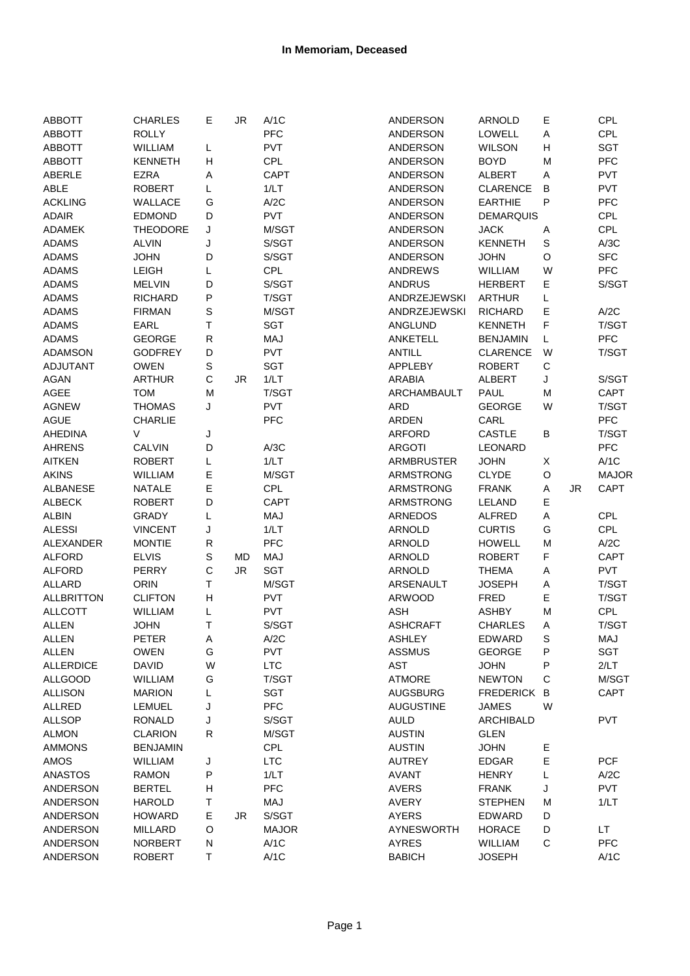| <b>ABBOTT</b>     | <b>CHARLES</b>  | E           | JR  | A/1C         | ANDERSON            | <b>ARNOLD</b>    | Е           |           | <b>CPL</b>   |
|-------------------|-----------------|-------------|-----|--------------|---------------------|------------------|-------------|-----------|--------------|
| <b>ABBOTT</b>     | <b>ROLLY</b>    |             |     | PFC          | ANDERSON            | <b>LOWELL</b>    | Α           |           | <b>CPL</b>   |
| <b>ABBOTT</b>     | WILLIAM         | L           |     | <b>PVT</b>   | ANDERSON            | <b>WILSON</b>    | H           |           | SGT          |
| <b>ABBOTT</b>     | <b>KENNETH</b>  | н           |     | CPL          | <b>ANDERSON</b>     | <b>BOYD</b>      | M           |           | PFC          |
| ABERLE            | <b>EZRA</b>     | Α           |     | <b>CAPT</b>  | ANDERSON            | <b>ALBERT</b>    | Α           |           | <b>PVT</b>   |
| <b>ABLE</b>       | <b>ROBERT</b>   | L           |     | 1/LT         | <b>ANDERSON</b>     | <b>CLARENCE</b>  | B           |           | <b>PVT</b>   |
| <b>ACKLING</b>    | <b>WALLACE</b>  | G           |     | A/2C         | ANDERSON            | <b>EARTHIE</b>   | P           |           | PFC          |
| <b>ADAIR</b>      | <b>EDMOND</b>   | D           |     | <b>PVT</b>   | ANDERSON            | <b>DEMARQUIS</b> |             |           | CPL          |
| <b>ADAMEK</b>     | <b>THEODORE</b> | J           |     | M/SGT        | ANDERSON            | <b>JACK</b>      | Α           |           | CPL          |
| <b>ADAMS</b>      | <b>ALVIN</b>    | J           |     | S/SGT        | ANDERSON            | <b>KENNETH</b>   | $\mathbf S$ |           | A/3C         |
| <b>ADAMS</b>      | <b>JOHN</b>     | D           |     | S/SGT        | <b>ANDERSON</b>     | <b>JOHN</b>      | $\circ$     |           | <b>SFC</b>   |
| <b>ADAMS</b>      | <b>LEIGH</b>    | L           |     | <b>CPL</b>   | <b>ANDREWS</b>      | <b>WILLIAM</b>   | W           |           | PFC          |
| <b>ADAMS</b>      | <b>MELVIN</b>   | D           |     | S/SGT        | <b>ANDRUS</b>       | <b>HERBERT</b>   | Е           |           | S/SGT        |
| <b>ADAMS</b>      | <b>RICHARD</b>  | P           |     | T/SGT        | <b>ANDRZEJEWSKI</b> | <b>ARTHUR</b>    | L           |           |              |
| <b>ADAMS</b>      | <b>FIRMAN</b>   | $\mathbb S$ |     | M/SGT        | <b>ANDRZEJEWSKI</b> | <b>RICHARD</b>   | Ε           |           | A/2C         |
| <b>ADAMS</b>      | EARL            | T           |     | <b>SGT</b>   | ANGLUND             | <b>KENNETH</b>   | F           |           | T/SGT        |
| <b>ADAMS</b>      | <b>GEORGE</b>   | ${\sf R}$   |     | MAJ          | <b>ANKETELL</b>     | <b>BENJAMIN</b>  | L           |           | PFC          |
| ADAMSON           | <b>GODFREY</b>  | D           |     | <b>PVT</b>   | <b>ANTILL</b>       | <b>CLARENCE</b>  | W           |           | T/SGT        |
| ADJUTANT          | <b>OWEN</b>     | S           |     | SGT          | <b>APPLEBY</b>      | <b>ROBERT</b>    | C           |           |              |
| <b>AGAN</b>       | <b>ARTHUR</b>   | $\mathsf C$ | JR  | 1/LT         | <b>ARABIA</b>       | <b>ALBERT</b>    | J           |           | S/SGT        |
| <b>AGEE</b>       | <b>TOM</b>      | M           |     | T/SGT        | ARCHAMBAULT         | PAUL             | M           |           | <b>CAPT</b>  |
| <b>AGNEW</b>      | <b>THOMAS</b>   | J           |     | <b>PVT</b>   | <b>ARD</b>          | <b>GEORGE</b>    | W           |           | T/SGT        |
| <b>AGUE</b>       | <b>CHARLIE</b>  |             |     | <b>PFC</b>   | <b>ARDEN</b>        | CARL             |             |           | PFC          |
| <b>AHEDINA</b>    | V               | J           |     |              | <b>ARFORD</b>       | <b>CASTLE</b>    | B           |           | T/SGT        |
| <b>AHRENS</b>     | <b>CALVIN</b>   | D           |     | A/3C         | <b>ARGOTI</b>       | <b>LEONARD</b>   |             |           | PFC          |
| <b>AITKEN</b>     | <b>ROBERT</b>   | L           |     | 1/LT         | <b>ARMBRUSTER</b>   | <b>JOHN</b>      | Χ           |           | A/1C         |
| <b>AKINS</b>      | WILLIAM         | E           |     | M/SGT        | ARMSTRONG           | <b>CLYDE</b>     | $\circ$     |           | <b>MAJOR</b> |
| <b>ALBANESE</b>   | <b>NATALE</b>   | E           |     | <b>CPL</b>   | <b>ARMSTRONG</b>    | <b>FRANK</b>     |             | <b>JR</b> | <b>CAPT</b>  |
| <b>ALBECK</b>     |                 | D           |     | <b>CAPT</b>  | <b>ARMSTRONG</b>    | LELAND           | Α           |           |              |
|                   | <b>ROBERT</b>   |             |     |              |                     |                  | Е           |           |              |
| <b>ALBIN</b>      | <b>GRADY</b>    | L           |     | MAJ          | <b>ARNEDOS</b>      | <b>ALFRED</b>    | A           |           | CPL<br>CPL   |
| <b>ALESSI</b>     | <b>VINCENT</b>  | J           |     | 1/LT<br>PFC  | ARNOLD              | <b>CURTIS</b>    | G           |           |              |
| <b>ALEXANDER</b>  | <b>MONTIE</b>   | R           |     |              | <b>ARNOLD</b>       | <b>HOWELL</b>    | M           |           | A/2C         |
| <b>ALFORD</b>     | <b>ELVIS</b>    | S           | MD  | MAJ          | <b>ARNOLD</b>       | <b>ROBERT</b>    | F           |           | <b>CAPT</b>  |
| <b>ALFORD</b>     | <b>PERRY</b>    | C           | JR. | SGT          | <b>ARNOLD</b>       | <b>THEMA</b>     | Α           |           | <b>PVT</b>   |
| ALLARD            | <b>ORIN</b>     | T           |     | M/SGT        | ARSENAULT           | <b>JOSEPH</b>    | A           |           | T/SGT        |
| <b>ALLBRITTON</b> | <b>CLIFTON</b>  | н           |     | <b>PVT</b>   | ARWOOD              | <b>FRED</b>      | Е           |           | T/SGT        |
| <b>ALLCOTT</b>    | <b>WILLIAM</b>  | L           |     | <b>PVT</b>   | <b>ASH</b>          | <b>ASHBY</b>     | M           |           | <b>CPL</b>   |
| <b>ALLEN</b>      | <b>JOHN</b>     | T           |     | S/SGT        | <b>ASHCRAFT</b>     | <b>CHARLES</b>   | Α           |           | T/SGT        |
| ALLEN             | PETER           | A           |     | A/2C         | ASHLEY              | EDWARD           | S           |           | MAJ          |
| <b>ALLEN</b>      | <b>OWEN</b>     | G           |     | <b>PVT</b>   | <b>ASSMUS</b>       | <b>GEORGE</b>    | P           |           | SGT          |
| <b>ALLERDICE</b>  | <b>DAVID</b>    | W           |     | <b>LTC</b>   | AST                 | <b>JOHN</b>      | P           |           | 2/LT         |
| <b>ALLGOOD</b>    | WILLIAM         | G           |     | T/SGT        | <b>ATMORE</b>       | <b>NEWTON</b>    | $\mathsf C$ |           | M/SGT        |
| <b>ALLISON</b>    | <b>MARION</b>   | L           |     | SGT          | <b>AUGSBURG</b>     | <b>FREDERICK</b> | B           |           | <b>CAPT</b>  |
| ALLRED            | <b>LEMUEL</b>   | J           |     | PFC          | <b>AUGUSTINE</b>    | <b>JAMES</b>     | W           |           |              |
| <b>ALLSOP</b>     | <b>RONALD</b>   | J           |     | S/SGT        | <b>AULD</b>         | <b>ARCHIBALD</b> |             |           | <b>PVT</b>   |
| <b>ALMON</b>      | <b>CLARION</b>  | ${\sf R}$   |     | M/SGT        | <b>AUSTIN</b>       | <b>GLEN</b>      |             |           |              |
| <b>AMMONS</b>     | <b>BENJAMIN</b> |             |     | CPL          | <b>AUSTIN</b>       | <b>JOHN</b>      | Е           |           |              |
| AMOS              | WILLIAM         | J           |     | <b>LTC</b>   | <b>AUTREY</b>       | <b>EDGAR</b>     | E           |           | <b>PCF</b>   |
| <b>ANASTOS</b>    | <b>RAMON</b>    | P           |     | 1/LT         | <b>AVANT</b>        | <b>HENRY</b>     | L           |           | A/2C         |
| ANDERSON          | <b>BERTEL</b>   | Η           |     | <b>PFC</b>   | <b>AVERS</b>        | <b>FRANK</b>     | J           |           | <b>PVT</b>   |
| ANDERSON          | <b>HAROLD</b>   | T           |     | MAJ          | AVERY               | <b>STEPHEN</b>   | M           |           | 1/LT         |
| <b>ANDERSON</b>   | <b>HOWARD</b>   | Е           | JR  | S/SGT        | <b>AYERS</b>        | <b>EDWARD</b>    | D           |           |              |
| ANDERSON          | <b>MILLARD</b>  | O           |     | <b>MAJOR</b> | AYNESWORTH          | <b>HORACE</b>    | D           |           | LT.          |
| ANDERSON          | <b>NORBERT</b>  | N           |     | A/1C         | <b>AYRES</b>        | WILLIAM          | С           |           | <b>PFC</b>   |
| ANDERSON          | <b>ROBERT</b>   | T           |     | A/1C         | <b>BABICH</b>       | <b>JOSEPH</b>    |             |           | A/1C         |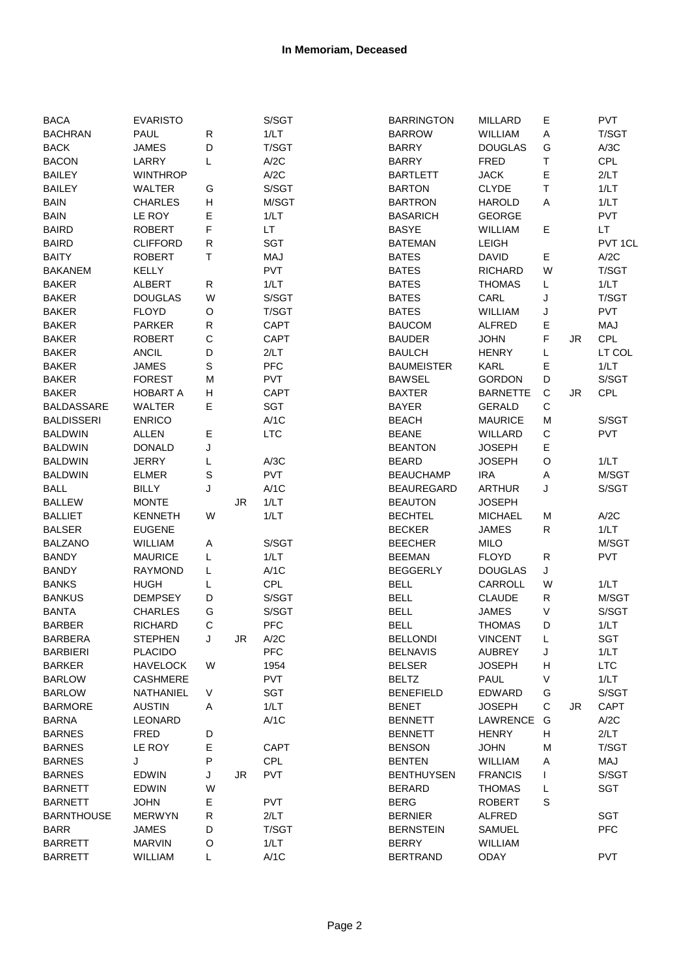| <b>BACA</b>       | <b>EVARISTO</b> |             |    | S/SGT       | <b>BARRINGTON</b> | <b>MILLARD</b>  | Е           |           | <b>PVT</b>  |
|-------------------|-----------------|-------------|----|-------------|-------------------|-----------------|-------------|-----------|-------------|
| <b>BACHRAN</b>    | <b>PAUL</b>     | $\mathsf R$ |    | 1/LT        | <b>BARROW</b>     | WILLIAM         | $\mathsf A$ |           | T/SGT       |
| <b>BACK</b>       | <b>JAMES</b>    | D           |    | T/SGT       | <b>BARRY</b>      | <b>DOUGLAS</b>  | G           |           | A/3C        |
| <b>BACON</b>      | LARRY           | Г           |    | A/2C        | <b>BARRY</b>      | <b>FRED</b>     | Τ           |           | CPL         |
| <b>BAILEY</b>     | <b>WINTHROP</b> |             |    | A/2C        | <b>BARTLETT</b>   | <b>JACK</b>     | E           |           | 2/LT        |
| <b>BAILEY</b>     | <b>WALTER</b>   | G           |    | S/SGT       | <b>BARTON</b>     | <b>CLYDE</b>    | Τ           |           | 1/LT        |
| <b>BAIN</b>       | <b>CHARLES</b>  | Η           |    | M/SGT       | <b>BARTRON</b>    | <b>HAROLD</b>   | Α           |           | 1/LT        |
| <b>BAIN</b>       | LE ROY          | Е           |    | 1/LT        | <b>BASARICH</b>   | <b>GEORGE</b>   |             |           | <b>PVT</b>  |
| <b>BAIRD</b>      | <b>ROBERT</b>   | F           |    | LT.         | <b>BASYE</b>      | WILLIAM         | Е           |           | LT.         |
| <b>BAIRD</b>      | <b>CLIFFORD</b> | R           |    | SGT         | <b>BATEMAN</b>    | LEIGH           |             |           | PVT 1CL     |
| <b>BAITY</b>      | <b>ROBERT</b>   | Τ           |    | MAJ         | <b>BATES</b>      | <b>DAVID</b>    | Е           |           | A/2C        |
| <b>BAKANEM</b>    | <b>KELLY</b>    |             |    | <b>PVT</b>  | <b>BATES</b>      | <b>RICHARD</b>  | W           |           | T/SGT       |
| <b>BAKER</b>      | ALBERT          | R           |    | 1/LT        | <b>BATES</b>      | <b>THOMAS</b>   | L           |           | 1/LT        |
| <b>BAKER</b>      | <b>DOUGLAS</b>  | W           |    | S/SGT       | <b>BATES</b>      | CARL            | J           |           | T/SGT       |
| <b>BAKER</b>      | <b>FLOYD</b>    | O           |    | T/SGT       | <b>BATES</b>      | WILLIAM         | J           |           | <b>PVT</b>  |
| <b>BAKER</b>      | <b>PARKER</b>   | R           |    | <b>CAPT</b> | <b>BAUCOM</b>     | <b>ALFRED</b>   | Е           |           | MAJ         |
| <b>BAKER</b>      | <b>ROBERT</b>   | C           |    | <b>CAPT</b> | <b>BAUDER</b>     | <b>JOHN</b>     | F           | <b>JR</b> | <b>CPL</b>  |
| <b>BAKER</b>      | <b>ANCIL</b>    | D           |    | 2/LT        | <b>BAULCH</b>     | <b>HENRY</b>    | L           |           | LT COL      |
| <b>BAKER</b>      | <b>JAMES</b>    | S           |    | <b>PFC</b>  | <b>BAUMEISTER</b> | <b>KARL</b>     | E           |           | 1/LT        |
| <b>BAKER</b>      | <b>FOREST</b>   | M           |    | <b>PVT</b>  | <b>BAWSEL</b>     | <b>GORDON</b>   | D           |           | S/SGT       |
| <b>BAKER</b>      | <b>HOBART A</b> | Η           |    | <b>CAPT</b> | <b>BAXTER</b>     | <b>BARNETTE</b> | C           | <b>JR</b> | CPL         |
| <b>BALDASSARE</b> | WALTER          | Е           |    | <b>SGT</b>  | <b>BAYER</b>      | <b>GERALD</b>   | С           |           |             |
| <b>BALDISSERI</b> | <b>ENRICO</b>   |             |    | A/1C        | <b>BEACH</b>      | <b>MAURICE</b>  | M           |           | S/SGT       |
| <b>BALDWIN</b>    | <b>ALLEN</b>    | Е           |    | <b>LTC</b>  | <b>BEANE</b>      | WILLARD         | C           |           | <b>PVT</b>  |
| <b>BALDWIN</b>    | <b>DONALD</b>   | J           |    |             | <b>BEANTON</b>    | <b>JOSEPH</b>   | E           |           |             |
| <b>BALDWIN</b>    | <b>JERRY</b>    | L           |    | A/3C        | <b>BEARD</b>      | <b>JOSEPH</b>   | $\mathsf O$ |           | 1/LT        |
| <b>BALDWIN</b>    | <b>ELMER</b>    | S           |    | <b>PVT</b>  | <b>BEAUCHAMP</b>  | <b>IRA</b>      | Α           |           | M/SGT       |
| <b>BALL</b>       | <b>BILLY</b>    | J           |    | A/1C        | <b>BEAUREGARD</b> | <b>ARTHUR</b>   | J           |           | S/SGT       |
| <b>BALLEW</b>     | <b>MONTE</b>    |             | JR | 1/LT        | <b>BEAUTON</b>    | <b>JOSEPH</b>   |             |           |             |
| <b>BALLIET</b>    | <b>KENNETH</b>  | W           |    | 1/LT        | <b>BECHTEL</b>    | <b>MICHAEL</b>  | M           |           | A/2C        |
| <b>BALSER</b>     | <b>EUGENE</b>   |             |    |             | <b>BECKER</b>     | <b>JAMES</b>    | R           |           | 1/LT        |
| <b>BALZANO</b>    | WILLIAM         | Α           |    | S/SGT       | <b>BEECHER</b>    | <b>MILO</b>     |             |           | M/SGT       |
| <b>BANDY</b>      | <b>MAURICE</b>  | L           |    | 1/LT        | <b>BEEMAN</b>     | <b>FLOYD</b>    | ${\sf R}$   |           | <b>PVT</b>  |
| <b>BANDY</b>      | <b>RAYMOND</b>  | L           |    | A/1C        | <b>BEGGERLY</b>   | <b>DOUGLAS</b>  | J           |           |             |
| <b>BANKS</b>      | <b>HUGH</b>     | L           |    | CPL         | <b>BELL</b>       | CARROLL         | W           |           | 1/LT        |
| <b>BANKUS</b>     | <b>DEMPSEY</b>  | D           |    | S/SGT       | <b>BELL</b>       | <b>CLAUDE</b>   | R           |           | M/SGT       |
| <b>BANTA</b>      | <b>CHARLES</b>  | G           |    | S/SGT       | <b>BELL</b>       | JAMES           | V           |           | S/SGT       |
| <b>BARBER</b>     | <b>RICHARD</b>  | C           |    | <b>PFC</b>  | <b>BELL</b>       | <b>THOMAS</b>   | D           |           | 1/LT        |
| <b>BARBERA</b>    | <b>STEPHEN</b>  | J           | JR | A/2C        | <b>BELLONDI</b>   | <b>VINCENT</b>  | L           |           | SGT         |
| <b>BARBIERI</b>   | <b>PLACIDO</b>  |             |    | <b>PFC</b>  | <b>BELNAVIS</b>   | <b>AUBREY</b>   | J           |           | 1/LT        |
| <b>BARKER</b>     | <b>HAVELOCK</b> | W           |    | 1954        | <b>BELSER</b>     | <b>JOSEPH</b>   | H           |           | <b>LTC</b>  |
| <b>BARLOW</b>     | <b>CASHMERE</b> |             |    | <b>PVT</b>  | <b>BELTZ</b>      | PAUL            | $\vee$      |           | 1/LT        |
| <b>BARLOW</b>     | NATHANIEL       | V           |    | SGT         | <b>BENEFIELD</b>  | EDWARD          | G           |           | S/SGT       |
| <b>BARMORE</b>    | <b>AUSTIN</b>   | Α           |    | 1/LT        | <b>BENET</b>      | <b>JOSEPH</b>   | C           | JR.       | <b>CAPT</b> |
| <b>BARNA</b>      | LEONARD         |             |    | A/1C        | <b>BENNETT</b>    | LAWRENCE        | G           |           | A/2C        |
| <b>BARNES</b>     | FRED            | D           |    |             | <b>BENNETT</b>    | <b>HENRY</b>    | H           |           | 2/LT        |
| <b>BARNES</b>     | LE ROY          | Е           |    | <b>CAPT</b> | <b>BENSON</b>     | <b>JOHN</b>     | M           |           | T/SGT       |
| <b>BARNES</b>     | J               | Ρ           |    | CPL         | <b>BENTEN</b>     | WILLIAM         | Α           |           | MAJ         |
| <b>BARNES</b>     | <b>EDWIN</b>    | J           | JR | PVT         | <b>BENTHUYSEN</b> | <b>FRANCIS</b>  | T           |           | S/SGT       |
| <b>BARNETT</b>    | <b>EDWIN</b>    | W           |    |             | <b>BERARD</b>     | <b>THOMAS</b>   | L           |           | SGT         |
| <b>BARNETT</b>    | <b>JOHN</b>     | Е           |    | <b>PVT</b>  | <b>BERG</b>       | <b>ROBERT</b>   | $\mathbb S$ |           |             |
| <b>BARNTHOUSE</b> | <b>MERWYN</b>   | R           |    | 2/LT        | <b>BERNIER</b>    | <b>ALFRED</b>   |             |           | <b>SGT</b>  |
| <b>BARR</b>       | <b>JAMES</b>    | D           |    | T/SGT       | <b>BERNSTEIN</b>  | SAMUEL          |             |           | <b>PFC</b>  |
| <b>BARRETT</b>    | <b>MARVIN</b>   | O           |    | 1/LT        | <b>BERRY</b>      | WILLIAM         |             |           |             |
| <b>BARRETT</b>    | WILLIAM         | L           |    | A/1C        | <b>BERTRAND</b>   | <b>ODAY</b>     |             |           | PVT         |
|                   |                 |             |    |             |                   |                 |             |           |             |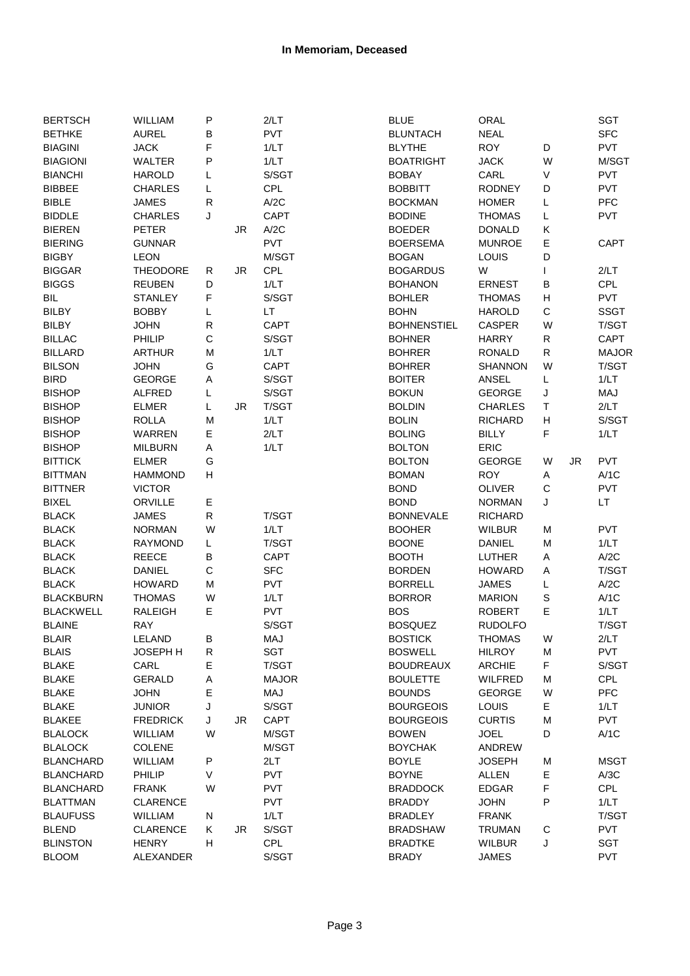| <b>BERTSCH</b>   | WILLIAM         | P            |    | 2/LT         | <b>BLUE</b>        | ORAL                    |             |           | <b>SGT</b>   |
|------------------|-----------------|--------------|----|--------------|--------------------|-------------------------|-------------|-----------|--------------|
| <b>BETHKE</b>    | <b>AUREL</b>    | B            |    | <b>PVT</b>   | <b>BLUNTACH</b>    | <b>NEAL</b>             |             |           | <b>SFC</b>   |
| <b>BIAGINI</b>   | <b>JACK</b>     | F            |    | 1/LT         | <b>BLYTHE</b>      | <b>ROY</b>              | D           |           | <b>PVT</b>   |
| <b>BIAGIONI</b>  | WALTER          | P            |    | 1/LT         | <b>BOATRIGHT</b>   | <b>JACK</b>             | W           |           | M/SGT        |
| <b>BIANCHI</b>   | <b>HAROLD</b>   | L            |    | S/SGT        | <b>BOBAY</b>       | CARL                    | V           |           | <b>PVT</b>   |
| <b>BIBBEE</b>    | <b>CHARLES</b>  | Г            |    | <b>CPL</b>   | <b>BOBBITT</b>     | <b>RODNEY</b>           | D           |           | <b>PVT</b>   |
| <b>BIBLE</b>     | <b>JAMES</b>    | $\mathsf R$  |    | A/2C         | <b>BOCKMAN</b>     | <b>HOMER</b>            | L           |           | <b>PFC</b>   |
| <b>BIDDLE</b>    | <b>CHARLES</b>  | J            |    | <b>CAPT</b>  | <b>BODINE</b>      | <b>THOMAS</b>           | L           |           | <b>PVT</b>   |
| <b>BIEREN</b>    | <b>PETER</b>    |              | JR | A/2C         | <b>BOEDER</b>      | <b>DONALD</b>           | Κ           |           |              |
| <b>BIERING</b>   | <b>GUNNAR</b>   |              |    | <b>PVT</b>   | <b>BOERSEMA</b>    | <b>MUNROE</b>           | Е           |           | <b>CAPT</b>  |
| <b>BIGBY</b>     | LEON            |              |    | M/SGT        | <b>BOGAN</b>       | LOUIS                   | D           |           |              |
| <b>BIGGAR</b>    | <b>THEODORE</b> | R            | JR | <b>CPL</b>   | <b>BOGARDUS</b>    | W                       | I           |           | 2/LT         |
| <b>BIGGS</b>     | <b>REUBEN</b>   | D            |    | 1/LT         | <b>BOHANON</b>     | <b>ERNEST</b>           | В           |           | CPL          |
| BIL              | <b>STANLEY</b>  | F            |    | S/SGT        | <b>BOHLER</b>      | <b>THOMAS</b>           | Н           |           | <b>PVT</b>   |
| <b>BILBY</b>     | <b>BOBBY</b>    | L            |    | LT.          | <b>BOHN</b>        | <b>HAROLD</b>           | $\mathsf C$ |           | <b>SSGT</b>  |
| <b>BILBY</b>     | <b>JOHN</b>     | ${\sf R}$    |    | <b>CAPT</b>  | <b>BOHNENSTIEL</b> | <b>CASPER</b>           | W           |           | T/SGT        |
| <b>BILLAC</b>    | PHILIP          | $\mathsf{C}$ |    | S/SGT        | <b>BOHNER</b>      | <b>HARRY</b>            | ${\sf R}$   |           | CAPT         |
| <b>BILLARD</b>   | <b>ARTHUR</b>   | M            |    | 1/LT         | <b>BOHRER</b>      | <b>RONALD</b>           | ${\sf R}$   |           | <b>MAJOR</b> |
| <b>BILSON</b>    | <b>JOHN</b>     | G            |    | <b>CAPT</b>  | <b>BOHRER</b>      | <b>SHANNON</b>          | W           |           | T/SGT        |
| <b>BIRD</b>      | <b>GEORGE</b>   | A            |    | S/SGT        | <b>BOITER</b>      | <b>ANSEL</b>            | L           |           | 1/LT         |
| <b>BISHOP</b>    | <b>ALFRED</b>   | L            |    | S/SGT        | <b>BOKUN</b>       | <b>GEORGE</b>           | J           |           | MAJ          |
| <b>BISHOP</b>    | <b>ELMER</b>    | L            | JR | T/SGT        | <b>BOLDIN</b>      | <b>CHARLES</b>          | T           |           | 2/LT         |
| <b>BISHOP</b>    | <b>ROLLA</b>    | M            |    | 1/LT         | <b>BOLIN</b>       | <b>RICHARD</b>          | H           |           | S/SGT        |
| <b>BISHOP</b>    | <b>WARREN</b>   | Е            |    | 2/LT         | <b>BOLING</b>      | <b>BILLY</b>            | F           |           | 1/LT         |
| <b>BISHOP</b>    | <b>MILBURN</b>  | A            |    | 1/LT         | <b>BOLTON</b>      | ERIC                    |             |           |              |
| <b>BITTICK</b>   | <b>ELMER</b>    | G            |    |              | <b>BOLTON</b>      | <b>GEORGE</b>           | W           | <b>JR</b> | <b>PVT</b>   |
| <b>BITTMAN</b>   | <b>HAMMOND</b>  | н            |    |              | <b>BOMAN</b>       | <b>ROY</b>              | Α           |           | A/1C         |
| <b>BITTNER</b>   | <b>VICTOR</b>   |              |    |              | <b>BOND</b>        | <b>OLIVER</b>           | C           |           | <b>PVT</b>   |
| <b>BIXEL</b>     | ORVILLE         | Е            |    |              | <b>BOND</b>        | <b>NORMAN</b>           | J           |           | LT.          |
| <b>BLACK</b>     | <b>JAMES</b>    | R            |    | T/SGT        | <b>BONNEVALE</b>   | <b>RICHARD</b>          |             |           |              |
| <b>BLACK</b>     | <b>NORMAN</b>   | W            |    | 1/LT         | <b>BOOHER</b>      | <b>WILBUR</b>           | М           |           | <b>PVT</b>   |
| <b>BLACK</b>     | <b>RAYMOND</b>  | L            |    | T/SGT        | <b>BOONE</b>       | <b>DANIEL</b>           | М           |           | 1/LT         |
| <b>BLACK</b>     | <b>REECE</b>    | В            |    | <b>CAPT</b>  | <b>BOOTH</b>       | <b>LUTHER</b>           | A           |           | A/2C         |
| <b>BLACK</b>     | <b>DANIEL</b>   | C            |    | <b>SFC</b>   | <b>BORDEN</b>      | <b>HOWARD</b>           | A           |           | T/SGT        |
| <b>BLACK</b>     | <b>HOWARD</b>   | M            |    | <b>PVT</b>   | <b>BORRELL</b>     | <b>JAMES</b>            | L           |           | A/2C         |
| <b>BLACKBURN</b> | <b>THOMAS</b>   | W            |    | 1/LT         | <b>BORROR</b>      | <b>MARION</b>           | $\mathbb S$ |           | A/1C         |
| <b>BLACKWELL</b> | <b>RALEIGH</b>  | E            |    | <b>PVT</b>   | <b>BOS</b>         | <b>ROBERT</b>           | E           |           | 1/LT         |
| <b>BLAINE</b>    | <b>RAY</b>      |              |    | S/SGT        | <b>BOSQUEZ</b>     | <b>RUDOLFO</b>          |             |           | T/SGT        |
| <b>BLAIR</b>     | LELAND          | В            |    | MAJ          | <b>BOSTICK</b>     |                         | W           |           | 2/LT         |
| <b>BLAIS</b>     | <b>JOSEPH H</b> | ${\sf R}$    |    | SGT          | <b>BOSWELL</b>     | THOMAS<br><b>HILROY</b> | М           |           | <b>PVT</b>   |
| <b>BLAKE</b>     | CARL            | Е            |    | T/SGT        | <b>BOUDREAUX</b>   | <b>ARCHIE</b>           | F           |           | S/SGT        |
|                  | <b>GERALD</b>   | A            |    | <b>MAJOR</b> | <b>BOULETTE</b>    |                         | M           |           | CPL          |
| <b>BLAKE</b>     |                 | Ε            |    | MAJ          | <b>BOUNDS</b>      | <b>WILFRED</b>          | W           |           | PFC          |
| <b>BLAKE</b>     | <b>JOHN</b>     |              |    |              |                    | <b>GEORGE</b>           |             |           |              |
| <b>BLAKE</b>     | <b>JUNIOR</b>   | J            |    | S/SGT        | <b>BOURGEOIS</b>   | LOUIS                   | Е           |           | 1/LT         |
| <b>BLAKEE</b>    | <b>FREDRICK</b> | J            | JR | CAPT         | <b>BOURGEOIS</b>   | <b>CURTIS</b>           | M           |           | <b>PVT</b>   |
| <b>BLALOCK</b>   | WILLIAM         | W            |    | M/SGT        | <b>BOWEN</b>       | <b>JOEL</b>             | D           |           | A/1C         |
| <b>BLALOCK</b>   | <b>COLENE</b>   |              |    | M/SGT        | <b>BOYCHAK</b>     | ANDREW                  |             |           |              |
| <b>BLANCHARD</b> | WILLIAM         | P            |    | 2LT          | <b>BOYLE</b>       | <b>JOSEPH</b>           | М           |           | <b>MSGT</b>  |
| <b>BLANCHARD</b> | PHILIP          | V            |    | <b>PVT</b>   | <b>BOYNE</b>       | <b>ALLEN</b>            | Е           |           | A/3C         |
| <b>BLANCHARD</b> | <b>FRANK</b>    | W            |    | <b>PVT</b>   | <b>BRADDOCK</b>    | <b>EDGAR</b>            | F           |           | CPL          |
| <b>BLATTMAN</b>  | <b>CLARENCE</b> |              |    | <b>PVT</b>   | <b>BRADDY</b>      | <b>JOHN</b>             | Ρ           |           | 1/LT         |
| <b>BLAUFUSS</b>  | WILLIAM         | N            |    | 1/LT         | <b>BRADLEY</b>     | <b>FRANK</b>            |             |           | T/SGT        |
| <b>BLEND</b>     | <b>CLARENCE</b> | K            | JR | S/SGT        | <b>BRADSHAW</b>    | <b>TRUMAN</b>           | C           |           | <b>PVT</b>   |
| <b>BLINSTON</b>  | <b>HENRY</b>    | H            |    | CPL          | <b>BRADTKE</b>     | <b>WILBUR</b>           | J           |           | SGT          |
| <b>BLOOM</b>     | ALEXANDER       |              |    | S/SGT        | <b>BRADY</b>       | JAMES                   |             |           | PVT          |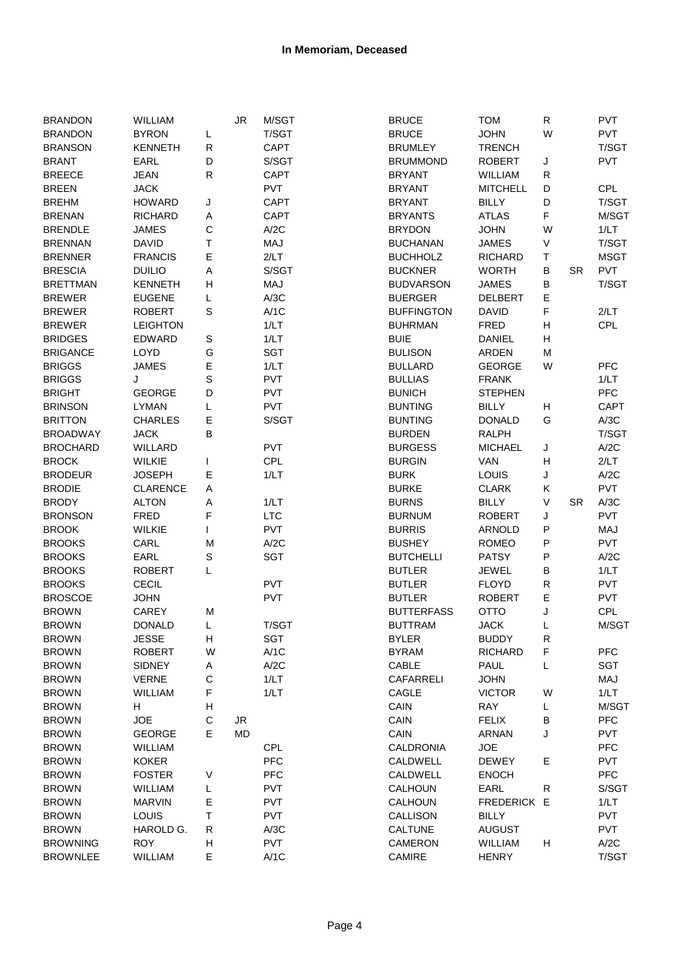| <b>BRANDON</b>  | WILLIAM         |             | <b>JR</b>  | M/SGT       | <b>BRUCE</b>      | <b>TOM</b>      | ${\sf R}$ |           | PVT         |
|-----------------|-----------------|-------------|------------|-------------|-------------------|-----------------|-----------|-----------|-------------|
| <b>BRANDON</b>  | <b>BYRON</b>    | L           |            | T/SGT       | <b>BRUCE</b>      | <b>JOHN</b>     | W         |           | <b>PVT</b>  |
| <b>BRANSON</b>  | <b>KENNETH</b>  | R           |            | CAPT        | <b>BRUMLEY</b>    | <b>TRENCH</b>   |           |           | T/SGT       |
| <b>BRANT</b>    | <b>EARL</b>     | D           |            | S/SGT       | <b>BRUMMOND</b>   | <b>ROBERT</b>   | J         |           | <b>PVT</b>  |
| <b>BREECE</b>   | <b>JEAN</b>     | $\mathsf R$ |            | <b>CAPT</b> | <b>BRYANT</b>     | WILLIAM         | ${\sf R}$ |           |             |
| <b>BREEN</b>    | <b>JACK</b>     |             |            | <b>PVT</b>  | <b>BRYANT</b>     | <b>MITCHELL</b> | D         |           | CPL         |
| <b>BREHM</b>    | <b>HOWARD</b>   | J           |            | <b>CAPT</b> | <b>BRYANT</b>     | <b>BILLY</b>    | D         |           | T/SGT       |
| <b>BRENAN</b>   | <b>RICHARD</b>  | Α           |            | CAPT        | <b>BRYANTS</b>    | <b>ATLAS</b>    | F         |           | M/SGT       |
| <b>BRENDLE</b>  | <b>JAMES</b>    | C           |            | A/2C        | <b>BRYDON</b>     | <b>JOHN</b>     | W         |           | 1/LT        |
| <b>BRENNAN</b>  | <b>DAVID</b>    | Τ           |            | MAJ         | <b>BUCHANAN</b>   | <b>JAMES</b>    | V         |           | T/SGT       |
| <b>BRENNER</b>  | <b>FRANCIS</b>  | E           |            | 2/LT        | <b>BUCHHOLZ</b>   | <b>RICHARD</b>  | Τ         |           | <b>MSGT</b> |
| <b>BRESCIA</b>  | <b>DUILIO</b>   | Α           |            | S/SGT       | <b>BUCKNER</b>    | <b>WORTH</b>    | В         | <b>SR</b> | <b>PVT</b>  |
| <b>BRETTMAN</b> | <b>KENNETH</b>  | Η           |            | MAJ         | <b>BUDVARSON</b>  | <b>JAMES</b>    | В         |           | T/SGT       |
| <b>BREWER</b>   | <b>EUGENE</b>   | L           |            | A/3C        | <b>BUERGER</b>    | <b>DELBERT</b>  | E         |           |             |
| <b>BREWER</b>   | <b>ROBERT</b>   | $\mathsf S$ |            | A/1C        | <b>BUFFINGTON</b> | <b>DAVID</b>    | F         |           | 2/LT        |
| <b>BREWER</b>   | <b>LEIGHTON</b> |             |            | 1/LT        | <b>BUHRMAN</b>    | <b>FRED</b>     | Н         |           | CPL         |
| <b>BRIDGES</b>  | <b>EDWARD</b>   | $\mathsf S$ |            | 1/LT        | <b>BUIE</b>       | <b>DANIEL</b>   | Η         |           |             |
| <b>BRIGANCE</b> | LOYD            | G           |            | <b>SGT</b>  | <b>BULISON</b>    | <b>ARDEN</b>    | M         |           |             |
| <b>BRIGGS</b>   | <b>JAMES</b>    | E           |            | 1/LT        | <b>BULLARD</b>    | <b>GEORGE</b>   | W         |           | PFC         |
| <b>BRIGGS</b>   | J               | $\mathsf S$ |            | PVT         | <b>BULLIAS</b>    | <b>FRANK</b>    |           |           | 1/LT        |
| <b>BRIGHT</b>   | <b>GEORGE</b>   | D           |            | <b>PVT</b>  | <b>BUNICH</b>     | <b>STEPHEN</b>  |           |           | PFC         |
| <b>BRINSON</b>  | <b>LYMAN</b>    | L           |            | <b>PVT</b>  | <b>BUNTING</b>    | <b>BILLY</b>    | Н         |           | CAPT        |
| <b>BRITTON</b>  | <b>CHARLES</b>  | Е           |            | S/SGT       | <b>BUNTING</b>    | <b>DONALD</b>   | G         |           | A/3C        |
| <b>BROADWAY</b> | <b>JACK</b>     | B           |            |             | <b>BURDEN</b>     | <b>RALPH</b>    |           |           | T/SGT       |
| <b>BROCHARD</b> | WILLARD         |             |            | <b>PVT</b>  | <b>BURGESS</b>    | <b>MICHAEL</b>  |           |           | A/2C        |
| <b>BROCK</b>    | <b>WILKIE</b>   |             |            | CPL         | <b>BURGIN</b>     | VAN             | J<br>H    |           | 2/LT        |
|                 |                 | $\mathsf E$ |            | 1/LT        |                   |                 |           |           | A/2C        |
| <b>BRODEUR</b>  | <b>JOSEPH</b>   |             |            |             | <b>BURK</b>       | LOUIS           | J         |           |             |
| <b>BRODIE</b>   | <b>CLARENCE</b> | Α           |            |             | <b>BURKE</b>      | <b>CLARK</b>    | Κ         |           | <b>PVT</b>  |
| <b>BRODY</b>    | <b>ALTON</b>    | Α           |            | 1/LT        | <b>BURNS</b>      | <b>BILLY</b>    | V         | <b>SR</b> | A/3C        |
| <b>BRONSON</b>  | <b>FRED</b>     | F           |            | <b>LTC</b>  | <b>BURNUM</b>     | <b>ROBERT</b>   | J         |           | <b>PVT</b>  |
| <b>BROOK</b>    | <b>WILKIE</b>   | L           |            | <b>PVT</b>  | <b>BURRIS</b>     | ARNOLD          | P         |           | MAJ         |
| <b>BROOKS</b>   | CARL            | M           |            | A/2C        | <b>BUSHEY</b>     | <b>ROMEO</b>    | Ρ         |           | <b>PVT</b>  |
| <b>BROOKS</b>   | EARL            | $\mathbf S$ |            | <b>SGT</b>  | <b>BUTCHELLI</b>  | <b>PATSY</b>    | Ρ         |           | A/2C        |
| <b>BROOKS</b>   | <b>ROBERT</b>   | L           |            |             | <b>BUTLER</b>     | <b>JEWEL</b>    | В         |           | 1/LT        |
| <b>BROOKS</b>   | <b>CECIL</b>    |             |            | <b>PVT</b>  | <b>BUTLER</b>     | <b>FLOYD</b>    | R         |           | <b>PVT</b>  |
| <b>BROSCOE</b>  | <b>JOHN</b>     |             |            | PVT         | <b>BUTLER</b>     | <b>ROBERT</b>   | E         |           | <b>PVT</b>  |
| <b>BROWN</b>    | CAREY           | M           |            |             | <b>BUTTERFASS</b> | OTTO            | J         |           | CPL         |
| <b>BROWN</b>    | <b>DONALD</b>   | L           |            | T/SGT       | <b>BUTTRAM</b>    | <b>JACK</b>     | L         |           | M/SGT       |
| <b>BROWN</b>    | <b>JESSE</b>    | н           |            | SGT         | <b>BYLER</b>      | <b>BUDDY</b>    | R         |           |             |
| <b>BROWN</b>    | <b>ROBERT</b>   | W           |            | A/1C        | <b>BYRAM</b>      | <b>RICHARD</b>  | F         |           | <b>PFC</b>  |
| <b>BROWN</b>    | <b>SIDNEY</b>   | Α           |            | A/2C        | CABLE             | PAUL            | L         |           | <b>SGT</b>  |
| <b>BROWN</b>    | <b>VERNE</b>    | C           |            | 1/LT        | <b>CAFARRELI</b>  | <b>JOHN</b>     |           |           | MAJ         |
| <b>BROWN</b>    | WILLIAM         | F           |            | 1/LT        | CAGLE             | <b>VICTOR</b>   | W         |           | 1/LT        |
| <b>BROWN</b>    | Н               | H           |            |             | CAIN              | RAY             | L         |           | M/SGT       |
| <b>BROWN</b>    | <b>JOE</b>      | $\mathsf C$ | ${\sf JR}$ |             | CAIN              | <b>FELIX</b>    | B         |           | PFC         |
| <b>BROWN</b>    | <b>GEORGE</b>   | E           | MD         |             | CAIN              | <b>ARNAN</b>    | J         |           | PVT         |
| <b>BROWN</b>    | WILLIAM         |             |            | CPL         | CALDRONIA         | <b>JOE</b>      |           |           | <b>PFC</b>  |
| <b>BROWN</b>    | <b>KOKER</b>    |             |            | PFC         | CALDWELL          | <b>DEWEY</b>    | Е         |           | PVT         |
| <b>BROWN</b>    | <b>FOSTER</b>   | V           |            | PFC         | CALDWELL          | <b>ENOCH</b>    |           |           | PFC         |
| <b>BROWN</b>    | WILLIAM         | L           |            | <b>PVT</b>  | CALHOUN           | EARL            | ${\sf R}$ |           | S/SGT       |
| <b>BROWN</b>    | <b>MARVIN</b>   | Е           |            | <b>PVT</b>  | CALHOUN           | FREDERICK E     |           |           | 1/LT        |
| <b>BROWN</b>    | <b>LOUIS</b>    | Τ           |            | <b>PVT</b>  | CALLISON          | <b>BILLY</b>    |           |           | <b>PVT</b>  |
| <b>BROWN</b>    | HAROLD G.       | R           |            | A/3C        | <b>CALTUNE</b>    | <b>AUGUST</b>   |           |           | <b>PVT</b>  |
| <b>BROWNING</b> | <b>ROY</b>      | н           |            | <b>PVT</b>  | CAMERON           | <b>WILLIAM</b>  | Н         |           | A/2C        |
| <b>BROWNLEE</b> | WILLIAM         | $\mathsf E$ |            | A/1C        | CAMIRE            | <b>HENRY</b>    |           |           | T/SGT       |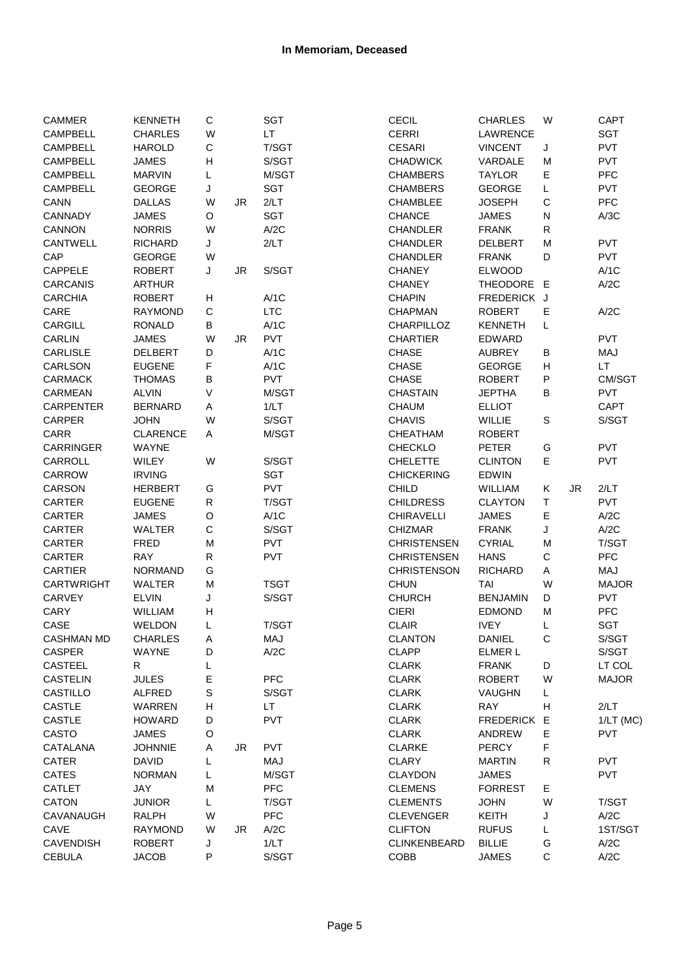| <b>CAMMER</b>     | <b>KENNETH</b>  | $\mathbf C$ |           | SGT         | CECIL               | <b>CHARLES</b>   | W           |           | <b>CAPT</b>  |
|-------------------|-----------------|-------------|-----------|-------------|---------------------|------------------|-------------|-----------|--------------|
| CAMPBELL          | <b>CHARLES</b>  | W           |           | LT.         | <b>CERRI</b>        | LAWRENCE         |             |           | <b>SGT</b>   |
| <b>CAMPBELL</b>   | <b>HAROLD</b>   | $\mathsf C$ |           | T/SGT       | <b>CESARI</b>       | <b>VINCENT</b>   | J           |           | <b>PVT</b>   |
| <b>CAMPBELL</b>   | <b>JAMES</b>    | Н           |           | S/SGT       | <b>CHADWICK</b>     | VARDALE          | M           |           | <b>PVT</b>   |
| <b>CAMPBELL</b>   | <b>MARVIN</b>   | L           |           | M/SGT       | <b>CHAMBERS</b>     | <b>TAYLOR</b>    | E           |           | <b>PFC</b>   |
| <b>CAMPBELL</b>   | <b>GEORGE</b>   | J           |           | <b>SGT</b>  | <b>CHAMBERS</b>     | <b>GEORGE</b>    | L           |           | <b>PVT</b>   |
| CANN              | <b>DALLAS</b>   | W           | JR.       | 2/LT        | <b>CHAMBLEE</b>     | <b>JOSEPH</b>    | $\mathsf C$ |           | <b>PFC</b>   |
| CANNADY           | JAMES           | O           |           | SGT         | <b>CHANCE</b>       | <b>JAMES</b>     | N           |           | A/3C         |
| CANNON            | <b>NORRIS</b>   | W           |           | A/2C        | <b>CHANDLER</b>     | <b>FRANK</b>     | R           |           |              |
| <b>CANTWELL</b>   | <b>RICHARD</b>  | J           |           | 2/LT        | <b>CHANDLER</b>     | <b>DELBERT</b>   | M           |           | <b>PVT</b>   |
| CAP               | <b>GEORGE</b>   | W           |           |             | <b>CHANDLER</b>     | <b>FRANK</b>     | D           |           | <b>PVT</b>   |
| <b>CAPPELE</b>    | <b>ROBERT</b>   | J           | <b>JR</b> | S/SGT       | <b>CHANEY</b>       | <b>ELWOOD</b>    |             |           | A/1C         |
| CARCANIS          | <b>ARTHUR</b>   |             |           |             | <b>CHANEY</b>       | THEODORE E       |             |           | A/2C         |
| <b>CARCHIA</b>    | <b>ROBERT</b>   | н           |           | A/1C        | <b>CHAPIN</b>       | FREDERICK J      |             |           |              |
| CARE              | <b>RAYMOND</b>  | $\mathsf C$ |           | <b>LTC</b>  | <b>CHAPMAN</b>      | <b>ROBERT</b>    | Е           |           | A/2C         |
| CARGILL           | <b>RONALD</b>   | В           |           | A/1C        | <b>CHARPILLOZ</b>   | <b>KENNETH</b>   | L           |           |              |
| CARLIN            | <b>JAMES</b>    | W           | JR        | PVT         | <b>CHARTIER</b>     | <b>EDWARD</b>    |             |           | <b>PVT</b>   |
| CARLISLE          | DELBERT         | D           |           | A/1C        | <b>CHASE</b>        | <b>AUBREY</b>    | В           |           | MAJ          |
| CARLSON           | <b>EUGENE</b>   | F           |           | A/1C        | <b>CHASE</b>        | <b>GEORGE</b>    | Н           |           | LT.          |
| <b>CARMACK</b>    | <b>THOMAS</b>   | B           |           | <b>PVT</b>  | <b>CHASE</b>        | <b>ROBERT</b>    | P           |           | CM/SGT       |
| CARMEAN           | <b>ALVIN</b>    | V           |           | M/SGT       | <b>CHASTAIN</b>     | <b>JEPTHA</b>    | B           |           | <b>PVT</b>   |
| <b>CARPENTER</b>  | <b>BERNARD</b>  | Α           |           | 1/LT        | <b>CHAUM</b>        | <b>ELLIOT</b>    |             |           | CAPT         |
| CARPER            | <b>JOHN</b>     | W           |           | S/SGT       | <b>CHAVIS</b>       | WILLIE           | $\mathbb S$ |           | S/SGT        |
| CARR              | <b>CLARENCE</b> | Α           |           | M/SGT       | <b>CHEATHAM</b>     | <b>ROBERT</b>    |             |           |              |
| <b>CARRINGER</b>  | <b>WAYNE</b>    |             |           |             | <b>CHECKLO</b>      | <b>PETER</b>     | G           |           | <b>PVT</b>   |
| CARROLL           | WILEY           | W           |           | S/SGT       | <b>CHELETTE</b>     | <b>CLINTON</b>   | E           |           | <b>PVT</b>   |
|                   |                 |             |           | SGT         | <b>CHICKERING</b>   |                  |             |           |              |
| CARROW            | <b>IRVING</b>   |             |           |             |                     | <b>EDWIN</b>     |             |           |              |
| CARSON            | <b>HERBERT</b>  | G           |           | <b>PVT</b>  | <b>CHILD</b>        | <b>WILLIAM</b>   | Κ           | <b>JR</b> | 2/LT         |
| CARTER            | <b>EUGENE</b>   | ${\sf R}$   |           | T/SGT       | <b>CHILDRESS</b>    | <b>CLAYTON</b>   | $\sf T$     |           | <b>PVT</b>   |
| <b>CARTER</b>     | <b>JAMES</b>    | $\mathsf O$ |           | A/1C        | <b>CHIRAVELLI</b>   | <b>JAMES</b>     | E           |           | A/2C         |
| CARTER            | <b>WALTER</b>   | $\mathsf C$ |           | S/SGT       | <b>CHIZMAR</b>      | <b>FRANK</b>     | J           |           | A/2C         |
| CARTER            | <b>FRED</b>     | M           |           | <b>PVT</b>  | <b>CHRISTENSEN</b>  | <b>CYRIAL</b>    | M           |           | T/SGT        |
| CARTER            | <b>RAY</b>      | ${\sf R}$   |           | <b>PVT</b>  | <b>CHRISTENSEN</b>  | <b>HANS</b>      | $\mathsf C$ |           | <b>PFC</b>   |
| <b>CARTIER</b>    | <b>NORMAND</b>  | G           |           |             | <b>CHRISTENSON</b>  | <b>RICHARD</b>   | Α           |           | MAJ          |
| <b>CARTWRIGHT</b> | WALTER          | M           |           | <b>TSGT</b> | <b>CHUN</b>         | <b>TAI</b>       | W           |           | <b>MAJOR</b> |
| CARVEY            | <b>ELVIN</b>    | J           |           | S/SGT       | <b>CHURCH</b>       | <b>BENJAMIN</b>  | D           |           | <b>PVT</b>   |
| CARY              | WILLIAM         | Н           |           |             | <b>CIERI</b>        | <b>EDMOND</b>    | M           |           | <b>PFC</b>   |
| CASE              | <b>WELDON</b>   | L           |           | T/SGT       | <b>CLAIR</b>        | <b>IVEY</b>      | Г           |           | <b>SGT</b>   |
| <b>CASHMAN MD</b> | <b>CHARLES</b>  | Α           |           | MAJ         | <b>CLANTON</b>      | <b>DANIEL</b>    | С           |           | S/SGT        |
| <b>CASPER</b>     | <b>WAYNE</b>    | D           |           | A/2C        | <b>CLAPP</b>        | <b>ELMER L</b>   |             |           | S/SGT        |
| CASTEEL           | R               | L           |           |             | <b>CLARK</b>        | <b>FRANK</b>     | D           |           | LT COL       |
| <b>CASTELIN</b>   | <b>JULES</b>    | E           |           | <b>PFC</b>  | <b>CLARK</b>        | <b>ROBERT</b>    | W           |           | <b>MAJOR</b> |
| CASTILLO          | <b>ALFRED</b>   | S           |           | S/SGT       | <b>CLARK</b>        | VAUGHN           | L           |           |              |
| <b>CASTLE</b>     | WARREN          | Н           |           | LT.         | <b>CLARK</b>        | <b>RAY</b>       | н           |           | 2/LT         |
| <b>CASTLE</b>     | <b>HOWARD</b>   | D           |           | PVT         | <b>CLARK</b>        | <b>FREDERICK</b> | $\mathsf E$ |           | $1/LT$ (MC)  |
| CASTO             | <b>JAMES</b>    | $\mathsf O$ |           |             | <b>CLARK</b>        | ANDREW           | Е           |           | <b>PVT</b>   |
| CATALANA          | <b>JOHNNIE</b>  | Α           | JR        | <b>PVT</b>  | <b>CLARKE</b>       | <b>PERCY</b>     | F           |           |              |
| <b>CATER</b>      | <b>DAVID</b>    | L           |           | MAJ         | <b>CLARY</b>        | <b>MARTIN</b>    | R           |           | <b>PVT</b>   |
| <b>CATES</b>      | <b>NORMAN</b>   | L           |           | M/SGT       | <b>CLAYDON</b>      | <b>JAMES</b>     |             |           | <b>PVT</b>   |
| <b>CATLET</b>     | JAY             | M           |           | <b>PFC</b>  | <b>CLEMENS</b>      | <b>FORREST</b>   | Е           |           |              |
| CATON             | <b>JUNIOR</b>   | L           |           | T/SGT       | <b>CLEMENTS</b>     | <b>JOHN</b>      | W           |           | T/SGT        |
| CAVANAUGH         | <b>RALPH</b>    | W           |           | PFC         | <b>CLEVENGER</b>    | <b>KEITH</b>     | J           |           | A/2C         |
| CAVE              | <b>RAYMOND</b>  | W           | JR        | A/2C        | <b>CLIFTON</b>      | <b>RUFUS</b>     | L           |           | 1ST/SGT      |
| <b>CAVENDISH</b>  | <b>ROBERT</b>   | J           |           | 1/LT        | <b>CLINKENBEARD</b> | <b>BILLIE</b>    | G           |           | A/2C         |
| <b>CEBULA</b>     | <b>JACOB</b>    | P           |           | S/SGT       | COBB                | <b>JAMES</b>     | $\mathsf C$ |           | A/2C         |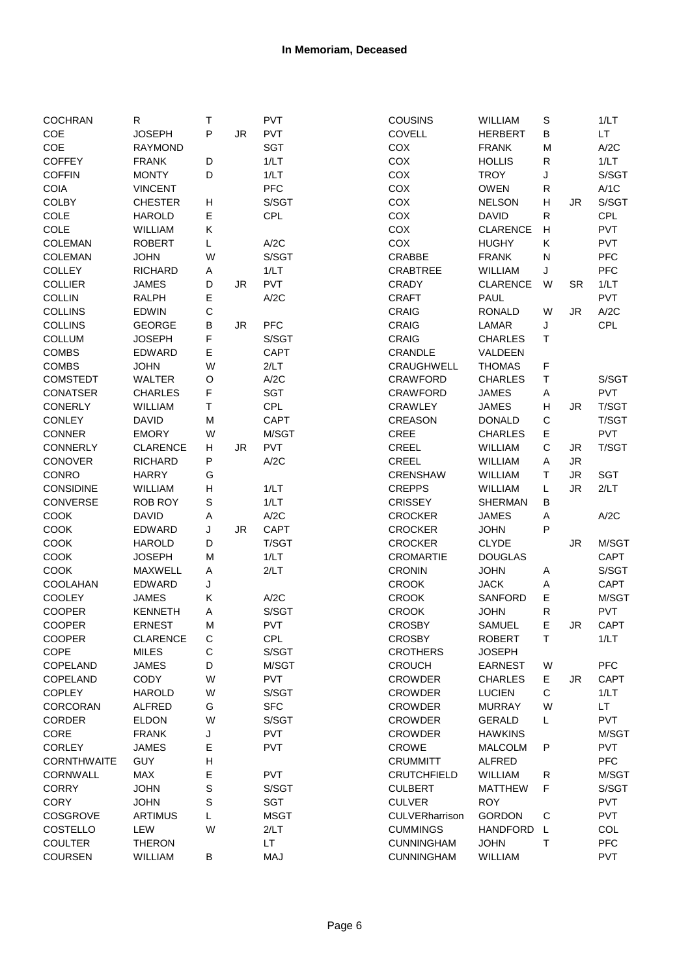| <b>COCHRAN</b>     | R               | т           |           | PVT         | COUSINS               | WILLIAM         | S           |           | 1/LT        |
|--------------------|-----------------|-------------|-----------|-------------|-----------------------|-----------------|-------------|-----------|-------------|
| COE                | <b>JOSEPH</b>   | $\sf P$     | <b>JR</b> | PVT         | COVELL                | <b>HERBERT</b>  | В           |           | LT.         |
| COE                | <b>RAYMOND</b>  |             |           | <b>SGT</b>  | COX                   | <b>FRANK</b>    | M           |           | A/2C        |
| <b>COFFEY</b>      | <b>FRANK</b>    | D           |           | 1/LT        | COX                   | <b>HOLLIS</b>   | R           |           | 1/LT        |
| <b>COFFIN</b>      | <b>MONTY</b>    | D           |           | 1/LT        | COX                   | <b>TROY</b>     | J           |           | S/SGT       |
| <b>COIA</b>        | <b>VINCENT</b>  |             |           | PFC         | COX                   | <b>OWEN</b>     | R           |           | A/1C        |
| <b>COLBY</b>       | <b>CHESTER</b>  | н           |           | S/SGT       | COX                   | <b>NELSON</b>   | Η           | <b>JR</b> | S/SGT       |
| COLE               | <b>HAROLD</b>   | E           |           | <b>CPL</b>  | COX                   | <b>DAVID</b>    | R           |           | CPL         |
| COLE               | WILLIAM         | Κ           |           |             | COX                   | <b>CLARENCE</b> | Η           |           | <b>PVT</b>  |
| COLEMAN            | <b>ROBERT</b>   | L           |           | A/2C        | COX                   | <b>HUGHY</b>    | Κ           |           | <b>PVT</b>  |
| <b>COLEMAN</b>     | <b>JOHN</b>     | W           |           | S/SGT       | CRABBE                | <b>FRANK</b>    | ${\sf N}$   |           | <b>PFC</b>  |
| <b>COLLEY</b>      | <b>RICHARD</b>  | Α           |           | 1/LT        | <b>CRABTREE</b>       | WILLIAM         | J           |           | <b>PFC</b>  |
| COLLIER            | <b>JAMES</b>    | D           | JR        | PVT         | CRADY                 | <b>CLARENCE</b> | W           | <b>SR</b> | 1/LT        |
| <b>COLLIN</b>      | <b>RALPH</b>    | Е           |           | A/2C        | <b>CRAFT</b>          | PAUL            |             |           | <b>PVT</b>  |
| <b>COLLINS</b>     | <b>EDWIN</b>    | C           |           |             | <b>CRAIG</b>          | <b>RONALD</b>   | W           | <b>JR</b> | A/2C        |
| <b>COLLINS</b>     | <b>GEORGE</b>   | B           | JR        | PFC         | CRAIG                 | LAMAR           | J           |           | CPL         |
| <b>COLLUM</b>      | <b>JOSEPH</b>   | F           |           | S/SGT       | <b>CRAIG</b>          | <b>CHARLES</b>  | Τ           |           |             |
| <b>COMBS</b>       | <b>EDWARD</b>   | E           |           | CAPT        | CRANDLE               | VALDEEN         |             |           |             |
| <b>COMBS</b>       | <b>JOHN</b>     | W           |           | 2/LT        | CRAUGHWELL            | <b>THOMAS</b>   | F           |           |             |
| <b>COMSTEDT</b>    | <b>WALTER</b>   | $\mathsf O$ |           | A/2C        | <b>CRAWFORD</b>       | <b>CHARLES</b>  | $\top$      |           | S/SGT       |
| <b>CONATSER</b>    | <b>CHARLES</b>  | F           |           | SGT         | <b>CRAWFORD</b>       | <b>JAMES</b>    | Α           |           | <b>PVT</b>  |
| <b>CONERLY</b>     | WILLIAM         | T           |           | <b>CPL</b>  | <b>CRAWLEY</b>        | <b>JAMES</b>    | Η           | <b>JR</b> | T/SGT       |
| <b>CONLEY</b>      | <b>DAVID</b>    | M           |           | CAPT        | <b>CREASON</b>        | <b>DONALD</b>   | $\mathsf C$ |           | T/SGT       |
| <b>CONNER</b>      | <b>EMORY</b>    | W           |           | M/SGT       | CREE                  | <b>CHARLES</b>  | E           |           | <b>PVT</b>  |
| <b>CONNERLY</b>    | <b>CLARENCE</b> | н           | JR        | <b>PVT</b>  | <b>CREEL</b>          | WILLIAM         | C           | <b>JR</b> | T/SGT       |
| <b>CONOVER</b>     | <b>RICHARD</b>  | P           |           | A/2C        | <b>CREEL</b>          | WILLIAM         | А           | <b>JR</b> |             |
| CONRO              | <b>HARRY</b>    | G           |           |             | <b>CRENSHAW</b>       | WILLIAM         | $\top$      | <b>JR</b> | <b>SGT</b>  |
| <b>CONSIDINE</b>   | <b>WILLIAM</b>  | H           |           | 1/LT        | <b>CREPPS</b>         | WILLIAM         | L           | <b>JR</b> | 2/LT        |
| <b>CONVERSE</b>    | ROB ROY         | S           |           | 1/LT        | <b>CRISSEY</b>        | <b>SHERMAN</b>  | В           |           |             |
| COOK               | <b>DAVID</b>    | Α           |           | A/2C        | <b>CROCKER</b>        | <b>JAMES</b>    | А           |           | A/2C        |
| COOK               | <b>EDWARD</b>   | J           | JR        | CAPT        | <b>CROCKER</b>        | <b>JOHN</b>     | P           |           |             |
| COOK               | <b>HAROLD</b>   | D           |           | T/SGT       | <b>CROCKER</b>        | <b>CLYDE</b>    |             | <b>JR</b> | M/SGT       |
| COOK               | <b>JOSEPH</b>   | M           |           | 1/LT        | <b>CROMARTIE</b>      | <b>DOUGLAS</b>  |             |           | CAPT        |
| COOK               | <b>MAXWELL</b>  | Α           |           | 2/LT        | <b>CRONIN</b>         | <b>JOHN</b>     | Α           |           | S/SGT       |
| COOLAHAN           | EDWARD          | J           |           |             | <b>CROOK</b>          | <b>JACK</b>     | A           |           | CAPT        |
| COOLEY             | <b>JAMES</b>    | Κ           |           | A/2C        | <b>CROOK</b>          | <b>SANFORD</b>  | E           |           | M/SGT       |
| <b>COOPER</b>      | <b>KENNETH</b>  | Α           |           | S/SGT       | <b>CROOK</b>          | <b>JOHN</b>     | R           |           | <b>PVT</b>  |
| <b>COOPER</b>      | <b>ERNEST</b>   | М           |           | <b>PVT</b>  | <b>CROSBY</b>         | <b>SAMUEL</b>   | E           | <b>JR</b> | <b>CAPT</b> |
| <b>COOPER</b>      | CLARENCE        | С           |           | CPL         | <b>CROSBY</b>         | ROBERT          | Τ           |           | 1/LT        |
| COPE               | <b>MILES</b>    | C           |           | S/SGT       | <b>CROTHERS</b>       | <b>JOSEPH</b>   |             |           |             |
| COPELAND           | <b>JAMES</b>    | D           |           | M/SGT       | <b>CROUCH</b>         | <b>EARNEST</b>  | W           |           | <b>PFC</b>  |
| COPELAND           | CODY            | W           |           | <b>PVT</b>  | <b>CROWDER</b>        | <b>CHARLES</b>  | Е           | <b>JR</b> | <b>CAPT</b> |
| <b>COPLEY</b>      | <b>HAROLD</b>   | W           |           | S/SGT       | <b>CROWDER</b>        | <b>LUCIEN</b>   | $\mathsf C$ |           | 1/LT        |
| <b>CORCORAN</b>    | ALFRED          | G           |           | <b>SFC</b>  | <b>CROWDER</b>        | <b>MURRAY</b>   | W           |           | LT.         |
| <b>CORDER</b>      | <b>ELDON</b>    | W           |           | S/SGT       | <b>CROWDER</b>        | GERALD          | L           |           | <b>PVT</b>  |
| CORE               | <b>FRANK</b>    | J           |           | <b>PVT</b>  | <b>CROWDER</b>        | <b>HAWKINS</b>  |             |           | M/SGT       |
| <b>CORLEY</b>      | <b>JAMES</b>    | Е           |           | <b>PVT</b>  | <b>CROWE</b>          | <b>MALCOLM</b>  | P           |           | <b>PVT</b>  |
| <b>CORNTHWAITE</b> | GUY             | Η           |           |             | <b>CRUMMITT</b>       | <b>ALFRED</b>   |             |           | PFC         |
| <b>CORNWALL</b>    | MAX             | Е           |           | <b>PVT</b>  | <b>CRUTCHFIELD</b>    | <b>WILLIAM</b>  | ${\sf R}$   |           | M/SGT       |
| <b>CORRY</b>       | <b>JOHN</b>     | $\mathbb S$ |           | S/SGT       | <b>CULBERT</b>        | <b>MATTHEW</b>  | F           |           | S/SGT       |
| <b>CORY</b>        | <b>JOHN</b>     | S           |           | SGT         | <b>CULVER</b>         | <b>ROY</b>      |             |           | <b>PVT</b>  |
| <b>COSGROVE</b>    | <b>ARTIMUS</b>  | L           |           | <b>MSGT</b> | <b>CULVERharrison</b> | <b>GORDON</b>   | $\mathsf C$ |           | <b>PVT</b>  |
| COSTELLO           | LEW             | W           |           | 2/LT        | <b>CUMMINGS</b>       | <b>HANDFORD</b> | L           |           | COL         |
| <b>COULTER</b>     | <b>THERON</b>   |             |           | LT.         | <b>CUNNINGHAM</b>     | <b>JOHN</b>     | Τ           |           | <b>PFC</b>  |
| <b>COURSEN</b>     | WILLIAM         | В           |           | MAJ         | <b>CUNNINGHAM</b>     | WILLIAM         |             |           | PVT         |
|                    |                 |             |           |             |                       |                 |             |           |             |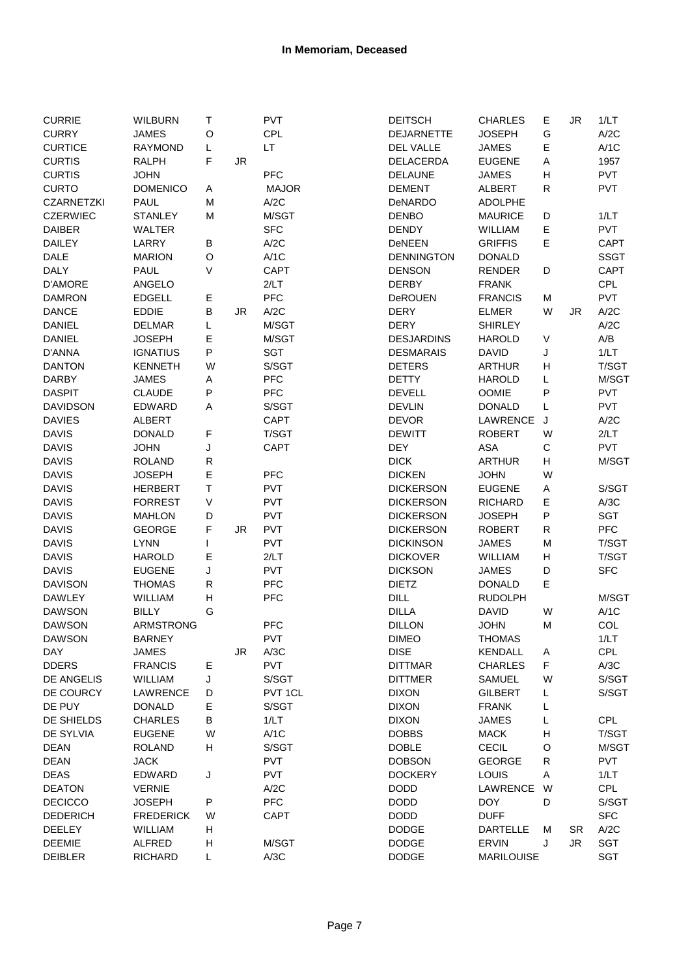| <b>CURRIE</b>     | <b>WILBURN</b>   | T         |           | <b>PVT</b>   | <b>DEITSCH</b>    | <b>CHARLES</b>    | Е           | <b>JR</b> | 1/LT                |
|-------------------|------------------|-----------|-----------|--------------|-------------------|-------------------|-------------|-----------|---------------------|
| <b>CURRY</b>      | <b>JAMES</b>     | O         |           | CPL          | <b>DEJARNETTE</b> | <b>JOSEPH</b>     | G           |           | A/2C                |
| <b>CURTICE</b>    | <b>RAYMOND</b>   | L         |           | LT.          | DEL VALLE         | <b>JAMES</b>      | E           |           | A/1C                |
| <b>CURTIS</b>     | <b>RALPH</b>     | F         | <b>JR</b> |              | DELACERDA         | <b>EUGENE</b>     | A           |           | 1957                |
| <b>CURTIS</b>     | <b>JOHN</b>      |           |           | PFC          | <b>DELAUNE</b>    | <b>JAMES</b>      | Н           |           | <b>PVT</b>          |
| <b>CURTO</b>      | <b>DOMENICO</b>  | Α         |           | <b>MAJOR</b> | <b>DEMENT</b>     | ALBERT            | ${\sf R}$   |           | <b>PVT</b>          |
| <b>CZARNETZKI</b> | PAUL             | M         |           | A/2C         | DeNARDO           | <b>ADOLPHE</b>    |             |           |                     |
| <b>CZERWIEC</b>   | <b>STANLEY</b>   | M         |           | M/SGT        | <b>DENBO</b>      | <b>MAURICE</b>    | D           |           | 1/LT                |
| <b>DAIBER</b>     | <b>WALTER</b>    |           |           | <b>SFC</b>   | <b>DENDY</b>      | <b>WILLIAM</b>    | Е           |           | <b>PVT</b>          |
| <b>DAILEY</b>     | LARRY            | B         |           | A/2C         | DeNEEN            | <b>GRIFFIS</b>    | E           |           | CAPT                |
| <b>DALE</b>       | <b>MARION</b>    | O         |           | A/1C         | <b>DENNINGTON</b> | <b>DONALD</b>     |             |           | <b>SSGT</b>         |
| <b>DALY</b>       | PAUL             | V         |           | CAPT         | <b>DENSON</b>     | <b>RENDER</b>     | D           |           | <b>CAPT</b>         |
| <b>D'AMORE</b>    | ANGELO           |           |           | 2/LT         | <b>DERBY</b>      | <b>FRANK</b>      |             |           | CPL                 |
| <b>DAMRON</b>     | <b>EDGELL</b>    | Е         |           | PFC          | <b>DeROUEN</b>    | <b>FRANCIS</b>    | М           |           | <b>PVT</b>          |
| <b>DANCE</b>      | <b>EDDIE</b>     | B         | JR.       | A/2C         | <b>DERY</b>       | <b>ELMER</b>      | W           | JR.       | A/2C                |
| <b>DANIEL</b>     | <b>DELMAR</b>    | L         |           | M/SGT        | <b>DERY</b>       | <b>SHIRLEY</b>    |             |           | A/2C                |
| <b>DANIEL</b>     | <b>JOSEPH</b>    | E         |           | M/SGT        | <b>DESJARDINS</b> | <b>HAROLD</b>     | $\sf V$     |           | A/B                 |
| D'ANNA            | <b>IGNATIUS</b>  | $\sf P$   |           | SGT          | <b>DESMARAIS</b>  | <b>DAVID</b>      | J           |           | 1/LT                |
| <b>DANTON</b>     | <b>KENNETH</b>   | W         |           | S/SGT        | <b>DETERS</b>     | <b>ARTHUR</b>     | Н           |           | T/SGT               |
| <b>DARBY</b>      | <b>JAMES</b>     | Α         |           | PFC          | <b>DETTY</b>      | <b>HAROLD</b>     | L           |           | M/SGT               |
| <b>DASPIT</b>     | <b>CLAUDE</b>    | Ρ         |           | PFC          | <b>DEVELL</b>     | <b>OOMIE</b>      | Ρ           |           | <b>PVT</b>          |
| <b>DAVIDSON</b>   | EDWARD           | A         |           | S/SGT        | <b>DEVLIN</b>     | <b>DONALD</b>     | L           |           | <b>PVT</b>          |
| <b>DAVIES</b>     | ALBERT           |           |           | CAPT         | <b>DEVOR</b>      | LAWRENCE          | J           |           | A/2C                |
| <b>DAVIS</b>      | <b>DONALD</b>    | F         |           | T/SGT        | <b>DEWITT</b>     | <b>ROBERT</b>     | W           |           | 2/LT                |
| <b>DAVIS</b>      | <b>JOHN</b>      | J         |           | CAPT         | <b>DEY</b>        | <b>ASA</b>        | $\mathsf C$ |           | <b>PVT</b>          |
| <b>DAVIS</b>      | <b>ROLAND</b>    | ${\sf R}$ |           |              | <b>DICK</b>       | <b>ARTHUR</b>     | Н           |           | M/SGT               |
| <b>DAVIS</b>      | <b>JOSEPH</b>    | Е         |           | PFC          | <b>DICKEN</b>     | <b>JOHN</b>       | W           |           |                     |
| <b>DAVIS</b>      | <b>HERBERT</b>   | T         |           | <b>PVT</b>   | <b>DICKERSON</b>  | <b>EUGENE</b>     | A           |           | S/SGT               |
| <b>DAVIS</b>      | <b>FORREST</b>   | $\vee$    |           | <b>PVT</b>   | <b>DICKERSON</b>  | <b>RICHARD</b>    | Е           |           | A/3C                |
| <b>DAVIS</b>      | <b>MAHLON</b>    | D         |           | PVT          | <b>DICKERSON</b>  | <b>JOSEPH</b>     | P           |           | <b>SGT</b>          |
| <b>DAVIS</b>      | <b>GEORGE</b>    | F         | <b>JR</b> | PVT          | <b>DICKERSON</b>  | <b>ROBERT</b>     | ${\sf R}$   |           | <b>PFC</b>          |
| <b>DAVIS</b>      | <b>LYNN</b>      |           |           | <b>PVT</b>   | <b>DICKINSON</b>  | <b>JAMES</b>      | М           |           | T/SGT               |
| <b>DAVIS</b>      | <b>HAROLD</b>    | Ε         |           | 2/LT         | <b>DICKOVER</b>   | <b>WILLIAM</b>    | н           |           | T/SGT               |
| <b>DAVIS</b>      | <b>EUGENE</b>    | J         |           | <b>PVT</b>   | <b>DICKSON</b>    | <b>JAMES</b>      | D           |           | <b>SFC</b>          |
| <b>DAVISON</b>    | <b>THOMAS</b>    | R         |           | PFC          | <b>DIETZ</b>      | <b>DONALD</b>     | Е           |           |                     |
| <b>DAWLEY</b>     | <b>WILLIAM</b>   | н         |           | PFC          | <b>DILL</b>       | <b>RUDOLPH</b>    |             |           | M/SGT               |
| <b>DAWSON</b>     | <b>BILLY</b>     | G         |           |              | <b>DILLA</b>      | <b>DAVID</b>      | W           |           | A/1C                |
| <b>DAWSON</b>     | ARMSTRONG        |           |           | <b>PFC</b>   | <b>DILLON</b>     | <b>JOHN</b>       | М           |           | COL                 |
| <b>DAWSON</b>     | <b>BARNEY</b>    |           |           | <b>PVT</b>   | <b>DIMEO</b>      | THOMAS            |             |           | 1/LT                |
| <b>DAY</b>        | <b>JAMES</b>     |           | JR.       | A/3C         | <b>DISE</b>       | <b>KENDALL</b>    | A           |           | <b>CPL</b>          |
| <b>DDERS</b>      | <b>FRANCIS</b>   | Е         |           | <b>PVT</b>   | <b>DITTMAR</b>    | <b>CHARLES</b>    | F           |           | A/3C                |
| DE ANGELIS        | WILLIAM          | J         |           | S/SGT        | <b>DITTMER</b>    | <b>SAMUEL</b>     | W           |           | S/SGT               |
| DE COURCY         | LAWRENCE         | D         |           | PVT 1CL      | <b>DIXON</b>      | <b>GILBERT</b>    | L           |           | S/SGT               |
| DE PUY            | <b>DONALD</b>    | Е         |           | S/SGT        | <b>DIXON</b>      | <b>FRANK</b>      | L           |           |                     |
| DE SHIELDS        | <b>CHARLES</b>   | B         |           | 1/LT         | <b>DIXON</b>      | <b>JAMES</b>      | L           |           | <b>CPL</b>          |
| DE SYLVIA         | <b>EUGENE</b>    | W         |           | A/1C         | <b>DOBBS</b>      | <b>MACK</b>       | H           |           | T/SGT               |
| <b>DEAN</b>       | <b>ROLAND</b>    | Н         |           | S/SGT        | <b>DOBLE</b>      | CECIL             | O           |           | M/SGT               |
| <b>DEAN</b>       | <b>JACK</b>      |           |           | <b>PVT</b>   | <b>DOBSON</b>     | <b>GEORGE</b>     | R           |           | <b>PVT</b>          |
|                   |                  |           |           | <b>PVT</b>   | <b>DOCKERY</b>    | LOUIS             | A           |           |                     |
| <b>DEAS</b>       | EDWARD           | J         |           |              |                   |                   |             |           | 1/LT                |
| <b>DEATON</b>     | <b>VERNIE</b>    |           |           | A/2C         | <b>DODD</b>       | <b>LAWRENCE</b>   | W           |           | <b>CPL</b><br>S/SGT |
| <b>DECICCO</b>    | <b>JOSEPH</b>    | ${\sf P}$ |           | PFC          | <b>DODD</b>       | <b>DOY</b>        | D           |           |                     |
| <b>DEDERICH</b>   | <b>FREDERICK</b> | W         |           | <b>CAPT</b>  | <b>DODD</b>       | <b>DUFF</b>       |             |           | <b>SFC</b>          |
| <b>DEELEY</b>     | <b>WILLIAM</b>   | н         |           |              | <b>DODGE</b>      | <b>DARTELLE</b>   | М           | <b>SR</b> | A/2C                |
| <b>DEEMIE</b>     | <b>ALFRED</b>    | Н         |           | M/SGT        | <b>DODGE</b>      | <b>ERVIN</b>      | J           | JR        | SGT                 |
| DEIBLER           | <b>RICHARD</b>   | L         |           | A/3C         | <b>DODGE</b>      | <b>MARILOUISE</b> |             |           | <b>SGT</b>          |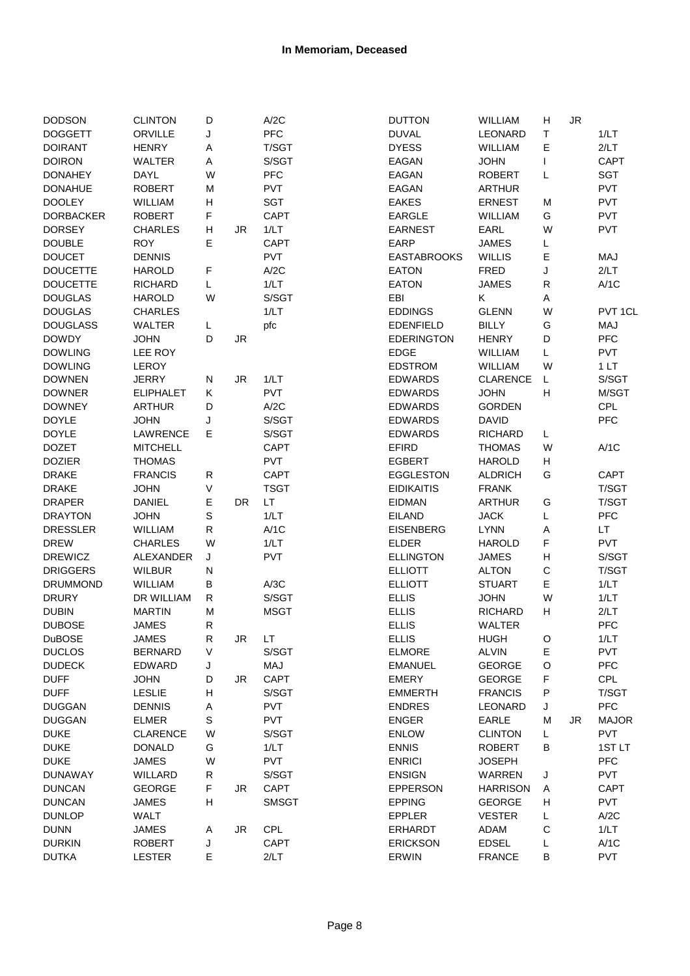| <b>DODSON</b>    | <b>CLINTON</b>   | D           |                        | A/2C         | <b>DUTTON</b>      | WILLIAM         | H | <b>JR</b> |              |
|------------------|------------------|-------------|------------------------|--------------|--------------------|-----------------|---|-----------|--------------|
| <b>DOGGETT</b>   | <b>ORVILLE</b>   | J           |                        | <b>PFC</b>   | <b>DUVAL</b>       | <b>LEONARD</b>  | Τ |           | 1/LT         |
| <b>DOIRANT</b>   | <b>HENRY</b>     | Α           |                        | T/SGT        | <b>DYESS</b>       | WILLIAM         | E |           | 2/LT         |
| <b>DOIRON</b>    | <b>WALTER</b>    | Α           |                        | S/SGT        | <b>EAGAN</b>       | <b>JOHN</b>     | T |           | CAPT         |
| <b>DONAHEY</b>   | DAYL             | W           |                        | <b>PFC</b>   | EAGAN              | <b>ROBERT</b>   | Г |           | <b>SGT</b>   |
| <b>DONAHUE</b>   | <b>ROBERT</b>    | M           |                        | PVT          | EAGAN              | <b>ARTHUR</b>   |   |           | <b>PVT</b>   |
| <b>DOOLEY</b>    | WILLIAM          | н           |                        | <b>SGT</b>   | <b>EAKES</b>       | <b>ERNEST</b>   | М |           | <b>PVT</b>   |
| <b>DORBACKER</b> | <b>ROBERT</b>    | F           |                        | <b>CAPT</b>  | <b>EARGLE</b>      | WILLIAM         | G |           | <b>PVT</b>   |
| <b>DORSEY</b>    | <b>CHARLES</b>   | н           | JR                     | 1/LT         | <b>EARNEST</b>     | EARL            | W |           | <b>PVT</b>   |
|                  |                  |             |                        |              |                    |                 |   |           |              |
| <b>DOUBLE</b>    | <b>ROY</b>       | Е           |                        | <b>CAPT</b>  | EARP               | <b>JAMES</b>    | L |           |              |
| <b>DOUCET</b>    | <b>DENNIS</b>    |             |                        | <b>PVT</b>   | <b>EASTABROOKS</b> | <b>WILLIS</b>   | Е |           | MAJ          |
| <b>DOUCETTE</b>  | <b>HAROLD</b>    | F           |                        | A/2C         | <b>EATON</b>       | <b>FRED</b>     | J |           | 2/LT         |
| <b>DOUCETTE</b>  | <b>RICHARD</b>   | L           |                        | 1/LT         | <b>EATON</b>       | <b>JAMES</b>    | R |           | A/1C         |
| <b>DOUGLAS</b>   | <b>HAROLD</b>    | W           |                        | S/SGT        | EBI                | Κ               | Α |           |              |
| <b>DOUGLAS</b>   | <b>CHARLES</b>   |             |                        | 1/LT         | <b>EDDINGS</b>     | <b>GLENN</b>    | W |           | PVT 1CL      |
| <b>DOUGLASS</b>  | WALTER           | L           |                        | pfc          | <b>EDENFIELD</b>   | <b>BILLY</b>    | G |           | MAJ          |
| <b>DOWDY</b>     | <b>JOHN</b>      | D           | <b>JR</b>              |              | <b>EDERINGTON</b>  | <b>HENRY</b>    | D |           | PFC          |
| <b>DOWLING</b>   | LEE ROY          |             |                        |              | <b>EDGE</b>        | WILLIAM         | Г |           | <b>PVT</b>   |
| <b>DOWLING</b>   | LEROY            |             |                        |              | <b>EDSTROM</b>     | WILLIAM         | W |           | 1LT          |
| <b>DOWNEN</b>    | JERRY            | N           | JR.                    | 1/LT         | <b>EDWARDS</b>     | <b>CLARENCE</b> | L |           | S/SGT        |
| <b>DOWNER</b>    | <b>ELIPHALET</b> | Κ           |                        | <b>PVT</b>   | <b>EDWARDS</b>     | <b>JOHN</b>     | Н |           | M/SGT        |
| <b>DOWNEY</b>    | <b>ARTHUR</b>    | D           |                        | A/2C         | <b>EDWARDS</b>     | <b>GORDEN</b>   |   |           | <b>CPL</b>   |
| <b>DOYLE</b>     | <b>JOHN</b>      | J           |                        | S/SGT        | <b>EDWARDS</b>     | <b>DAVID</b>    |   |           | PFC          |
| <b>DOYLE</b>     | <b>LAWRENCE</b>  | Е           |                        | S/SGT        | <b>EDWARDS</b>     | <b>RICHARD</b>  | L |           |              |
| <b>DOZET</b>     | <b>MITCHELL</b>  |             |                        | <b>CAPT</b>  | <b>EFIRD</b>       | <b>THOMAS</b>   | W |           | A/1C         |
| <b>DOZIER</b>    | <b>THOMAS</b>    |             |                        | <b>PVT</b>   | <b>EGBERT</b>      | <b>HAROLD</b>   | н |           |              |
| <b>DRAKE</b>     | <b>FRANCIS</b>   | R           |                        | <b>CAPT</b>  | <b>EGGLESTON</b>   | <b>ALDRICH</b>  | G |           | CAPT         |
|                  |                  |             |                        |              |                    |                 |   |           |              |
| <b>DRAKE</b>     | <b>JOHN</b>      | V           |                        | <b>TSGT</b>  | <b>EIDIKAITIS</b>  | <b>FRANK</b>    |   |           | T/SGT        |
| <b>DRAPER</b>    | <b>DANIEL</b>    | Е           | DR.                    | LT.          | <b>EIDMAN</b>      | <b>ARTHUR</b>   | G |           | T/SGT        |
| <b>DRAYTON</b>   | <b>JOHN</b>      | S           |                        | 1/LT         | <b>EILAND</b>      | <b>JACK</b>     | Г |           | <b>PFC</b>   |
| <b>DRESSLER</b>  | <b>WILLIAM</b>   | R           |                        | A/1C         | <b>EISENBERG</b>   | <b>LYNN</b>     | Α |           | LT.          |
| <b>DREW</b>      | <b>CHARLES</b>   | W           |                        | 1/LT         | <b>ELDER</b>       | <b>HAROLD</b>   | F |           | <b>PVT</b>   |
| <b>DREWICZ</b>   | ALEXANDER        | J           |                        | <b>PVT</b>   | <b>ELLINGTON</b>   | <b>JAMES</b>    | Н |           | S/SGT        |
| <b>DRIGGERS</b>  | <b>WILBUR</b>    | N           |                        |              | <b>ELLIOTT</b>     | <b>ALTON</b>    | C |           | T/SGT        |
| <b>DRUMMOND</b>  | <b>WILLIAM</b>   | В           |                        | A/3C         | <b>ELLIOTT</b>     | <b>STUART</b>   | E |           | 1/LT         |
| <b>DRURY</b>     | DR WILLIAM       | R           |                        | S/SGT        | <b>ELLIS</b>       | <b>JOHN</b>     | W |           | 1/LT         |
| <b>DUBIN</b>     | <b>MARTIN</b>    | M           |                        | <b>MSGT</b>  | <b>ELLIS</b>       | RICHARD         | н |           | 2/LT         |
| <b>DUBOSE</b>    | <b>JAMES</b>     | R           |                        |              | <b>ELLIS</b>       | <b>WALTER</b>   |   |           | PFC          |
| <b>DuBOSE</b>    | <b>JAMES</b>     | ${\sf R}$   | $\mathsf{J}\mathsf{R}$ | LT           | <b>ELLIS</b>       | <b>HUGH</b>     | O |           | 1/LT         |
| <b>DUCLOS</b>    | <b>BERNARD</b>   | $\vee$      |                        | S/SGT        | <b>ELMORE</b>      | <b>ALVIN</b>    | Е |           | <b>PVT</b>   |
| <b>DUDECK</b>    | EDWARD           | J           |                        | MAJ          | <b>EMANUEL</b>     | <b>GEORGE</b>   | O |           | PFC          |
| <b>DUFF</b>      | <b>JOHN</b>      | D           | JR                     | <b>CAPT</b>  | <b>EMERY</b>       | <b>GEORGE</b>   | F |           | CPL          |
| <b>DUFF</b>      | <b>LESLIE</b>    | н           |                        | S/SGT        | <b>EMMERTH</b>     | <b>FRANCIS</b>  | P |           | T/SGT        |
| <b>DUGGAN</b>    | <b>DENNIS</b>    | Α           |                        | <b>PVT</b>   | <b>ENDRES</b>      | <b>LEONARD</b>  | J |           | <b>PFC</b>   |
| <b>DUGGAN</b>    | <b>ELMER</b>     | $\mathbf S$ |                        | <b>PVT</b>   | <b>ENGER</b>       | EARLE           | M | <b>JR</b> | <b>MAJOR</b> |
| <b>DUKE</b>      | <b>CLARENCE</b>  | W           |                        | S/SGT        | <b>ENLOW</b>       | <b>CLINTON</b>  | L |           | <b>PVT</b>   |
| <b>DUKE</b>      | <b>DONALD</b>    | G           |                        | 1/LT         | <b>ENNIS</b>       | <b>ROBERT</b>   | B |           | 1ST LT       |
| <b>DUKE</b>      | <b>JAMES</b>     | W           |                        | <b>PVT</b>   | <b>ENRICI</b>      | <b>JOSEPH</b>   |   |           | <b>PFC</b>   |
|                  |                  |             |                        |              |                    |                 |   |           |              |
| <b>DUNAWAY</b>   | WILLARD          | R           |                        | S/SGT        | <b>ENSIGN</b>      | WARREN          | J |           | <b>PVT</b>   |
| <b>DUNCAN</b>    | <b>GEORGE</b>    | F           | JR                     | <b>CAPT</b>  | <b>EPPERSON</b>    | <b>HARRISON</b> | Α |           | <b>CAPT</b>  |
| <b>DUNCAN</b>    | <b>JAMES</b>     | н           |                        | <b>SMSGT</b> | <b>EPPING</b>      | <b>GEORGE</b>   | Н |           | <b>PVT</b>   |
| <b>DUNLOP</b>    | WALT             |             |                        |              | EPPLER             | <b>VESTER</b>   | L |           | A/2C         |
| <b>DUNN</b>      | <b>JAMES</b>     | Α           | JR                     | CPL          | <b>ERHARDT</b>     | ADAM            | С |           | 1/LT         |
| <b>DURKIN</b>    | <b>ROBERT</b>    | J           |                        | <b>CAPT</b>  | <b>ERICKSON</b>    | <b>EDSEL</b>    | L |           | A/1C         |
| <b>DUTKA</b>     | <b>LESTER</b>    | Е           |                        | 2/LT         | ERWIN              | <b>FRANCE</b>   | В |           | <b>PVT</b>   |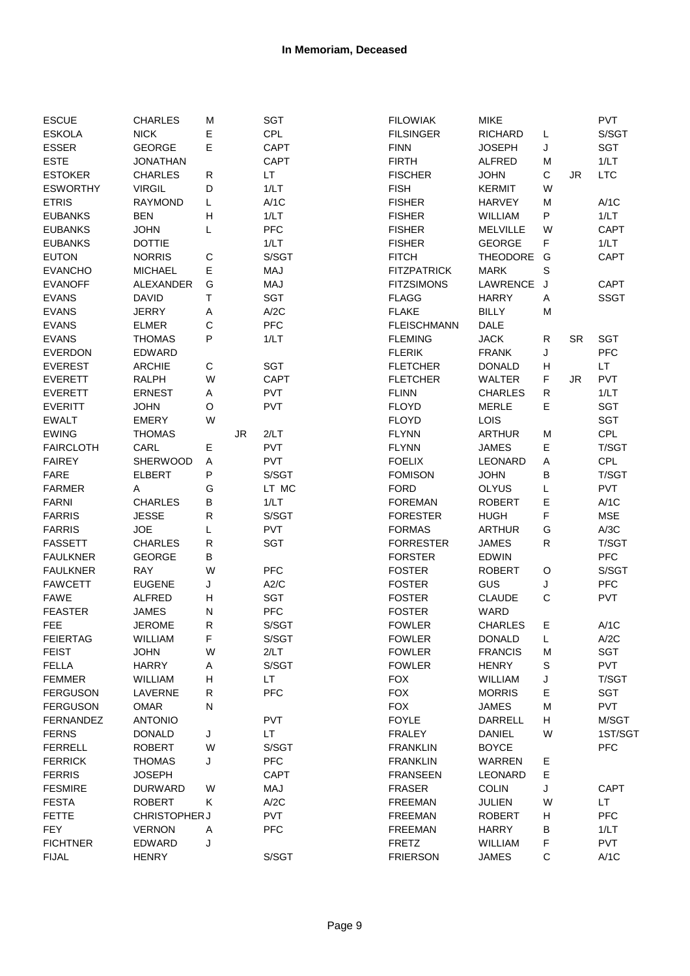| <b>ESCUE</b>     | <b>CHARLES</b>       | M           |    | SGT         | <b>FILOWIAK</b>    | <b>MIKE</b>     |   |           | <b>PVT</b>  |
|------------------|----------------------|-------------|----|-------------|--------------------|-----------------|---|-----------|-------------|
| <b>ESKOLA</b>    | <b>NICK</b>          | Е           |    | <b>CPL</b>  | <b>FILSINGER</b>   | <b>RICHARD</b>  | L |           | S/SGT       |
| <b>ESSER</b>     | <b>GEORGE</b>        | E           |    | <b>CAPT</b> | <b>FINN</b>        | <b>JOSEPH</b>   | J |           | <b>SGT</b>  |
| <b>ESTE</b>      | <b>JONATHAN</b>      |             |    | <b>CAPT</b> | <b>FIRTH</b>       | <b>ALFRED</b>   | M |           | 1/LT        |
| <b>ESTOKER</b>   | <b>CHARLES</b>       | R           |    | <b>LT</b>   | <b>FISCHER</b>     | <b>JOHN</b>     | C | JR        | <b>LTC</b>  |
| <b>ESWORTHY</b>  | <b>VIRGIL</b>        | D           |    | 1/LT        | <b>FISH</b>        | <b>KERMIT</b>   | W |           |             |
| <b>ETRIS</b>     | <b>RAYMOND</b>       | L           |    | A/1C        | <b>FISHER</b>      | <b>HARVEY</b>   | M |           | A/1C        |
| <b>EUBANKS</b>   | <b>BEN</b>           | H           |    | 1/LT        | <b>FISHER</b>      | WILLIAM         | P |           | 1/LT        |
| <b>EUBANKS</b>   | <b>JOHN</b>          | L           |    | PFC         | <b>FISHER</b>      | <b>MELVILLE</b> | W |           | <b>CAPT</b> |
| <b>EUBANKS</b>   | <b>DOTTIE</b>        |             |    | 1/LT        | <b>FISHER</b>      | <b>GEORGE</b>   | F |           | 1/LT        |
| <b>EUTON</b>     | <b>NORRIS</b>        | C           |    | S/SGT       | <b>FITCH</b>       | <b>THEODORE</b> | G |           | <b>CAPT</b> |
| <b>EVANCHO</b>   | <b>MICHAEL</b>       | E           |    | <b>MAJ</b>  | <b>FITZPATRICK</b> | <b>MARK</b>     | S |           |             |
| <b>EVANOFF</b>   | ALEXANDER            | G           |    | MAJ         | <b>FITZSIMONS</b>  | LAWRENCE        | J |           | <b>CAPT</b> |
| <b>EVANS</b>     | <b>DAVID</b>         | Τ           |    | SGT         | <b>FLAGG</b>       | <b>HARRY</b>    | A |           | <b>SSGT</b> |
| <b>EVANS</b>     | <b>JERRY</b>         | Α           |    | A/2C        | <b>FLAKE</b>       | <b>BILLY</b>    | M |           |             |
| <b>EVANS</b>     | <b>ELMER</b>         | C           |    | <b>PFC</b>  | <b>FLEISCHMANN</b> | <b>DALE</b>     |   |           |             |
| <b>EVANS</b>     | <b>THOMAS</b>        | P           |    | 1/LT        | <b>FLEMING</b>     | <b>JACK</b>     | R | <b>SR</b> | <b>SGT</b>  |
| <b>EVERDON</b>   | <b>EDWARD</b>        |             |    |             | <b>FLERIK</b>      | <b>FRANK</b>    | J |           | <b>PFC</b>  |
| <b>EVEREST</b>   | <b>ARCHIE</b>        | $\mathsf C$ |    | <b>SGT</b>  | <b>FLETCHER</b>    | <b>DONALD</b>   | н |           | LT.         |
| <b>EVERETT</b>   | <b>RALPH</b>         | W           |    | <b>CAPT</b> | <b>FLETCHER</b>    | <b>WALTER</b>   | F | JR.       | <b>PVT</b>  |
| <b>EVERETT</b>   | <b>ERNEST</b>        | Α           |    | <b>PVT</b>  | <b>FLINN</b>       | <b>CHARLES</b>  | R |           | 1/LT        |
| <b>EVERITT</b>   | <b>JOHN</b>          | O           |    | PVT         | <b>FLOYD</b>       | <b>MERLE</b>    | E |           | <b>SGT</b>  |
|                  |                      |             |    |             |                    |                 |   |           |             |
| <b>EWALT</b>     | <b>EMERY</b>         | W           |    |             | <b>FLOYD</b>       | LOIS            |   |           | <b>SGT</b>  |
| <b>EWING</b>     | <b>THOMAS</b>        |             | JR | 2/LT        | <b>FLYNN</b>       | <b>ARTHUR</b>   | M |           | CPL         |
| <b>FAIRCLOTH</b> | CARL                 | Е           |    | <b>PVT</b>  | <b>FLYNN</b>       | <b>JAMES</b>    | E |           | T/SGT       |
| <b>FAIREY</b>    | <b>SHERWOOD</b>      | A           |    | PVT         | <b>FOELIX</b>      | <b>LEONARD</b>  | A |           | CPL         |
| <b>FARE</b>      | <b>ELBERT</b>        | P           |    | S/SGT       | <b>FOMISON</b>     | <b>JOHN</b>     | B |           | T/SGT       |
| <b>FARMER</b>    | Α                    | G           |    | LT MC       | <b>FORD</b>        | <b>OLYUS</b>    | Г |           | <b>PVT</b>  |
| <b>FARNI</b>     | <b>CHARLES</b>       | B           |    | 1/LT        | <b>FOREMAN</b>     | <b>ROBERT</b>   | E |           | A/1C        |
| <b>FARRIS</b>    | <b>JESSE</b>         | R           |    | S/SGT       | <b>FORESTER</b>    | <b>HUGH</b>     | F |           | <b>MSE</b>  |
| <b>FARRIS</b>    | <b>JOE</b>           | L           |    | PVT         | <b>FORMAS</b>      | <b>ARTHUR</b>   | G |           | A/3C        |
| <b>FASSETT</b>   | <b>CHARLES</b>       | R           |    | <b>SGT</b>  | <b>FORRESTER</b>   | <b>JAMES</b>    | R |           | T/SGT       |
| <b>FAULKNER</b>  | <b>GEORGE</b>        | В           |    |             | <b>FORSTER</b>     | <b>EDWIN</b>    |   |           | PFC         |
| <b>FAULKNER</b>  | <b>RAY</b>           | W           |    | PFC         | <b>FOSTER</b>      | <b>ROBERT</b>   | O |           | S/SGT       |
| <b>FAWCETT</b>   | <b>EUGENE</b>        | J           |    | A2/C        | <b>FOSTER</b>      | GUS             | J |           | PFC         |
| <b>FAWE</b>      | <b>ALFRED</b>        | н           |    | SGT         | <b>FOSTER</b>      | CLAUDE          | C |           | <b>PVT</b>  |
| <b>FEASTER</b>   | <b>JAMES</b>         | ${\sf N}$   |    | <b>PFC</b>  | <b>FOSTER</b>      | WARD            |   |           |             |
| FEE              | <b>JEROME</b>        | R           |    | S/SGT       | <b>FOWLER</b>      | <b>CHARLES</b>  | E |           | A/1C        |
| <b>FEIERTAG</b>  | WILLIAM              | F           |    | S/SGT       | <b>FOWLER</b>      | <b>DONALD</b>   | L |           | A/2C        |
| <b>FEIST</b>     | <b>JOHN</b>          | W           |    | 2/LT        | <b>FOWLER</b>      | <b>FRANCIS</b>  | M |           | SGT         |
| <b>FELLA</b>     | <b>HARRY</b>         | Α           |    | S/SGT       | <b>FOWLER</b>      | <b>HENRY</b>    | S |           | <b>PVT</b>  |
| <b>FEMMER</b>    | WILLIAM              | н           |    | LT.         | <b>FOX</b>         | WILLIAM         | J |           | T/SGT       |
| <b>FERGUSON</b>  | LAVERNE              | R           |    | <b>PFC</b>  | <b>FOX</b>         | <b>MORRIS</b>   | Е |           | <b>SGT</b>  |
| <b>FERGUSON</b>  | <b>OMAR</b>          | N           |    |             | <b>FOX</b>         | <b>JAMES</b>    | M |           | <b>PVT</b>  |
| <b>FERNANDEZ</b> | <b>ANTONIO</b>       |             |    | <b>PVT</b>  | <b>FOYLE</b>       | <b>DARRELL</b>  | н |           | M/SGT       |
| <b>FERNS</b>     | <b>DONALD</b>        | J           |    | LT.         | <b>FRALEY</b>      | <b>DANIEL</b>   | W |           | 1ST/SGT     |
| <b>FERRELL</b>   | <b>ROBERT</b>        | W           |    | S/SGT       | <b>FRANKLIN</b>    | <b>BOYCE</b>    |   |           | <b>PFC</b>  |
| <b>FERRICK</b>   | <b>THOMAS</b>        | J           |    | <b>PFC</b>  | <b>FRANKLIN</b>    | WARREN          | Ε |           |             |
| <b>FERRIS</b>    | <b>JOSEPH</b>        |             |    | <b>CAPT</b> | <b>FRANSEEN</b>    | LEONARD         | E |           |             |
| <b>FESMIRE</b>   | <b>DURWARD</b>       | W           |    | MAJ         | <b>FRASER</b>      | <b>COLIN</b>    | J |           | <b>CAPT</b> |
| <b>FESTA</b>     | <b>ROBERT</b>        | Κ           |    | A/2C        | <b>FREEMAN</b>     | JULIEN          | W |           | LT.         |
| <b>FETTE</b>     | <b>CHRISTOPHER J</b> |             |    | <b>PVT</b>  | <b>FREEMAN</b>     | <b>ROBERT</b>   | н |           | <b>PFC</b>  |
| FEY              | <b>VERNON</b>        | Α           |    | <b>PFC</b>  | <b>FREEMAN</b>     | <b>HARRY</b>    | В |           | 1/LT        |
| <b>FICHTNER</b>  | <b>EDWARD</b>        | J           |    |             | <b>FRETZ</b>       | WILLIAM         | F |           | <b>PVT</b>  |
| <b>FIJAL</b>     | <b>HENRY</b>         |             |    | S/SGT       | <b>FRIERSON</b>    | <b>JAMES</b>    | С |           | A/1C        |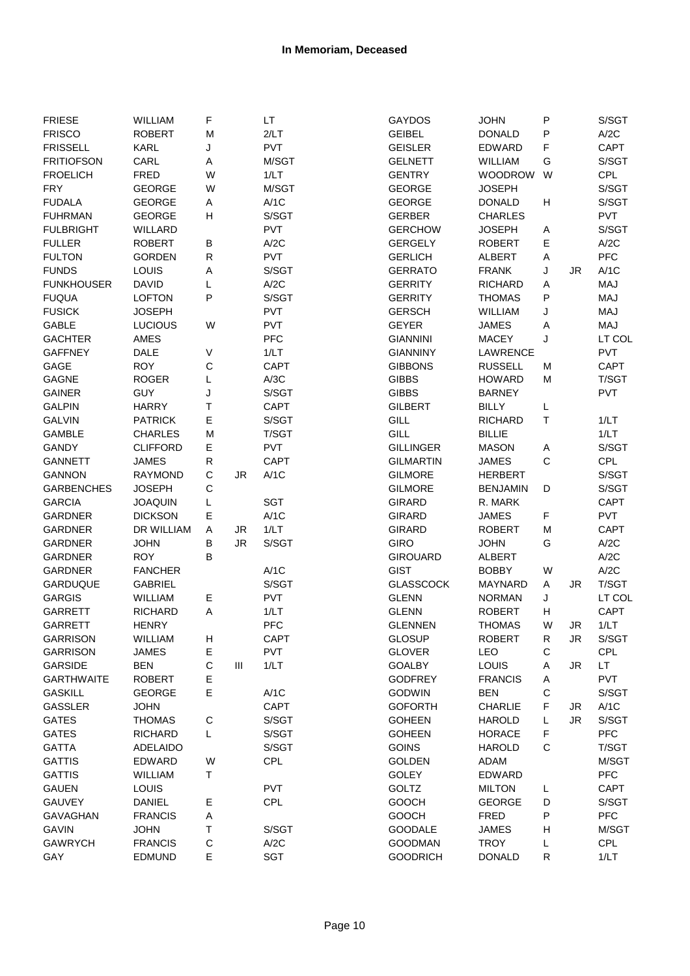| <b>FRIESE</b>                    | <b>WILLIAM</b>      | F           |     | LT          | <b>GAYDOS</b>    | <b>JOHN</b>                     | P           |           | S/SGT       |
|----------------------------------|---------------------|-------------|-----|-------------|------------------|---------------------------------|-------------|-----------|-------------|
| <b>FRISCO</b>                    | <b>ROBERT</b>       | M           |     | 2/LT        | <b>GEIBEL</b>    | <b>DONALD</b>                   | P           |           | A/2C        |
| <b>FRISSELL</b>                  | <b>KARL</b>         | J           |     | <b>PVT</b>  | <b>GEISLER</b>   | EDWARD                          | F           |           | CAPT        |
| <b>FRITIOFSON</b>                | CARL                | Α           |     | M/SGT       | <b>GELNETT</b>   | <b>WILLIAM</b>                  | G           |           | S/SGT       |
| <b>FROELICH</b>                  | <b>FRED</b>         | W           |     | 1/LT        | <b>GENTRY</b>    | <b>WOODROW</b>                  | W           |           | CPL         |
| <b>FRY</b>                       | <b>GEORGE</b>       | W           |     | M/SGT       | <b>GEORGE</b>    | <b>JOSEPH</b>                   |             |           | S/SGT       |
| <b>FUDALA</b>                    | GEORGE              | Α           |     | A/1C        | <b>GEORGE</b>    | <b>DONALD</b>                   | Н           |           | S/SGT       |
| <b>FUHRMAN</b>                   | <b>GEORGE</b>       | н           |     | S/SGT       | <b>GERBER</b>    | <b>CHARLES</b>                  |             |           | <b>PVT</b>  |
| <b>FULBRIGHT</b>                 | WILLARD             |             |     | <b>PVT</b>  | <b>GERCHOW</b>   | <b>JOSEPH</b>                   | Α           |           | S/SGT       |
| <b>FULLER</b>                    | <b>ROBERT</b>       | В           |     | A/2C        | <b>GERGELY</b>   | <b>ROBERT</b>                   | E           |           | A/2C        |
| <b>FULTON</b>                    | <b>GORDEN</b>       | R           |     | <b>PVT</b>  | <b>GERLICH</b>   | <b>ALBERT</b>                   | Α           |           | <b>PFC</b>  |
| <b>FUNDS</b>                     | LOUIS               | Α           |     | S/SGT       | <b>GERRATO</b>   | <b>FRANK</b>                    | J           | JR        | A/1C        |
| <b>FUNKHOUSER</b>                | <b>DAVID</b>        | L           |     | A/2C        | <b>GERRITY</b>   | <b>RICHARD</b>                  | A           |           | MAJ         |
| <b>FUQUA</b>                     | <b>LOFTON</b>       | P           |     | S/SGT       | <b>GERRITY</b>   | <b>THOMAS</b>                   | P           |           | MAJ         |
| <b>FUSICK</b>                    | <b>JOSEPH</b>       |             |     | <b>PVT</b>  | <b>GERSCH</b>    | <b>WILLIAM</b>                  | J           |           | MAJ         |
| <b>GABLE</b>                     | <b>LUCIOUS</b>      | W           |     | <b>PVT</b>  | <b>GEYER</b>     | <b>JAMES</b>                    | Α           |           | MAJ         |
|                                  |                     |             |     | <b>PFC</b>  | <b>GIANNINI</b>  |                                 | J           |           | LT COL      |
| <b>GACHTER</b><br><b>GAFFNEY</b> | AMES<br><b>DALE</b> | $\mathsf V$ |     | 1/LT        | <b>GIANNINY</b>  | <b>MACEY</b><br><b>LAWRENCE</b> |             |           | <b>PVT</b>  |
| GAGE                             | <b>ROY</b>          | $\mathsf C$ |     | <b>CAPT</b> | <b>GIBBONS</b>   | <b>RUSSELL</b>                  | M           |           | CAPT        |
|                                  |                     |             |     |             |                  |                                 |             |           |             |
| <b>GAGNE</b>                     | <b>ROGER</b>        | Г           |     | A/3C        | <b>GIBBS</b>     | <b>HOWARD</b>                   | M           |           | T/SGT       |
| <b>GAINER</b>                    | <b>GUY</b>          | J           |     | S/SGT       | <b>GIBBS</b>     | <b>BARNEY</b>                   |             |           | <b>PVT</b>  |
| <b>GALPIN</b>                    | <b>HARRY</b>        | Τ           |     | <b>CAPT</b> | <b>GILBERT</b>   | <b>BILLY</b>                    | L           |           |             |
| <b>GALVIN</b>                    | <b>PATRICK</b>      | E           |     | S/SGT       | GILL             | <b>RICHARD</b>                  | Τ           |           | 1/LT        |
| <b>GAMBLE</b>                    | <b>CHARLES</b>      | M           |     | T/SGT       | <b>GILL</b>      | <b>BILLIE</b>                   |             |           | 1/LT        |
| <b>GANDY</b>                     | <b>CLIFFORD</b>     | E           |     | <b>PVT</b>  | <b>GILLINGER</b> | <b>MASON</b>                    | Α           |           | S/SGT       |
| <b>GANNETT</b>                   | <b>JAMES</b>        | R           |     | <b>CAPT</b> | <b>GILMARTIN</b> | <b>JAMES</b>                    | $\mathsf C$ |           | CPL         |
| <b>GANNON</b>                    | <b>RAYMOND</b>      | C           | JR  | A/1C        | <b>GILMORE</b>   | <b>HERBERT</b>                  |             |           | S/SGT       |
| <b>GARBENCHES</b>                | <b>JOSEPH</b>       | C           |     |             | <b>GILMORE</b>   | <b>BENJAMIN</b>                 | D           |           | S/SGT       |
| <b>GARCIA</b>                    | <b>JOAQUIN</b>      | L           |     | SGT         | <b>GIRARD</b>    | R. MARK                         |             |           | <b>CAPT</b> |
| <b>GARDNER</b>                   | <b>DICKSON</b>      | Е           |     | A/1C        | <b>GIRARD</b>    | <b>JAMES</b>                    | F           |           | <b>PVT</b>  |
| <b>GARDNER</b>                   | DR WILLIAM          | Α           | JR. | 1/LT        | <b>GIRARD</b>    | <b>ROBERT</b>                   | M           |           | CAPT        |
| <b>GARDNER</b>                   | <b>JOHN</b>         | В           | JR. | S/SGT       | <b>GIRO</b>      | <b>JOHN</b>                     | G           |           | A/2C        |
| <b>GARDNER</b>                   | <b>ROY</b>          | В           |     |             | <b>GIROUARD</b>  | <b>ALBERT</b>                   |             |           | A/2C        |
| <b>GARDNER</b>                   | <b>FANCHER</b>      |             |     | A/1C        | <b>GIST</b>      | <b>BOBBY</b>                    | W           |           | A/2C        |
| <b>GARDUQUE</b>                  | <b>GABRIEL</b>      |             |     | S/SGT       | <b>GLASSCOCK</b> | <b>MAYNARD</b>                  | Α           | <b>JR</b> | T/SGT       |
| <b>GARGIS</b>                    | <b>WILLIAM</b>      | Е           |     | <b>PVT</b>  | <b>GLENN</b>     | <b>NORMAN</b>                   | J           |           | LT COL      |
| <b>GARRETT</b>                   | <b>RICHARD</b>      | A           |     | 1/LT        | <b>GLENN</b>     | <b>ROBERT</b>                   | Н           |           | CAPT        |
| <b>GARRETT</b>                   | <b>HENRY</b>        |             |     | <b>PFC</b>  | <b>GLENNEN</b>   | <b>THOMAS</b>                   | W           | JR.       | 1/LT        |
| GARRISON                         | WILLIAM             | н           |     | CAPT        | <b>GLOSUP</b>    | ROBERT                          | R           | JR        | S/SGT       |
| <b>GARRISON</b>                  | <b>JAMES</b>        | Е           |     | <b>PVT</b>  | <b>GLOVER</b>    | LEO                             | С           |           | <b>CPL</b>  |
| GARSIDE                          | <b>BEN</b>          | $\mathsf C$ | Ш   | 1/LT        | <b>GOALBY</b>    | LOUIS                           | Α           | <b>JR</b> | LT.         |
| <b>GARTHWAITE</b>                | <b>ROBERT</b>       | Е           |     |             | <b>GODFREY</b>   | <b>FRANCIS</b>                  | Α           |           | <b>PVT</b>  |
| <b>GASKILL</b>                   | <b>GEORGE</b>       | E           |     | A/1C        | <b>GODWIN</b>    | <b>BEN</b>                      | $\mathsf C$ |           | S/SGT       |
| <b>GASSLER</b>                   | <b>JOHN</b>         |             |     | <b>CAPT</b> | <b>GOFORTH</b>   | <b>CHARLIE</b>                  | F           | JR        | A/1C        |
| <b>GATES</b>                     | <b>THOMAS</b>       | C           |     | S/SGT       | <b>GOHEEN</b>    | <b>HAROLD</b>                   | L           | <b>JR</b> | S/SGT       |
| <b>GATES</b>                     | <b>RICHARD</b>      | L           |     | S/SGT       | <b>GOHEEN</b>    | <b>HORACE</b>                   | F           |           | PFC         |
| <b>GATTA</b>                     | <b>ADELAIDO</b>     |             |     | S/SGT       | <b>GOINS</b>     | <b>HAROLD</b>                   | $\mathsf C$ |           | T/SGT       |
| <b>GATTIS</b>                    | EDWARD              | W           |     | <b>CPL</b>  | <b>GOLDEN</b>    | ADAM                            |             |           | M/SGT       |
| <b>GATTIS</b>                    | <b>WILLIAM</b>      | T           |     |             | <b>GOLEY</b>     | <b>EDWARD</b>                   |             |           | <b>PFC</b>  |
| <b>GAUEN</b>                     | LOUIS               |             |     | <b>PVT</b>  | GOLTZ            | <b>MILTON</b>                   | L.          |           | <b>CAPT</b> |
| GAUVEY                           | <b>DANIEL</b>       | Е           |     | CPL         | <b>GOOCH</b>     | <b>GEORGE</b>                   | D           |           | S/SGT       |
| <b>GAVAGHAN</b>                  | <b>FRANCIS</b>      | Α           |     |             | <b>GOOCH</b>     | <b>FRED</b>                     | P           |           | <b>PFC</b>  |
| <b>GAVIN</b>                     | <b>JOHN</b>         | Τ           |     | S/SGT       | <b>GOODALE</b>   | <b>JAMES</b>                    | Н           |           | M/SGT       |
| <b>GAWRYCH</b>                   | <b>FRANCIS</b>      | $\mathsf C$ |     | A/2C        | <b>GOODMAN</b>   | <b>TROY</b>                     | L           |           | CPL         |
| GAY                              | EDMUND              | E           |     | SGT         | <b>GOODRICH</b>  | <b>DONALD</b>                   | R           |           | 1/LT        |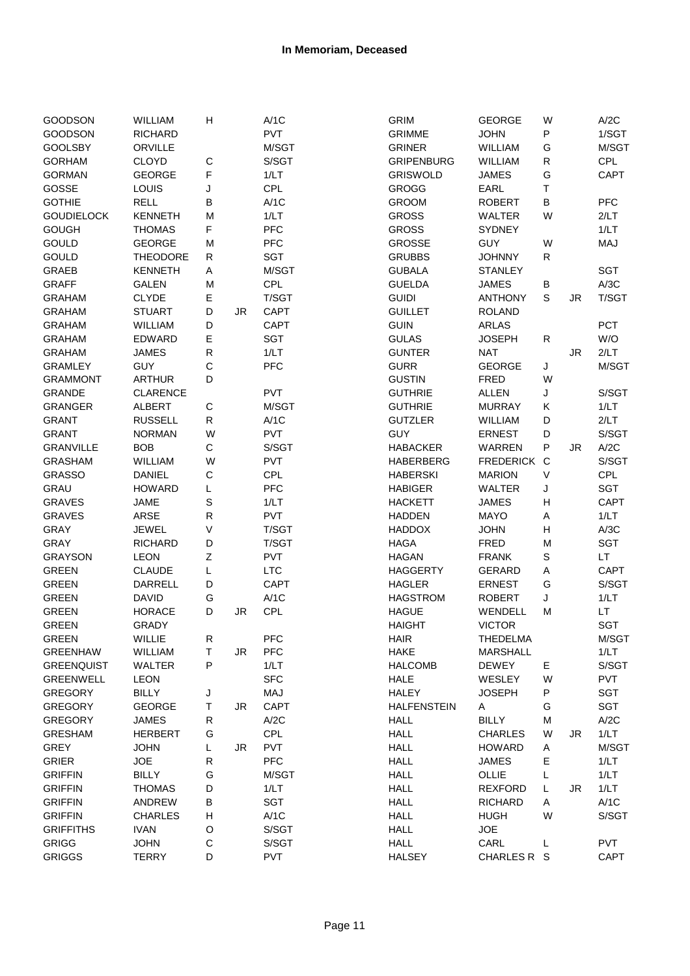| <b>GOODSON</b>    | WILLIAM         | Н           |    | A/1C        | <b>GRIM</b>        | <b>GEORGE</b>   | W         |           | A/2C        |
|-------------------|-----------------|-------------|----|-------------|--------------------|-----------------|-----------|-----------|-------------|
| <b>GOODSON</b>    | RICHARD         |             |    | <b>PVT</b>  | <b>GRIMME</b>      | <b>JOHN</b>     | P         |           | 1/SGT       |
| <b>GOOLSBY</b>    | ORVILLE         |             |    | M/SGT       | <b>GRINER</b>      | WILLIAM         | G         |           | M/SGT       |
| <b>GORHAM</b>     | <b>CLOYD</b>    | C           |    | S/SGT       | <b>GRIPENBURG</b>  | WILLIAM         | R         |           | CPL         |
| <b>GORMAN</b>     | <b>GEORGE</b>   | F           |    | 1/LT        | <b>GRISWOLD</b>    | <b>JAMES</b>    | G         |           | CAPT        |
| GOSSE             | LOUIS           | J           |    | CPL         | <b>GROGG</b>       | EARL            | T         |           |             |
| <b>GOTHIE</b>     | <b>RELL</b>     | В           |    | A/1C        | <b>GROOM</b>       | <b>ROBERT</b>   | B         |           | <b>PFC</b>  |
| <b>GOUDIELOCK</b> | <b>KENNETH</b>  | M           |    | 1/LT        | <b>GROSS</b>       | WALTER          | W         |           | 2/LT        |
| <b>GOUGH</b>      | <b>THOMAS</b>   | F           |    | <b>PFC</b>  | <b>GROSS</b>       | <b>SYDNEY</b>   |           |           | 1/LT        |
| <b>GOULD</b>      | <b>GEORGE</b>   | M           |    | PFC         | <b>GROSSE</b>      | <b>GUY</b>      | W         |           | MAJ         |
| <b>GOULD</b>      | <b>THEODORE</b> | R           |    | <b>SGT</b>  | <b>GRUBBS</b>      | <b>JOHNNY</b>   | R         |           |             |
| GRAEB             | <b>KENNETH</b>  | Α           |    | M/SGT       | <b>GUBALA</b>      | <b>STANLEY</b>  |           |           | <b>SGT</b>  |
| <b>GRAFF</b>      | <b>GALEN</b>    | M           |    | <b>CPL</b>  | <b>GUELDA</b>      | <b>JAMES</b>    | В         |           | A/3C        |
| <b>GRAHAM</b>     | <b>CLYDE</b>    | E           |    | T/SGT       | <b>GUIDI</b>       | <b>ANTHONY</b>  | S         | <b>JR</b> | T/SGT       |
| <b>GRAHAM</b>     | <b>STUART</b>   | D           | JR | CAPT        | <b>GUILLET</b>     | <b>ROLAND</b>   |           |           |             |
| <b>GRAHAM</b>     | WILLIAM         | D           |    | CAPT        | <b>GUIN</b>        | <b>ARLAS</b>    |           |           | <b>PCT</b>  |
| <b>GRAHAM</b>     | EDWARD          | Е           |    | <b>SGT</b>  | <b>GULAS</b>       | <b>JOSEPH</b>   | ${\sf R}$ |           | W/O         |
| <b>GRAHAM</b>     | <b>JAMES</b>    | R           |    | 1/LT        | <b>GUNTER</b>      | NAT             |           | JR        | 2/LT        |
| <b>GRAMLEY</b>    | <b>GUY</b>      | C           |    | <b>PFC</b>  | <b>GURR</b>        | <b>GEORGE</b>   | J         |           | M/SGT       |
| <b>GRAMMONT</b>   | <b>ARTHUR</b>   | D           |    |             | <b>GUSTIN</b>      | <b>FRED</b>     | W         |           |             |
| GRANDE            | <b>CLARENCE</b> |             |    | <b>PVT</b>  | <b>GUTHRIE</b>     | <b>ALLEN</b>    | J         |           | S/SGT       |
| <b>GRANGER</b>    | <b>ALBERT</b>   | $\mathsf C$ |    | M/SGT       | <b>GUTHRIE</b>     | <b>MURRAY</b>   | Κ         |           | 1/LT        |
| <b>GRANT</b>      | <b>RUSSELL</b>  | R           |    | A/1C        | <b>GUTZLER</b>     | WILLIAM         | D         |           | 2/LT        |
| <b>GRANT</b>      | <b>NORMAN</b>   | W           |    | <b>PVT</b>  | <b>GUY</b>         | <b>ERNEST</b>   | D         |           | S/SGT       |
| <b>GRANVILLE</b>  | <b>BOB</b>      | C           |    | S/SGT       | <b>HABACKER</b>    | WARREN          | P         | JR.       | A/2C        |
| <b>GRASHAM</b>    | <b>WILLIAM</b>  | W           |    | <b>PVT</b>  | <b>HABERBERG</b>   | FREDERICK C     |           |           | S/SGT       |
| <b>GRASSO</b>     | <b>DANIEL</b>   | C           |    | <b>CPL</b>  | <b>HABERSKI</b>    | <b>MARION</b>   | V         |           | CPL         |
| <b>GRAU</b>       | <b>HOWARD</b>   | L           |    | <b>PFC</b>  | <b>HABIGER</b>     | <b>WALTER</b>   | J         |           | <b>SGT</b>  |
| <b>GRAVES</b>     | JAME            | S           |    | 1/LT        | <b>HACKETT</b>     | <b>JAMES</b>    | н         |           | CAPT        |
| <b>GRAVES</b>     | ARSE            | R           |    | <b>PVT</b>  | <b>HADDEN</b>      | <b>MAYO</b>     | Α         |           | 1/LT        |
| <b>GRAY</b>       | <b>JEWEL</b>    | V           |    | T/SGT       | <b>HADDOX</b>      | <b>JOHN</b>     | Н         |           | A/3C        |
| <b>GRAY</b>       | <b>RICHARD</b>  | D           |    | T/SGT       | <b>HAGA</b>        | <b>FRED</b>     | M         |           | <b>SGT</b>  |
| <b>GRAYSON</b>    | <b>LEON</b>     | Ζ           |    | <b>PVT</b>  | <b>HAGAN</b>       | <b>FRANK</b>    | S         |           | LT.         |
| <b>GREEN</b>      | <b>CLAUDE</b>   | L           |    | <b>LTC</b>  | <b>HAGGERTY</b>    |                 |           |           | CAPT        |
| <b>GREEN</b>      |                 | D           |    | <b>CAPT</b> |                    | <b>GERARD</b>   | Α<br>G    |           |             |
|                   | DARRELL         |             |    |             | <b>HAGLER</b>      | <b>ERNEST</b>   |           |           | S/SGT       |
| <b>GREEN</b>      | <b>DAVID</b>    | G           |    | A/1C        | <b>HAGSTROM</b>    | <b>ROBERT</b>   | J         |           | 1/LT        |
| <b>GREEN</b>      | <b>HORACE</b>   | D           | JR | CPL         | <b>HAGUE</b>       | WENDELL         | M         |           | LT.         |
| <b>GREEN</b>      | GRADY           |             |    |             | <b>HAIGHT</b>      | <b>VICTOR</b>   |           |           | SGT         |
| <b>GREEN</b>      | WILLIE          | R           |    | PFC         | <b>HAIR</b>        | THEDELMA        |           |           | M/SGT       |
| <b>GREENHAW</b>   | WILLIAM         | Τ           | JR | PFC         | <b>HAKE</b>        | <b>MARSHALL</b> |           |           | 1/LT        |
| <b>GREENQUIST</b> | WALTER          | P           |    | 1/LT        | <b>HALCOMB</b>     | <b>DEWEY</b>    | Е         |           | S/SGT       |
| <b>GREENWELL</b>  | <b>LEON</b>     |             |    | <b>SFC</b>  | <b>HALE</b>        | WESLEY          | W         |           | PVT         |
| <b>GREGORY</b>    | <b>BILLY</b>    | J           |    | <b>MAJ</b>  | <b>HALEY</b>       | <b>JOSEPH</b>   | Ρ         |           | SGT         |
| <b>GREGORY</b>    | <b>GEORGE</b>   | T           | JR | <b>CAPT</b> | <b>HALFENSTEIN</b> | Α               | G         |           | SGT         |
| <b>GREGORY</b>    | <b>JAMES</b>    | R           |    | A/2C        | <b>HALL</b>        | <b>BILLY</b>    | M         |           | A/2C        |
| <b>GRESHAM</b>    | <b>HERBERT</b>  | G           |    | <b>CPL</b>  | <b>HALL</b>        | <b>CHARLES</b>  | W         | <b>JR</b> | 1/LT        |
| <b>GREY</b>       | <b>JOHN</b>     | L.          | JR | <b>PVT</b>  | <b>HALL</b>        | <b>HOWARD</b>   | Α         |           | M/SGT       |
| <b>GRIER</b>      | <b>JOE</b>      | R           |    | <b>PFC</b>  | <b>HALL</b>        | <b>JAMES</b>    | Е         |           | 1/LT        |
| <b>GRIFFIN</b>    | <b>BILLY</b>    | G           |    | M/SGT       | <b>HALL</b>        | OLLIE           | L         |           | 1/LT        |
| <b>GRIFFIN</b>    | <b>THOMAS</b>   | D           |    | 1/LT        | <b>HALL</b>        | <b>REXFORD</b>  | L         | <b>JR</b> | 1/LT        |
| <b>GRIFFIN</b>    | ANDREW          | в           |    | <b>SGT</b>  | <b>HALL</b>        | <b>RICHARD</b>  | Α         |           | A/1C        |
| <b>GRIFFIN</b>    | <b>CHARLES</b>  | н           |    | A/1C        | <b>HALL</b>        | <b>HUGH</b>     | W         |           | S/SGT       |
| <b>GRIFFITHS</b>  | <b>IVAN</b>     | $\mathsf O$ |    | S/SGT       | <b>HALL</b>        | <b>JOE</b>      |           |           |             |
| <b>GRIGG</b>      | <b>JOHN</b>     | С           |    | S/SGT       | <b>HALL</b>        | CARL            | L         |           | <b>PVT</b>  |
| <b>GRIGGS</b>     | <b>TERRY</b>    | D           |    | <b>PVT</b>  | <b>HALSEY</b>      | CHARLES R S     |           |           | <b>CAPT</b> |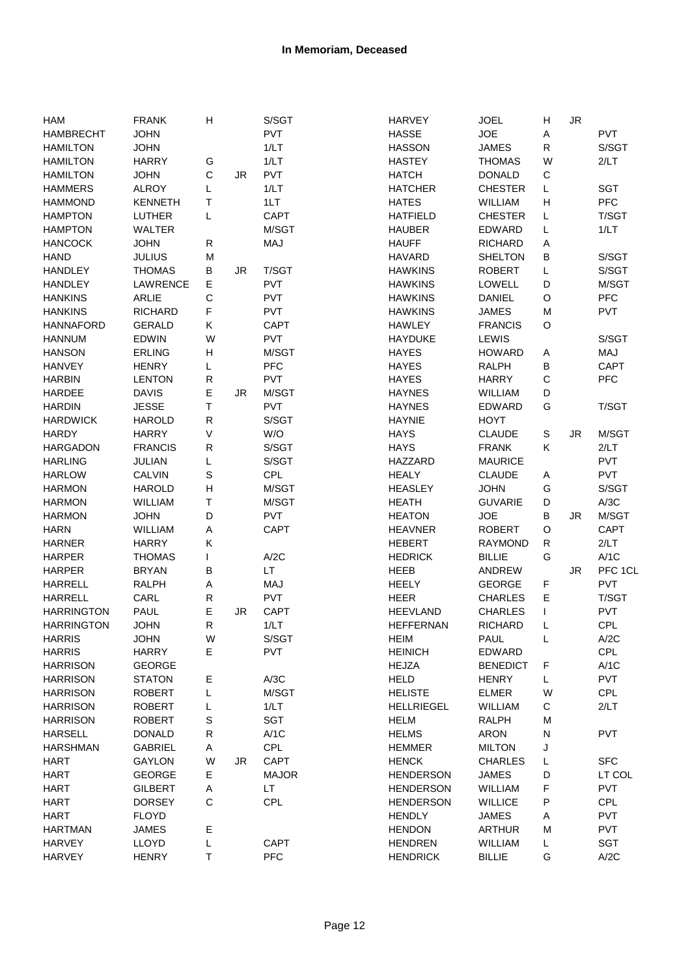| <b>HAM</b>        | <b>FRANK</b>                  | н            |           | S/SGT        | <b>HARVEY</b>     | <b>JOEL</b>     | H           | <b>JR</b> |             |
|-------------------|-------------------------------|--------------|-----------|--------------|-------------------|-----------------|-------------|-----------|-------------|
| <b>HAMBRECHT</b>  | <b>JOHN</b>                   |              |           | PVT          | <b>HASSE</b>      | <b>JOE</b>      | A           |           | <b>PVT</b>  |
| <b>HAMILTON</b>   | <b>JOHN</b>                   |              |           | 1/LT         | <b>HASSON</b>     | <b>JAMES</b>    | ${\sf R}$   |           | S/SGT       |
| <b>HAMILTON</b>   | <b>HARRY</b>                  | G            |           | 1/LT         | <b>HASTEY</b>     | <b>THOMAS</b>   | W           |           | 2/LT        |
| <b>HAMILTON</b>   | <b>JOHN</b>                   | $\mathsf C$  | JR.       | PVT          | <b>HATCH</b>      | <b>DONALD</b>   | $\mathbf C$ |           |             |
| <b>HAMMERS</b>    | <b>ALROY</b>                  | L            |           | 1/LT         | <b>HATCHER</b>    | <b>CHESTER</b>  | L           |           | <b>SGT</b>  |
| <b>HAMMOND</b>    | <b>KENNETH</b>                | Τ            |           | 1LT          | <b>HATES</b>      | WILLIAM         | H           |           | PFC         |
| <b>HAMPTON</b>    | <b>LUTHER</b>                 | Г            |           | <b>CAPT</b>  | <b>HATFIELD</b>   | <b>CHESTER</b>  | L           |           | T/SGT       |
| <b>HAMPTON</b>    | <b>WALTER</b>                 |              |           | M/SGT        | <b>HAUBER</b>     | <b>EDWARD</b>   | L           |           | 1/LT        |
| <b>HANCOCK</b>    | <b>JOHN</b>                   | ${\sf R}$    |           | MAJ          | <b>HAUFF</b>      | <b>RICHARD</b>  | Α           |           |             |
| <b>HAND</b>       | <b>JULIUS</b>                 | M            |           |              | <b>HAVARD</b>     | <b>SHELTON</b>  | $\sf B$     |           | S/SGT       |
| <b>HANDLEY</b>    | <b>THOMAS</b>                 | В            | <b>JR</b> | T/SGT        | <b>HAWKINS</b>    | <b>ROBERT</b>   | Г           |           | S/SGT       |
| <b>HANDLEY</b>    | <b>LAWRENCE</b>               | Е            |           | <b>PVT</b>   | <b>HAWKINS</b>    | LOWELL          | D           |           | M/SGT       |
| <b>HANKINS</b>    | <b>ARLIE</b>                  | С            |           | PVT          | <b>HAWKINS</b>    | <b>DANIEL</b>   | $\circ$     |           | <b>PFC</b>  |
| <b>HANKINS</b>    | <b>RICHARD</b>                | F            |           | <b>PVT</b>   | <b>HAWKINS</b>    | <b>JAMES</b>    | M           |           | <b>PVT</b>  |
| <b>HANNAFORD</b>  | <b>GERALD</b>                 | Κ            |           | <b>CAPT</b>  | <b>HAWLEY</b>     | <b>FRANCIS</b>  | $\circ$     |           |             |
| <b>HANNUM</b>     | <b>EDWIN</b>                  | W            |           | <b>PVT</b>   | <b>HAYDUKE</b>    | LEWIS           |             |           | S/SGT       |
| <b>HANSON</b>     | <b>ERLING</b>                 | н            |           | M/SGT        | <b>HAYES</b>      | <b>HOWARD</b>   | Α           |           | MAJ         |
| <b>HANVEY</b>     | <b>HENRY</b>                  | L            |           | <b>PFC</b>   | <b>HAYES</b>      | <b>RALPH</b>    | В           |           | <b>CAPT</b> |
|                   |                               | R            |           | PVT          | <b>HAYES</b>      | <b>HARRY</b>    | $\mathsf C$ |           | <b>PFC</b>  |
| <b>HARBIN</b>     | <b>LENTON</b><br><b>DAVIS</b> | Е            | JR        | M/SGT        |                   | WILLIAM         |             |           |             |
| HARDEE            |                               | T            |           |              | <b>HAYNES</b>     |                 | D<br>G      |           |             |
| <b>HARDIN</b>     | <b>JESSE</b>                  |              |           | <b>PVT</b>   | <b>HAYNES</b>     | EDWARD          |             |           | T/SGT       |
| <b>HARDWICK</b>   | <b>HAROLD</b>                 | ${\sf R}$    |           | S/SGT        | <b>HAYNIE</b>     | <b>HOYT</b>     |             |           |             |
| <b>HARDY</b>      | <b>HARRY</b>                  | $\sf V$      |           | W/O          | <b>HAYS</b>       | <b>CLAUDE</b>   | S           | <b>JR</b> | M/SGT       |
| <b>HARGADON</b>   | <b>FRANCIS</b>                | ${\sf R}$    |           | S/SGT        | <b>HAYS</b>       | <b>FRANK</b>    | K           |           | 2/LT        |
| <b>HARLING</b>    | JULIAN                        | L            |           | S/SGT        | HAZZARD           | <b>MAURICE</b>  |             |           | <b>PVT</b>  |
| <b>HARLOW</b>     | <b>CALVIN</b>                 | S            |           | <b>CPL</b>   | <b>HEALY</b>      | <b>CLAUDE</b>   | A           |           | <b>PVT</b>  |
| <b>HARMON</b>     | <b>HAROLD</b>                 | Η            |           | M/SGT        | <b>HEASLEY</b>    | <b>JOHN</b>     | G           |           | S/SGT       |
| <b>HARMON</b>     | WILLIAM                       | Τ            |           | M/SGT        | <b>HEATH</b>      | <b>GUVARIE</b>  | D           |           | A/3C        |
| <b>HARMON</b>     | <b>JOHN</b>                   | D            |           | <b>PVT</b>   | <b>HEATON</b>     | <b>JOE</b>      | В           | JR.       | M/SGT       |
| <b>HARN</b>       | <b>WILLIAM</b>                | Α            |           | <b>CAPT</b>  | <b>HEAVNER</b>    | <b>ROBERT</b>   | $\circ$     |           | <b>CAPT</b> |
| <b>HARNER</b>     | <b>HARRY</b>                  | Κ            |           |              | <b>HEBERT</b>     | <b>RAYMOND</b>  | ${\sf R}$   |           | 2/LT        |
| <b>HARPER</b>     | <b>THOMAS</b>                 | $\mathsf{I}$ |           | A/2C         | <b>HEDRICK</b>    | <b>BILLIE</b>   | G           |           | A/1C        |
| <b>HARPER</b>     | <b>BRYAN</b>                  | В            |           | LT.          | <b>HEEB</b>       | ANDREW          |             | <b>JR</b> | PFC 1CL     |
| <b>HARRELL</b>    | <b>RALPH</b>                  | Α            |           | MAJ          | <b>HEELY</b>      | <b>GEORGE</b>   | F           |           | <b>PVT</b>  |
| <b>HARRELL</b>    | CARL                          | R            |           | <b>PVT</b>   | <b>HEER</b>       | <b>CHARLES</b>  | Е           |           | T/SGT       |
| <b>HARRINGTON</b> | <b>PAUL</b>                   | Е            | <b>JR</b> | <b>CAPT</b>  | <b>HEEVLAND</b>   | <b>CHARLES</b>  | L           |           | <b>PVT</b>  |
| <b>HARRINGTON</b> | <b>JOHN</b>                   | R            |           | 1/LT         | <b>HEFFERNAN</b>  | <b>RICHARD</b>  | L           |           | CPL         |
| <b>HARRIS</b>     | <b>JOHN</b>                   | W            |           | S/SGT        | <b>HEIM</b>       | PAUL            | L           |           | A/2C        |
| <b>HARRIS</b>     | <b>HARRY</b>                  | E            |           | PVT          | <b>HEINICH</b>    | <b>EDWARD</b>   |             |           | CPL         |
| <b>HARRISON</b>   | <b>GEORGE</b>                 |              |           |              | <b>HEJZA</b>      | <b>BENEDICT</b> | F           |           | A/1C        |
| <b>HARRISON</b>   | <b>STATON</b>                 | Е            |           | A/3C         | <b>HELD</b>       | <b>HENRY</b>    | L           |           | <b>PVT</b>  |
| <b>HARRISON</b>   | <b>ROBERT</b>                 | L            |           | M/SGT        | <b>HELISTE</b>    | <b>ELMER</b>    | W           |           | <b>CPL</b>  |
| <b>HARRISON</b>   | <b>ROBERT</b>                 | L            |           | 1/LT         | <b>HELLRIEGEL</b> | <b>WILLIAM</b>  | С           |           | 2/LT        |
| <b>HARRISON</b>   | <b>ROBERT</b>                 | S            |           | <b>SGT</b>   | <b>HELM</b>       | <b>RALPH</b>    | M           |           |             |
| <b>HARSELL</b>    | <b>DONALD</b>                 | ${\sf R}$    |           | A/1C         | <b>HELMS</b>      | <b>ARON</b>     | N           |           | <b>PVT</b>  |
| <b>HARSHMAN</b>   | <b>GABRIEL</b>                | Α            |           | <b>CPL</b>   | <b>HEMMER</b>     | <b>MILTON</b>   | J           |           |             |
| <b>HART</b>       | GAYLON                        | W            | JR        | <b>CAPT</b>  | <b>HENCK</b>      | <b>CHARLES</b>  | L           |           | <b>SFC</b>  |
| <b>HART</b>       | <b>GEORGE</b>                 | Е            |           | <b>MAJOR</b> | <b>HENDERSON</b>  | <b>JAMES</b>    | D           |           | LT COL      |
| <b>HART</b>       | <b>GILBERT</b>                | Α            |           | LT.          | <b>HENDERSON</b>  | WILLIAM         | F           |           | PVT         |
| <b>HART</b>       | <b>DORSEY</b>                 | C            |           | <b>CPL</b>   | <b>HENDERSON</b>  | <b>WILLICE</b>  | P           |           | CPL         |
| <b>HART</b>       | <b>FLOYD</b>                  |              |           |              | <b>HENDLY</b>     | <b>JAMES</b>    | Α           |           | <b>PVT</b>  |
| <b>HARTMAN</b>    | <b>JAMES</b>                  | Е            |           |              | <b>HENDON</b>     | <b>ARTHUR</b>   | M           |           | PVT         |
| <b>HARVEY</b>     | <b>LLOYD</b>                  | L            |           | <b>CAPT</b>  | <b>HENDREN</b>    | WILLIAM         | L           |           | SGT         |
| <b>HARVEY</b>     | <b>HENRY</b>                  | T            |           | <b>PFC</b>   | <b>HENDRICK</b>   | <b>BILLIE</b>   | G           |           | A/2C        |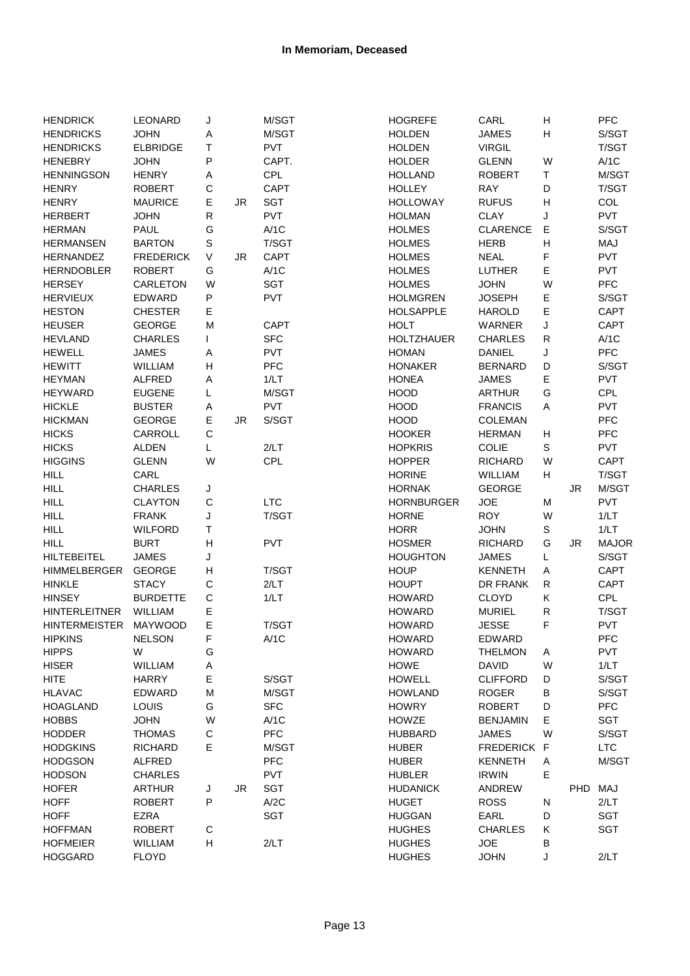| <b>HENDRICK</b>      | LEONARD          | J           |           | M/SGT      | <b>HOGREFE</b>    | CARL            | H            |            | PFC          |
|----------------------|------------------|-------------|-----------|------------|-------------------|-----------------|--------------|------------|--------------|
| <b>HENDRICKS</b>     | <b>JOHN</b>      | Α           |           | M/SGT      | <b>HOLDEN</b>     | <b>JAMES</b>    | Η            |            | S/SGT        |
| <b>HENDRICKS</b>     | <b>ELBRIDGE</b>  | T           |           | PVT        | <b>HOLDEN</b>     | <b>VIRGIL</b>   |              |            | T/SGT        |
| <b>HENEBRY</b>       | <b>JOHN</b>      | P           |           | CAPT.      | <b>HOLDER</b>     | <b>GLENN</b>    | W            |            | A/1C         |
| <b>HENNINGSON</b>    | <b>HENRY</b>     | Α           |           | <b>CPL</b> | <b>HOLLAND</b>    | <b>ROBERT</b>   | T            |            | M/SGT        |
| <b>HENRY</b>         | <b>ROBERT</b>    | C           |           | CAPT       | <b>HOLLEY</b>     | <b>RAY</b>      | D            |            | T/SGT        |
| <b>HENRY</b>         | <b>MAURICE</b>   | E           | <b>JR</b> | SGT        | <b>HOLLOWAY</b>   | <b>RUFUS</b>    | Н            |            | COL          |
| <b>HERBERT</b>       | <b>JOHN</b>      | R           |           | <b>PVT</b> | <b>HOLMAN</b>     | <b>CLAY</b>     | J            |            | <b>PVT</b>   |
| <b>HERMAN</b>        | <b>PAUL</b>      | G           |           | A/1C       | <b>HOLMES</b>     | <b>CLARENCE</b> | Е            |            | S/SGT        |
| <b>HERMANSEN</b>     | <b>BARTON</b>    | S           |           | T/SGT      | <b>HOLMES</b>     | <b>HERB</b>     | Н            |            | MAJ          |
| <b>HERNANDEZ</b>     | <b>FREDERICK</b> | V           | JR        | CAPT       | <b>HOLMES</b>     | <b>NEAL</b>     | F            |            | <b>PVT</b>   |
| <b>HERNDOBLER</b>    | <b>ROBERT</b>    | G           |           | A/1C       | <b>HOLMES</b>     | LUTHER          | E            |            | <b>PVT</b>   |
| <b>HERSEY</b>        | CARLETON         | W           |           | SGT        | <b>HOLMES</b>     | <b>JOHN</b>     | W            |            | PFC          |
| <b>HERVIEUX</b>      | <b>EDWARD</b>    | P           |           | <b>PVT</b> | <b>HOLMGREN</b>   | <b>JOSEPH</b>   | Е            |            | S/SGT        |
| <b>HESTON</b>        | <b>CHESTER</b>   | Е           |           |            | <b>HOLSAPPLE</b>  | <b>HAROLD</b>   | E            |            | <b>CAPT</b>  |
| <b>HEUSER</b>        | <b>GEORGE</b>    | M           |           | CAPT       | <b>HOLT</b>       | WARNER          | J            |            | <b>CAPT</b>  |
| <b>HEVLAND</b>       | <b>CHARLES</b>   | L           |           | <b>SFC</b> | <b>HOLTZHAUER</b> | <b>CHARLES</b>  | $\mathsf R$  |            | A/1C         |
| <b>HEWELL</b>        | <b>JAMES</b>     | Α           |           | PVT        | <b>HOMAN</b>      | <b>DANIEL</b>   | J            |            | PFC          |
| <b>HEWITT</b>        | WILLIAM          | H           |           | <b>PFC</b> | <b>HONAKER</b>    | <b>BERNARD</b>  | D            |            | S/SGT        |
| <b>HEYMAN</b>        | ALFRED           | A           |           | 1/LT       | <b>HONEA</b>      | <b>JAMES</b>    | Е            |            | <b>PVT</b>   |
| <b>HEYWARD</b>       | <b>EUGENE</b>    | L           |           | M/SGT      | <b>HOOD</b>       | <b>ARTHUR</b>   | G            |            | CPL          |
| <b>HICKLE</b>        | <b>BUSTER</b>    | $\mathsf A$ |           | <b>PVT</b> | <b>HOOD</b>       | <b>FRANCIS</b>  | $\mathsf A$  |            | <b>PVT</b>   |
| <b>HICKMAN</b>       | <b>GEORGE</b>    | Е           | JR        | S/SGT      | <b>HOOD</b>       | <b>COLEMAN</b>  |              |            | <b>PFC</b>   |
| <b>HICKS</b>         | CARROLL          | $\mathsf C$ |           |            | <b>HOOKER</b>     | <b>HERMAN</b>   | Н            |            | <b>PFC</b>   |
| <b>HICKS</b>         | <b>ALDEN</b>     | L           |           | 2/LT       | <b>HOPKRIS</b>    | <b>COLIE</b>    | $\mathbf S$  |            | <b>PVT</b>   |
| <b>HIGGINS</b>       | <b>GLENN</b>     | W           |           | CPL        | <b>HOPPER</b>     | <b>RICHARD</b>  | W            |            | CAPT         |
| <b>HILL</b>          | CARL             |             |           |            | <b>HORINE</b>     | WILLIAM         | Н            |            | T/SGT        |
| <b>HILL</b>          | <b>CHARLES</b>   | J           |           |            | <b>HORNAK</b>     | <b>GEORGE</b>   |              | <b>JR</b>  | M/SGT        |
| <b>HILL</b>          | <b>CLAYTON</b>   | $\mathsf C$ |           | <b>LTC</b> | <b>HORNBURGER</b> | <b>JOE</b>      | М            |            | <b>PVT</b>   |
| <b>HILL</b>          | <b>FRANK</b>     | J           |           | T/SGT      | <b>HORNE</b>      | <b>ROY</b>      | W            |            | 1/LT         |
| <b>HILL</b>          | <b>WILFORD</b>   | T           |           |            | <b>HORR</b>       | <b>JOHN</b>     | $\mathbb S$  |            | 1/LT         |
| <b>HILL</b>          | <b>BURT</b>      | H           |           | <b>PVT</b> | <b>HOSMER</b>     | <b>RICHARD</b>  | G            | <b>JR</b>  | <b>MAJOR</b> |
| <b>HILTEBEITEL</b>   | <b>JAMES</b>     | J           |           |            | <b>HOUGHTON</b>   | <b>JAMES</b>    | L            |            | S/SGT        |
| <b>HIMMELBERGER</b>  | <b>GEORGE</b>    | н           |           | T/SGT      | <b>HOUP</b>       | <b>KENNETH</b>  | $\mathsf A$  |            | CAPT         |
| <b>HINKLE</b>        | <b>STACY</b>     | C           |           | 2/LT       | <b>HOUPT</b>      | DR FRANK        | R            |            | <b>CAPT</b>  |
| <b>HINSEY</b>        | <b>BURDETTE</b>  | C           |           | 1/LT       | <b>HOWARD</b>     | <b>CLOYD</b>    | Κ            |            | CPL          |
| <b>HINTERLEITNER</b> | WILLIAM          | Е           |           |            | <b>HOWARD</b>     | <b>MURIEL</b>   | R            |            | T/SGT        |
| HINTERMEISTER        | <b>MAYWOOD</b>   | E           |           | T/SGT      | <b>HOWARD</b>     | <b>JESSE</b>    | F            |            | <b>PVT</b>   |
| <b>HIPKINS</b>       | NELSON           | F           |           | A/1C       | <b>HOWARD</b>     | EDWARD          |              |            | PFC          |
| <b>HIPPS</b>         | W                | G           |           |            | <b>HOWARD</b>     | <b>THELMON</b>  | Α            |            | PVT          |
| <b>HISER</b>         | WILLIAM          | Α           |           |            | <b>HOWE</b>       | <b>DAVID</b>    | W            |            | 1/LT         |
| <b>HITE</b>          | <b>HARRY</b>     | Е           |           | S/SGT      | <b>HOWELL</b>     | <b>CLIFFORD</b> | D            |            | S/SGT        |
| <b>HLAVAC</b>        | EDWARD           | M           |           | M/SGT      | <b>HOWLAND</b>    | <b>ROGER</b>    | B            |            | S/SGT        |
| <b>HOAGLAND</b>      | LOUIS            | G           |           | <b>SFC</b> | <b>HOWRY</b>      | <b>ROBERT</b>   | D            |            | <b>PFC</b>   |
| <b>HOBBS</b>         | <b>JOHN</b>      | W           |           | A/1C       | <b>HOWZE</b>      | <b>BENJAMIN</b> | Е            |            | SGT          |
| <b>HODDER</b>        | <b>THOMAS</b>    | C           |           | PFC        | <b>HUBBARD</b>    | <b>JAMES</b>    | W            |            | S/SGT        |
| <b>HODGKINS</b>      | <b>RICHARD</b>   | $\mathsf E$ |           | M/SGT      | <b>HUBER</b>      | FREDERICK F     |              |            | <b>LTC</b>   |
| <b>HODGSON</b>       | <b>ALFRED</b>    |             |           | <b>PFC</b> | <b>HUBER</b>      | <b>KENNETH</b>  | Α            |            | M/SGT        |
| <b>HODSON</b>        | <b>CHARLES</b>   |             |           | <b>PVT</b> | <b>HUBLER</b>     | <b>IRWIN</b>    | Е            |            |              |
| <b>HOFER</b>         | <b>ARTHUR</b>    | J           | JR        | SGT        | <b>HUDANICK</b>   | ANDREW          |              | <b>PHD</b> | MAJ          |
| <b>HOFF</b>          | <b>ROBERT</b>    | P           |           | A/2C       | <b>HUGET</b>      | <b>ROSS</b>     | $\mathsf{N}$ |            | 2/LT         |
| <b>HOFF</b>          | EZRA             |             |           | SGT        | <b>HUGGAN</b>     | EARL            | D            |            | SGT          |
| <b>HOFFMAN</b>       | <b>ROBERT</b>    | С           |           |            | <b>HUGHES</b>     | <b>CHARLES</b>  | Κ            |            | SGT          |
| <b>HOFMEIER</b>      | WILLIAM          | н           |           | 2/LT       | <b>HUGHES</b>     | <b>JOE</b>      | B            |            |              |
| <b>HOGGARD</b>       | <b>FLOYD</b>     |             |           |            | <b>HUGHES</b>     | <b>JOHN</b>     | J            |            | 2/LT         |
|                      |                  |             |           |            |                   |                 |              |            |              |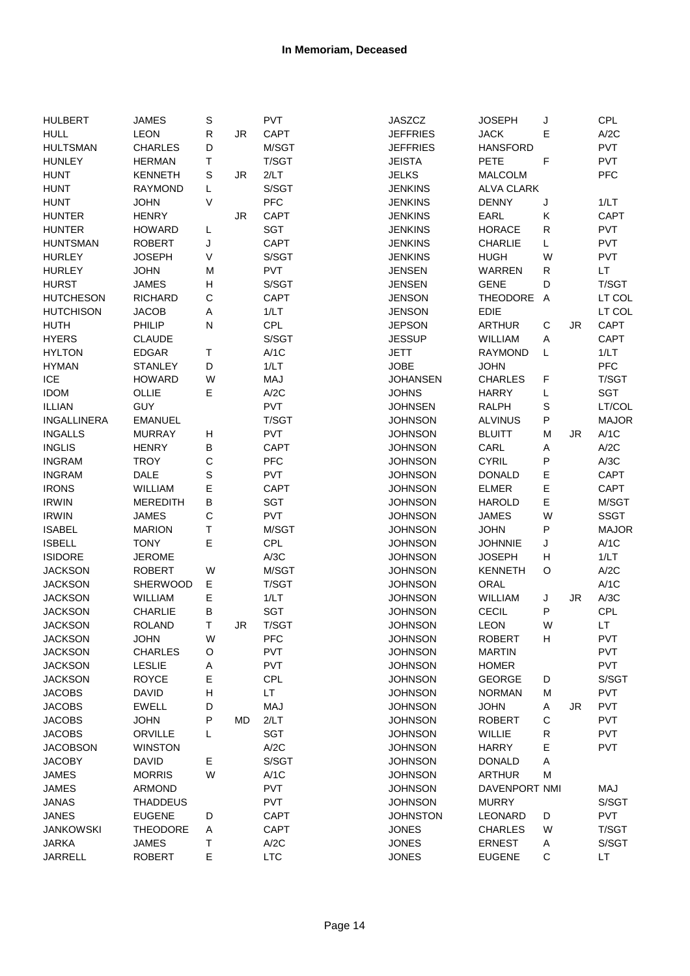| <b>HULBERT</b>     | <b>JAMES</b>    | S           |     | <b>PVT</b>  | <b>JASZCZ</b>                    | <b>JOSEPH</b>     | J              |    | CPL          |
|--------------------|-----------------|-------------|-----|-------------|----------------------------------|-------------------|----------------|----|--------------|
| <b>HULL</b>        | <b>LEON</b>     | R           | JR. | <b>CAPT</b> | <b>JEFFRIES</b>                  | <b>JACK</b>       | Е              |    | A/2C         |
| <b>HULTSMAN</b>    | <b>CHARLES</b>  | D           |     | M/SGT       | <b>JEFFRIES</b>                  | <b>HANSFORD</b>   |                |    | <b>PVT</b>   |
| <b>HUNLEY</b>      | <b>HERMAN</b>   | т           |     | T/SGT       | <b>JEISTA</b>                    | <b>PETE</b>       | F              |    | <b>PVT</b>   |
| <b>HUNT</b>        | <b>KENNETH</b>  | S           | JR  | 2/LT        | <b>JELKS</b>                     | <b>MALCOLM</b>    |                |    | <b>PFC</b>   |
| <b>HUNT</b>        | <b>RAYMOND</b>  | L           |     | S/SGT       | <b>JENKINS</b>                   | <b>ALVA CLARK</b> |                |    |              |
| <b>HUNT</b>        | <b>JOHN</b>     | V           |     | <b>PFC</b>  | <b>JENKINS</b>                   | <b>DENNY</b>      | J              |    | 1/LT         |
| <b>HUNTER</b>      | <b>HENRY</b>    |             | JR. | <b>CAPT</b> | <b>JENKINS</b>                   | EARL              | Κ              |    | <b>CAPT</b>  |
| <b>HUNTER</b>      | <b>HOWARD</b>   | L           |     | <b>SGT</b>  | <b>JENKINS</b>                   | <b>HORACE</b>     | R              |    | <b>PVT</b>   |
| <b>HUNTSMAN</b>    | <b>ROBERT</b>   | J           |     | <b>CAPT</b> | <b>JENKINS</b>                   | <b>CHARLIE</b>    | L.             |    | <b>PVT</b>   |
| <b>HURLEY</b>      | <b>JOSEPH</b>   | V           |     | S/SGT       | <b>JENKINS</b>                   | <b>HUGH</b>       | W              |    | <b>PVT</b>   |
| <b>HURLEY</b>      | <b>JOHN</b>     | M           |     | <b>PVT</b>  | <b>JENSEN</b>                    | WARREN            | R              |    | LT.          |
| <b>HURST</b>       | <b>JAMES</b>    | н           |     | S/SGT       | <b>JENSEN</b>                    | <b>GENE</b>       | D              |    | T/SGT        |
| <b>HUTCHESON</b>   | <b>RICHARD</b>  | C           |     | <b>CAPT</b> | <b>JENSON</b>                    | <b>THEODORE</b>   | $\overline{A}$ |    | LT COL       |
| <b>HUTCHISON</b>   | <b>JACOB</b>    | Α           |     | 1/LT        | <b>JENSON</b>                    | <b>EDIE</b>       |                |    | LT COL       |
| <b>HUTH</b>        | PHILIP          | ${\sf N}$   |     | <b>CPL</b>  | <b>JEPSON</b>                    | <b>ARTHUR</b>     | С              | JR | CAPT         |
| <b>HYERS</b>       | <b>CLAUDE</b>   |             |     | S/SGT       | <b>JESSUP</b>                    | WILLIAM           | Α              |    | CAPT         |
| <b>HYLTON</b>      | <b>EDGAR</b>    | T           |     | A/1C        | <b>JETT</b>                      | <b>RAYMOND</b>    | L              |    | 1/LT         |
| <b>HYMAN</b>       | <b>STANLEY</b>  | D           |     | 1/LT        | <b>JOBE</b>                      | <b>JOHN</b>       |                |    | PFC          |
| <b>ICE</b>         | <b>HOWARD</b>   | W           |     | MAJ         | <b>JOHANSEN</b>                  | <b>CHARLES</b>    | F              |    | T/SGT        |
| <b>IDOM</b>        | OLLIE           | E           |     | A/2C        | <b>JOHNS</b>                     | <b>HARRY</b>      | Г              |    | SGT          |
| <b>ILLIAN</b>      | <b>GUY</b>      |             |     | <b>PVT</b>  | <b>JOHNSEN</b>                   | <b>RALPH</b>      | $\mathbf S$    |    | LT/COL       |
| <b>INGALLINERA</b> | <b>EMANUEL</b>  |             |     | T/SGT       | <b>JOHNSON</b>                   | <b>ALVINUS</b>    | P              |    | <b>MAJOR</b> |
| <b>INGALLS</b>     | <b>MURRAY</b>   | н           |     | <b>PVT</b>  | <b>JOHNSON</b>                   | <b>BLUITT</b>     | М              | JR | A/1C         |
| <b>INGLIS</b>      | <b>HENRY</b>    | В           |     | CAPT        | <b>JOHNSON</b>                   | CARL              | Α              |    | A/2C         |
| <b>INGRAM</b>      | <b>TROY</b>     | С           |     | PFC         | <b>JOHNSON</b>                   | <b>CYRIL</b>      | P              |    | A/3C         |
| <b>INGRAM</b>      | <b>DALE</b>     | S           |     | <b>PVT</b>  | <b>JOHNSON</b>                   | <b>DONALD</b>     | E              |    | <b>CAPT</b>  |
| <b>IRONS</b>       | WILLIAM         | E           |     | <b>CAPT</b> | <b>JOHNSON</b>                   | <b>ELMER</b>      | E              |    | <b>CAPT</b>  |
| <b>IRWIN</b>       | <b>MEREDITH</b> | B           |     | SGT         |                                  | <b>HAROLD</b>     | E              |    | M/SGT        |
| <b>IRWIN</b>       | <b>JAMES</b>    | $\mathsf C$ |     | <b>PVT</b>  | <b>JOHNSON</b><br><b>JOHNSON</b> | <b>JAMES</b>      | W              |    | <b>SSGT</b>  |
| <b>ISABEL</b>      | <b>MARION</b>   | T           |     | M/SGT       | <b>JOHNSON</b>                   | <b>JOHN</b>       | P              |    | <b>MAJOR</b> |
| <b>ISBELL</b>      | <b>TONY</b>     | E           |     | CPL         | <b>JOHNSON</b>                   | <b>JOHNNIE</b>    | J              |    | A/1C         |
|                    |                 |             |     |             |                                  |                   |                |    |              |
| <b>ISIDORE</b>     | <b>JEROME</b>   |             |     | A/3C        | <b>JOHNSON</b>                   | <b>JOSEPH</b>     | н              |    | 1/LT         |
| <b>JACKSON</b>     | <b>ROBERT</b>   | W           |     | M/SGT       | <b>JOHNSON</b>                   | <b>KENNETH</b>    | O              |    | A/2C         |
| <b>JACKSON</b>     | <b>SHERWOOD</b> | Е           |     | T/SGT       | <b>JOHNSON</b>                   | ORAL              |                |    | A/1C         |
| <b>JACKSON</b>     | WILLIAM         | E           |     | 1/LT        | <b>JOHNSON</b>                   | WILLIAM           | J              | JR | A/3C         |
| <b>JACKSON</b>     | <b>CHARLIE</b>  | B           |     | <b>SGT</b>  | <b>JOHNSON</b>                   | <b>CECIL</b>      | P              |    | CPL          |
| <b>JACKSON</b>     | <b>ROLAND</b>   | T.          | JR  | T/SGT       | <b>JOHNSON</b>                   | <b>LEON</b>       | W              |    | LT.          |
| <b>JACKSON</b>     | JOHN            | W           |     | PFC         | <b>JOHNSON</b>                   | ROBERT            | н              |    | <b>PVT</b>   |
| <b>JACKSON</b>     | <b>CHARLES</b>  | O           |     | PVT         | <b>JOHNSON</b>                   | <b>MARTIN</b>     |                |    | <b>PVT</b>   |
| <b>JACKSON</b>     | <b>LESLIE</b>   | Α           |     | PVT         | <b>JOHNSON</b>                   | <b>HOMER</b>      |                |    | <b>PVT</b>   |
| <b>JACKSON</b>     | <b>ROYCE</b>    | Е           |     | <b>CPL</b>  | <b>JOHNSON</b>                   | <b>GEORGE</b>     | D              |    | S/SGT        |
| <b>JACOBS</b>      | <b>DAVID</b>    | н           |     | LT          | <b>JOHNSON</b>                   | <b>NORMAN</b>     | M              |    | <b>PVT</b>   |
| <b>JACOBS</b>      | <b>EWELL</b>    | D           |     | MAJ         | <b>JOHNSON</b>                   | <b>JOHN</b>       | Α              | JR | <b>PVT</b>   |
| <b>JACOBS</b>      | <b>JOHN</b>     | P           | MD. | 2/LT        | <b>JOHNSON</b>                   | <b>ROBERT</b>     | C              |    | <b>PVT</b>   |
| <b>JACOBS</b>      | ORVILLE         | L           |     | <b>SGT</b>  | <b>JOHNSON</b>                   | WILLIE            | $\mathsf R$    |    | <b>PVT</b>   |
| <b>JACOBSON</b>    | <b>WINSTON</b>  |             |     | A/2C        | <b>JOHNSON</b>                   | <b>HARRY</b>      | E              |    | <b>PVT</b>   |
| <b>JACOBY</b>      | <b>DAVID</b>    | Е           |     | S/SGT       | <b>JOHNSON</b>                   | <b>DONALD</b>     | Α              |    |              |
| <b>JAMES</b>       | <b>MORRIS</b>   | W           |     | A/1C        | <b>JOHNSON</b>                   | <b>ARTHUR</b>     | M              |    |              |
| <b>JAMES</b>       | <b>ARMOND</b>   |             |     | PVT         | <b>JOHNSON</b>                   | DAVENPORT NMI     |                |    | MAJ          |
| <b>JANAS</b>       | <b>THADDEUS</b> |             |     | <b>PVT</b>  | <b>JOHNSON</b>                   | <b>MURRY</b>      |                |    | S/SGT        |
| <b>JANES</b>       | <b>EUGENE</b>   | D           |     | <b>CAPT</b> | <b>JOHNSTON</b>                  | <b>LEONARD</b>    | D              |    | PVT          |
| <b>JANKOWSKI</b>   | <b>THEODORE</b> | Α           |     | <b>CAPT</b> | <b>JONES</b>                     | <b>CHARLES</b>    | W              |    | T/SGT        |
| <b>JARKA</b>       | <b>JAMES</b>    | Τ           |     | A/2C        | <b>JONES</b>                     | <b>ERNEST</b>     | Α              |    | S/SGT        |
| <b>JARRELL</b>     | <b>ROBERT</b>   | E           |     | <b>LTC</b>  | <b>JONES</b>                     | <b>EUGENE</b>     | С              |    | LT.          |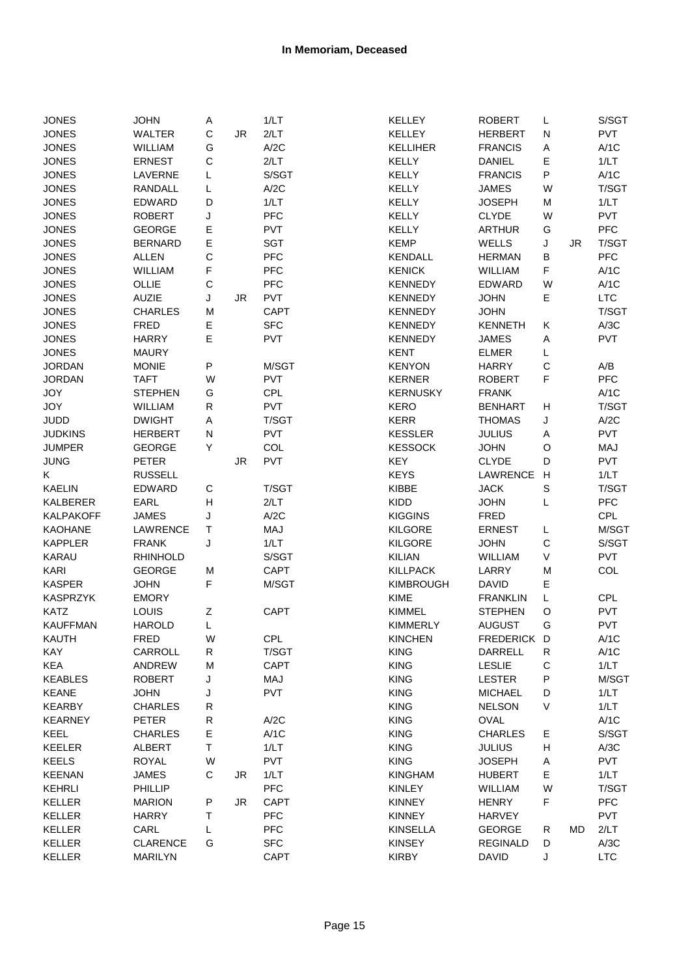| <b>JONES</b>     | <b>JOHN</b>     | Α           |           | 1/LT                        | <b>KELLEY</b>    | <b>ROBERT</b>   | L                |           | S/SGT      |
|------------------|-----------------|-------------|-----------|-----------------------------|------------------|-----------------|------------------|-----------|------------|
| <b>JONES</b>     | <b>WALTER</b>   | C           | <b>JR</b> | 2/LT                        | <b>KELLEY</b>    | <b>HERBERT</b>  | N                |           | PVT        |
| <b>JONES</b>     | WILLIAM         | G           |           | A/2C                        | <b>KELLIHER</b>  | <b>FRANCIS</b>  | A                |           | A/1C       |
| <b>JONES</b>     | <b>ERNEST</b>   | C           |           | 2/LT                        | <b>KELLY</b>     | <b>DANIEL</b>   | E                |           | 1/LT       |
| <b>JONES</b>     | LAVERNE         | Г           |           | S/SGT                       | <b>KELLY</b>     | <b>FRANCIS</b>  | P                |           | A/1C       |
| <b>JONES</b>     | <b>RANDALL</b>  | Г           |           | A/2C                        | <b>KELLY</b>     | <b>JAMES</b>    | W                |           | T/SGT      |
| <b>JONES</b>     | <b>EDWARD</b>   | D           |           | 1/LT                        | <b>KELLY</b>     | <b>JOSEPH</b>   | M                |           | 1/LT       |
| <b>JONES</b>     | <b>ROBERT</b>   | J           |           | PFC                         | <b>KELLY</b>     | <b>CLYDE</b>    | W                |           | <b>PVT</b> |
| <b>JONES</b>     | <b>GEORGE</b>   | Е           |           | PVT                         | <b>KELLY</b>     | <b>ARTHUR</b>   | G                |           | <b>PFC</b> |
| <b>JONES</b>     | <b>BERNARD</b>  | E           |           | SGT                         | <b>KEMP</b>      | WELLS           | J                | JR.       | T/SGT      |
| <b>JONES</b>     |                 | $\mathsf C$ |           | <b>PFC</b>                  | <b>KENDALL</b>   |                 | $\sf B$          |           | <b>PFC</b> |
|                  | <b>ALLEN</b>    |             |           |                             | <b>KENICK</b>    | <b>HERMAN</b>   |                  |           |            |
| <b>JONES</b>     | WILLIAM         | F           |           | <b>PFC</b>                  |                  | WILLIAM         | F                |           | A/1C       |
| <b>JONES</b>     | OLLIE           | $\mathsf C$ |           | <b>PFC</b>                  | <b>KENNEDY</b>   | <b>EDWARD</b>   | W                |           | A/1C       |
| <b>JONES</b>     | <b>AUZIE</b>    | J           | JR        | PVT                         | <b>KENNEDY</b>   | <b>JOHN</b>     | E                |           | <b>LTC</b> |
| <b>JONES</b>     | <b>CHARLES</b>  | M           |           | <b>CAPT</b>                 | <b>KENNEDY</b>   | <b>JOHN</b>     |                  |           | T/SGT      |
| <b>JONES</b>     | <b>FRED</b>     | Е           |           | <b>SFC</b>                  | <b>KENNEDY</b>   | <b>KENNETH</b>  | Κ                |           | A/3C       |
| <b>JONES</b>     | <b>HARRY</b>    | E           |           | <b>PVT</b>                  | <b>KENNEDY</b>   | <b>JAMES</b>    | A                |           | PVT        |
| <b>JONES</b>     | <b>MAURY</b>    |             |           |                             | <b>KENT</b>      | <b>ELMER</b>    | L                |           |            |
| <b>JORDAN</b>    | <b>MONIE</b>    | P           |           | M/SGT                       | <b>KENYON</b>    | <b>HARRY</b>    | $\mathsf C$      |           | A/B        |
| <b>JORDAN</b>    | <b>TAFT</b>     | W           |           | PVT                         | <b>KERNER</b>    | <b>ROBERT</b>   | F                |           | <b>PFC</b> |
| <b>JOY</b>       | <b>STEPHEN</b>  | G           |           | <b>CPL</b>                  | <b>KERNUSKY</b>  | <b>FRANK</b>    |                  |           | A/1C       |
| <b>JOY</b>       | WILLIAM         | R           |           | PVT                         | <b>KERO</b>      | <b>BENHART</b>  | H                |           | T/SGT      |
| <b>JUDD</b>      | <b>DWIGHT</b>   | A           |           | T/SGT                       | <b>KERR</b>      | <b>THOMAS</b>   | J                |           | A/2C       |
| <b>JUDKINS</b>   | <b>HERBERT</b>  | N           |           | PVT                         | <b>KESSLER</b>   | <b>JULIUS</b>   | A                |           | PVT        |
| <b>JUMPER</b>    | <b>GEORGE</b>   | Υ           |           | COL                         | <b>KESSOCK</b>   | <b>JOHN</b>     | $\circ$          |           | MAJ        |
| <b>JUNG</b>      | <b>PETER</b>    |             | <b>JR</b> | PVT                         | <b>KEY</b>       | <b>CLYDE</b>    | D                |           | <b>PVT</b> |
| Κ                | <b>RUSSELL</b>  |             |           |                             | <b>KEYS</b>      | LAWRENCE        | H                |           | 1/LT       |
| <b>KAELIN</b>    | EDWARD          | C           |           | T/SGT                       | KIBBE            | <b>JACK</b>     | $\mathbb S$      |           | T/SGT      |
| <b>KALBERER</b>  | <b>EARL</b>     | н           |           | 2/LT                        | KIDD             | <b>JOHN</b>     | L                |           | PFC        |
| <b>KALPAKOFF</b> | <b>JAMES</b>    | J           |           | A/2C                        | <b>KIGGINS</b>   | <b>FRED</b>     |                  |           | CPL        |
| <b>KAOHANE</b>   | LAWRENCE        | т           |           | MAJ                         | KILGORE          | <b>ERNEST</b>   |                  |           | M/SGT      |
| <b>KAPPLER</b>   |                 |             |           | 1/LT                        | KILGORE          |                 | L<br>$\mathsf C$ |           | S/SGT      |
|                  | <b>FRANK</b>    | J           |           |                             |                  | <b>JOHN</b>     |                  |           |            |
| KARAU            | <b>RHINHOLD</b> |             |           | S/SGT                       | <b>KILIAN</b>    | WILLIAM         | V                |           | <b>PVT</b> |
| KARI             | <b>GEORGE</b>   | M           |           | CAPT                        | <b>KILLPACK</b>  | LARRY           | M                |           | COL        |
| <b>KASPER</b>    | <b>JOHN</b>     | F           |           | M/SGT                       | <b>KIMBROUGH</b> | <b>DAVID</b>    | Е                |           |            |
| <b>KASPRZYK</b>  | <b>EMORY</b>    |             |           |                             | KIME             | <b>FRANKLIN</b> | L                |           | <b>CPL</b> |
| <b>KATZ</b>      | LOUIS           | Ζ           |           | <b>CAPT</b>                 | KIMMEL           | <b>STEPHEN</b>  | O                |           | <b>PVT</b> |
| <b>KAUFFMAN</b>  | <b>HAROLD</b>   | L           |           |                             | <b>KIMMERLY</b>  | <b>AUGUST</b>   | G                |           | <b>PVT</b> |
| KAUTH            | FRED            | w           |           | CPL                         | KINCHEN          | FREDERICK       | D                |           | A/1C       |
| KAY              | CARROLL         | R           |           | T/SGT                       | <b>KING</b>      | DARRELL         | $\mathsf R$      |           | A/1C       |
| <b>KEA</b>       | ANDREW          | M           |           | <b>CAPT</b>                 | <b>KING</b>      | <b>LESLIE</b>   | $\mathsf C$      |           | 1/LT       |
| <b>KEABLES</b>   | <b>ROBERT</b>   | J           |           | MAJ                         | <b>KING</b>      | <b>LESTER</b>   | P                |           | M/SGT      |
| <b>KEANE</b>     | <b>JOHN</b>     | J           |           | PVT                         | <b>KING</b>      | <b>MICHAEL</b>  | D                |           | 1/LT       |
| <b>KEARBY</b>    | <b>CHARLES</b>  | R           |           |                             | <b>KING</b>      | <b>NELSON</b>   | V                |           | 1/LT       |
| <b>KEARNEY</b>   | <b>PETER</b>    | R           |           | A/2C                        | <b>KING</b>      | <b>OVAL</b>     |                  |           | A/1C       |
| KEEL             | <b>CHARLES</b>  | E           |           | A/1C                        | <b>KING</b>      | <b>CHARLES</b>  | Е                |           | S/SGT      |
| <b>KEELER</b>    | ALBERT          | T           |           | 1/LT                        | <b>KING</b>      | <b>JULIUS</b>   | $\mathsf{H}$     |           | A/3C       |
| <b>KEELS</b>     | <b>ROYAL</b>    | W           |           | <b>PVT</b>                  | <b>KING</b>      | <b>JOSEPH</b>   | A                |           | <b>PVT</b> |
| <b>KEENAN</b>    | <b>JAMES</b>    | С           | JR        | 1/LT                        | <b>KINGHAM</b>   | <b>HUBERT</b>   | E                |           | 1/LT       |
| <b>KEHRLI</b>    | PHILLIP         |             |           | PFC                         | <b>KINLEY</b>    | WILLIAM         | W                |           | T/SGT      |
| <b>KELLER</b>    | <b>MARION</b>   | P           | JR.       | <b>CAPT</b>                 | <b>KINNEY</b>    | <b>HENRY</b>    | F                |           | PFC        |
| <b>KELLER</b>    | <b>HARRY</b>    | Τ           |           | PFC                         | <b>KINNEY</b>    | <b>HARVEY</b>   |                  |           | PVT        |
| <b>KELLER</b>    | CARL            | L           |           | $\ensuremath{\mathsf{PFC}}$ | <b>KINSELLA</b>  | GEORGE          | ${\sf R}$        | <b>MD</b> | 2/LT       |
|                  |                 | G           |           | <b>SFC</b>                  |                  |                 |                  |           |            |
| <b>KELLER</b>    | <b>CLARENCE</b> |             |           |                             | <b>KINSEY</b>    | <b>REGINALD</b> | D                |           | A/3C       |
| <b>KELLER</b>    | MARILYN         |             |           | CAPT                        | <b>KIRBY</b>     | <b>DAVID</b>    | J                |           | <b>LTC</b> |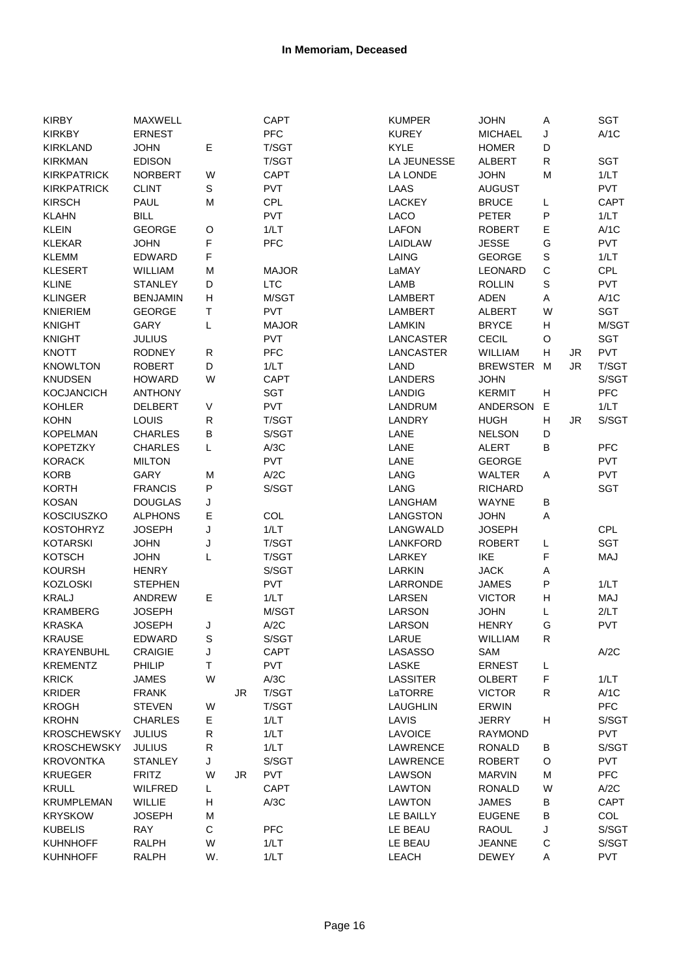| <b>KIRBY</b>       | MAXWELL         |             |     | CAPT         | <b>KUMPER</b>  | <b>JOHN</b>     | A            |     | SGT         |
|--------------------|-----------------|-------------|-----|--------------|----------------|-----------------|--------------|-----|-------------|
| <b>KIRKBY</b>      | <b>ERNEST</b>   |             |     | PFC          | <b>KUREY</b>   | <b>MICHAEL</b>  | J            |     | A/1C        |
| <b>KIRKLAND</b>    | <b>JOHN</b>     | E           |     | T/SGT        | <b>KYLE</b>    | <b>HOMER</b>    | D            |     |             |
| <b>KIRKMAN</b>     | <b>EDISON</b>   |             |     | T/SGT        | LA JEUNESSE    | <b>ALBERT</b>   | R            |     | <b>SGT</b>  |
| <b>KIRKPATRICK</b> | <b>NORBERT</b>  | W           |     | <b>CAPT</b>  | LA LONDE       | <b>JOHN</b>     | M            |     | 1/LT        |
| <b>KIRKPATRICK</b> | <b>CLINT</b>    | $\mathbf S$ |     | PVT          | LAAS           | <b>AUGUST</b>   |              |     | <b>PVT</b>  |
| <b>KIRSCH</b>      | <b>PAUL</b>     | M           |     | <b>CPL</b>   | <b>LACKEY</b>  | <b>BRUCE</b>    | L            |     | <b>CAPT</b> |
| <b>KLAHN</b>       | <b>BILL</b>     |             |     | <b>PVT</b>   | LACO           | PETER           | Ρ            |     | 1/LT        |
| <b>KLEIN</b>       | <b>GEORGE</b>   | O           |     | 1/LT         | <b>LAFON</b>   | <b>ROBERT</b>   | Е            |     | A/1C        |
| <b>KLEKAR</b>      | <b>JOHN</b>     | F           |     | PFC          | LAIDLAW        | <b>JESSE</b>    | G            |     | <b>PVT</b>  |
|                    |                 | F           |     |              |                |                 |              |     |             |
| <b>KLEMM</b>       | <b>EDWARD</b>   |             |     |              | LAING          | <b>GEORGE</b>   | $\mathbf S$  |     | 1/LT        |
| <b>KLESERT</b>     | <b>WILLIAM</b>  | M           |     | <b>MAJOR</b> | LaMAY          | LEONARD         | $\mathsf{C}$ |     | CPL         |
| <b>KLINE</b>       | <b>STANLEY</b>  | D           |     | <b>LTC</b>   | LAMB           | <b>ROLLIN</b>   | $\mathbf S$  |     | <b>PVT</b>  |
| <b>KLINGER</b>     | <b>BENJAMIN</b> | Н           |     | M/SGT        | LAMBERT        | <b>ADEN</b>     | Α            |     | A/1C        |
| KNIERIEM           | <b>GEORGE</b>   | T.          |     | PVT          | <b>LAMBERT</b> | ALBERT          | W            |     | <b>SGT</b>  |
| <b>KNIGHT</b>      | GARY            | L           |     | <b>MAJOR</b> | <b>LAMKIN</b>  | <b>BRYCE</b>    | Н            |     | M/SGT       |
| <b>KNIGHT</b>      | <b>JULIUS</b>   |             |     | <b>PVT</b>   | LANCASTER      | CECIL           | O            |     | <b>SGT</b>  |
| <b>KNOTT</b>       | <b>RODNEY</b>   | ${\sf R}$   |     | PFC          | LANCASTER      | WILLIAM         | н            | JR  | <b>PVT</b>  |
| <b>KNOWLTON</b>    | <b>ROBERT</b>   | D           |     | 1/LT         | LAND           | <b>BREWSTER</b> | M            | JR  | T/SGT       |
| <b>KNUDSEN</b>     | <b>HOWARD</b>   | W           |     | <b>CAPT</b>  | <b>LANDERS</b> | <b>JOHN</b>     |              |     | S/SGT       |
| <b>KOCJANCICH</b>  | <b>ANTHONY</b>  |             |     | SGT          | LANDIG         | <b>KERMIT</b>   | $\mathsf{H}$ |     | <b>PFC</b>  |
| <b>KOHLER</b>      | <b>DELBERT</b>  | $\sf V$     |     | <b>PVT</b>   | LANDRUM        | <b>ANDERSON</b> | E            |     | 1/LT        |
| <b>KOHN</b>        | LOUIS           | R           |     | T/SGT        | LANDRY         | <b>HUGH</b>     | н            | JR. | S/SGT       |
| <b>KOPELMAN</b>    | <b>CHARLES</b>  | B           |     | S/SGT        | LANE           | <b>NELSON</b>   | D            |     |             |
| <b>KOPETZKY</b>    | <b>CHARLES</b>  | L           |     | A/3C         | LANE           | <b>ALERT</b>    | B            |     | <b>PFC</b>  |
| <b>KORACK</b>      | <b>MILTON</b>   |             |     | <b>PVT</b>   | LANE           | <b>GEORGE</b>   |              |     | <b>PVT</b>  |
| <b>KORB</b>        | GARY            | M           |     | A/2C         | LANG           | <b>WALTER</b>   | Α            |     | <b>PVT</b>  |
| <b>KORTH</b>       | <b>FRANCIS</b>  | P           |     | S/SGT        | LANG           | <b>RICHARD</b>  |              |     | <b>SGT</b>  |
| <b>KOSAN</b>       | <b>DOUGLAS</b>  | J           |     |              |                |                 |              |     |             |
|                    |                 |             |     |              | LANGHAM        | WAYNE           | B            |     |             |
| <b>KOSCIUSZKO</b>  | <b>ALPHONS</b>  | Е           |     | COL          | LANGSTON       | <b>JOHN</b>     | Α            |     |             |
| <b>KOSTOHRYZ</b>   | <b>JOSEPH</b>   | J           |     | 1/LT         | LANGWALD       | <b>JOSEPH</b>   |              |     | <b>CPL</b>  |
| <b>KOTARSKI</b>    | <b>JOHN</b>     | J           |     | T/SGT        | LANKFORD       | <b>ROBERT</b>   | L            |     | <b>SGT</b>  |
| <b>KOTSCH</b>      | <b>JOHN</b>     | Г           |     | T/SGT        | <b>LARKEY</b>  | IKE             | F            |     | MAJ         |
| <b>KOURSH</b>      | <b>HENRY</b>    |             |     | S/SGT        | <b>LARKIN</b>  | <b>JACK</b>     | Α            |     |             |
| <b>KOZLOSKI</b>    | <b>STEPHEN</b>  |             |     | <b>PVT</b>   | LARRONDE       | <b>JAMES</b>    | P            |     | 1/LT        |
| <b>KRALJ</b>       | ANDREW          | E           |     | 1/LT         | <b>LARSEN</b>  | <b>VICTOR</b>   | Н            |     | MAJ         |
| <b>KRAMBERG</b>    | <b>JOSEPH</b>   |             |     | M/SGT        | LARSON         | <b>JOHN</b>     | L            |     | 2/LT        |
| <b>KRASKA</b>      | <b>JOSEPH</b>   | J           |     | A/2C         | LARSON         | <b>HENRY</b>    | G            |     | <b>PVT</b>  |
| <b>KRAUSE</b>      | EDWARD          | S           |     | S/SGT        | LARUE          | <b>WILLIAM</b>  | R            |     |             |
| KRAYENBUHL         | <b>CRAIGIE</b>  | J           |     | <b>CAPT</b>  | LASASSO        | SAM             |              |     | A/2C        |
| <b>KREMENTZ</b>    | PHILIP          | Τ           |     | <b>PVT</b>   | LASKE          | <b>ERNEST</b>   | L            |     |             |
| <b>KRICK</b>       | <b>JAMES</b>    | W           |     | A/3C         | LASSITER       | <b>OLBERT</b>   | F            |     | 1/LT        |
| <b>KRIDER</b>      | <b>FRANK</b>    |             | JR. | T/SGT        | LaTORRE        | <b>VICTOR</b>   | ${\sf R}$    |     | A/1C        |
| <b>KROGH</b>       | <b>STEVEN</b>   | W           |     | T/SGT        | LAUGHLIN       | ERWIN           |              |     | PFC         |
| <b>KROHN</b>       | <b>CHARLES</b>  | Е           |     | 1/LT         | LAVIS          | <b>JERRY</b>    | Н            |     | S/SGT       |
| <b>KROSCHEWSKY</b> | <b>JULIUS</b>   | ${\sf R}$   |     | 1/LT         | <b>LAVOICE</b> | <b>RAYMOND</b>  |              |     | PVT         |
| <b>KROSCHEWSKY</b> | <b>JULIUS</b>   | R           |     | 1/LT         | LAWRENCE       | <b>RONALD</b>   | B            |     | S/SGT       |
| <b>KROVONTKA</b>   | <b>STANLEY</b>  | J           |     | S/SGT        | LAWRENCE       | <b>ROBERT</b>   | O            |     | <b>PVT</b>  |
|                    |                 |             |     |              |                |                 |              |     |             |
| <b>KRUEGER</b>     | <b>FRITZ</b>    | W           | JR. | <b>PVT</b>   | LAWSON         | <b>MARVIN</b>   | М            |     | PFC         |
| <b>KRULL</b>       | <b>WILFRED</b>  | L           |     | <b>CAPT</b>  | <b>LAWTON</b>  | <b>RONALD</b>   | W            |     | A/2C        |
| <b>KRUMPLEMAN</b>  | WILLIE          | Н           |     | A/3C         | <b>LAWTON</b>  | <b>JAMES</b>    | В            |     | <b>CAPT</b> |
| <b>KRYSKOW</b>     | <b>JOSEPH</b>   | M           |     |              | LE BAILLY      | <b>EUGENE</b>   | B            |     | COL         |
| <b>KUBELIS</b>     | <b>RAY</b>      | C           |     | PFC          | LE BEAU        | <b>RAOUL</b>    | J            |     | S/SGT       |
| <b>KUHNHOFF</b>    | <b>RALPH</b>    | W           |     | 1/LT         | LE BEAU        | <b>JEANNE</b>   | C            |     | S/SGT       |
| <b>KUHNHOFF</b>    | <b>RALPH</b>    | W.          |     | 1/LT         | LEACH          | <b>DEWEY</b>    | A            |     | <b>PVT</b>  |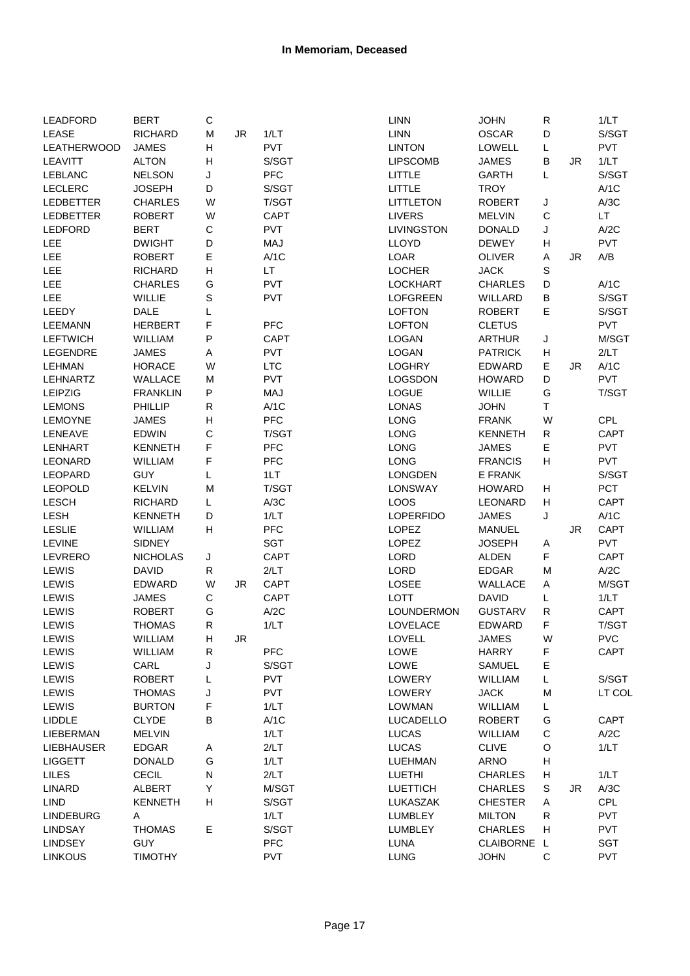| <b>LEADFORD</b>    | <b>BERT</b>     | С         |     |             | LINN              | <b>JOHN</b>    | R           |           | 1/LT        |
|--------------------|-----------------|-----------|-----|-------------|-------------------|----------------|-------------|-----------|-------------|
| LEASE              | <b>RICHARD</b>  | M         | JR  | 1/LT        | LINN              | <b>OSCAR</b>   | D           |           | S/SGT       |
| <b>LEATHERWOOD</b> | <b>JAMES</b>    | н         |     | PVT         | <b>LINTON</b>     | <b>LOWELL</b>  | L           |           | <b>PVT</b>  |
| <b>LEAVITT</b>     | <b>ALTON</b>    | н         |     | S/SGT       | <b>LIPSCOMB</b>   | <b>JAMES</b>   | B           | JR.       | 1/LT        |
| <b>LEBLANC</b>     | <b>NELSON</b>   | J         |     | <b>PFC</b>  | <b>LITTLE</b>     | <b>GARTH</b>   | L           |           | S/SGT       |
| <b>LECLERC</b>     | <b>JOSEPH</b>   | D         |     | S/SGT       | LITTLE            | <b>TROY</b>    |             |           | A/1C        |
| <b>LEDBETTER</b>   | <b>CHARLES</b>  | W         |     | T/SGT       | <b>LITTLETON</b>  | <b>ROBERT</b>  | J           |           | A/3C        |
| <b>LEDBETTER</b>   | <b>ROBERT</b>   | W         |     | <b>CAPT</b> | <b>LIVERS</b>     | <b>MELVIN</b>  | C           |           | LT.         |
| <b>LEDFORD</b>     | <b>BERT</b>     | C         |     | <b>PVT</b>  | <b>LIVINGSTON</b> | <b>DONALD</b>  | J           |           | A/2C        |
| LEE                | <b>DWIGHT</b>   | D         |     | MAJ         | <b>LLOYD</b>      | <b>DEWEY</b>   | н           |           | <b>PVT</b>  |
| LEE                | <b>ROBERT</b>   | Е         |     | A/1C        | LOAR              | <b>OLIVER</b>  | Α           | <b>JR</b> | A/B         |
| LEE                | <b>RICHARD</b>  | Н         |     | LT          | <b>LOCHER</b>     | <b>JACK</b>    | $\mathsf S$ |           |             |
| LEE                | <b>CHARLES</b>  | G         |     | <b>PVT</b>  | <b>LOCKHART</b>   | <b>CHARLES</b> | D           |           | A/1C        |
| LEE                | WILLIE          | S         |     | <b>PVT</b>  | <b>LOFGREEN</b>   | WILLARD        | B           |           | S/SGT       |
| LEEDY              | <b>DALE</b>     | L         |     |             | <b>LOFTON</b>     | <b>ROBERT</b>  | E           |           | S/SGT       |
| <b>LEEMANN</b>     | <b>HERBERT</b>  | F         |     | <b>PFC</b>  | <b>LOFTON</b>     | <b>CLETUS</b>  |             |           | <b>PVT</b>  |
| <b>LEFTWICH</b>    | WILLIAM         | P         |     | <b>CAPT</b> | LOGAN             | <b>ARTHUR</b>  | J           |           | M/SGT       |
| LEGENDRE           | <b>JAMES</b>    | Α         |     | <b>PVT</b>  | <b>LOGAN</b>      | <b>PATRICK</b> | н           |           | 2/LT        |
| <b>LEHMAN</b>      | <b>HORACE</b>   | W         |     | <b>LTC</b>  | <b>LOGHRY</b>     | <b>EDWARD</b>  | Е           | JR        | A/1C        |
| <b>LEHNARTZ</b>    | WALLACE         | M         |     | PVT         | <b>LOGSDON</b>    | <b>HOWARD</b>  | D           |           | <b>PVT</b>  |
| LEIPZIG            | <b>FRANKLIN</b> | P         |     | MAJ         | LOGUE             | WILLIE         | G           |           | T/SGT       |
| <b>LEMONS</b>      | PHILLIP         | R         |     | A/1C        | LONAS             | <b>JOHN</b>    | Τ           |           |             |
| <b>LEMOYNE</b>     | <b>JAMES</b>    | Н         |     | <b>PFC</b>  | LONG              | <b>FRANK</b>   | W           |           | <b>CPL</b>  |
| LENEAVE            | <b>EDWIN</b>    | C         |     | T/SGT       | LONG              | <b>KENNETH</b> | R           |           | CAPT        |
| <b>LENHART</b>     | <b>KENNETH</b>  | F         |     | <b>PFC</b>  |                   | <b>JAMES</b>   | E           |           | <b>PVT</b>  |
| <b>LEONARD</b>     | WILLIAM         | F         |     | <b>PFC</b>  | <b>LONG</b>       | <b>FRANCIS</b> | H           |           | <b>PVT</b>  |
|                    |                 |           |     |             | LONG              |                |             |           |             |
| <b>LEOPARD</b>     | <b>GUY</b>      | Г         |     | 1LT         | <b>LONGDEN</b>    | E FRANK        |             |           | S/SGT       |
| <b>LEOPOLD</b>     | <b>KELVIN</b>   | M         |     | T/SGT       | <b>LONSWAY</b>    | <b>HOWARD</b>  | н           |           | <b>PCT</b>  |
| <b>LESCH</b>       | <b>RICHARD</b>  | L         |     | A/3C        | LOOS              | <b>LEONARD</b> | Н           |           | <b>CAPT</b> |
| LESH               | <b>KENNETH</b>  | D         |     | 1/LT        | <b>LOPERFIDO</b>  | <b>JAMES</b>   | J           |           | A/1C        |
| <b>LESLIE</b>      | WILLIAM         | н         |     | <b>PFC</b>  | LOPEZ             | <b>MANUEL</b>  |             | JR        | <b>CAPT</b> |
| <b>LEVINE</b>      | <b>SIDNEY</b>   |           |     | <b>SGT</b>  | LOPEZ             | <b>JOSEPH</b>  | Α           |           | <b>PVT</b>  |
| LEVRERO            | <b>NICHOLAS</b> | J         |     | <b>CAPT</b> | <b>LORD</b>       | <b>ALDEN</b>   | F           |           | <b>CAPT</b> |
| LEWIS              | <b>DAVID</b>    | R         |     | 2/LT        | <b>LORD</b>       | <b>EDGAR</b>   | M           |           | A/2C        |
| LEWIS              | <b>EDWARD</b>   | W         | JR. | <b>CAPT</b> | <b>LOSEE</b>      | <b>WALLACE</b> | Α           |           | M/SGT       |
| LEWIS              | <b>JAMES</b>    | C         |     | <b>CAPT</b> | <b>LOTT</b>       | <b>DAVID</b>   | L           |           | 1/LT        |
| LEWIS              | <b>ROBERT</b>   | G         |     | A/2C        | LOUNDERMON        | <b>GUSTARV</b> | R           |           | CAPT        |
| LEWIS              | <b>THOMAS</b>   | R         |     | 1/LT        | <b>LOVELACE</b>   | <b>EDWARD</b>  | F           |           | T/SGT       |
| LEWIS              | WILLIAM         | н         | JR. |             | LOVELL            | <b>JAMES</b>   | W           |           | <b>PVC</b>  |
| LEWIS              | WILLIAM         | R         |     | <b>PFC</b>  | LOWE              | <b>HARRY</b>   | F           |           | <b>CAPT</b> |
| LEWIS              | CARL            | J         |     | S/SGT       | LOWE              | <b>SAMUEL</b>  | Е           |           |             |
| LEWIS              | <b>ROBERT</b>   | L         |     | <b>PVT</b>  | LOWERY            | <b>WILLIAM</b> | L           |           | S/SGT       |
| LEWIS              | <b>THOMAS</b>   | J         |     | PVT         | LOWERY            | <b>JACK</b>    | M           |           | LT COL      |
| LEWIS              | <b>BURTON</b>   | F         |     | 1/LT        | <b>LOWMAN</b>     | WILLIAM        | L           |           |             |
| LIDDLE             | <b>CLYDE</b>    | В         |     | A/1C        | LUCADELLO         | <b>ROBERT</b>  | G           |           | <b>CAPT</b> |
| LIEBERMAN          | <b>MELVIN</b>   |           |     | 1/LT        | LUCAS             | <b>WILLIAM</b> | C           |           | A/2C        |
| <b>LIEBHAUSER</b>  | <b>EDGAR</b>    | Α         |     | 2/LT        | LUCAS             | <b>CLIVE</b>   | O           |           | 1/LT        |
| <b>LIGGETT</b>     | <b>DONALD</b>   | G         |     | 1/LT        | LUEHMAN           | <b>ARNO</b>    | Н           |           |             |
| <b>LILES</b>       | CECIL           | ${\sf N}$ |     | 2/LT        | LUETHI            | <b>CHARLES</b> | Н           |           | 1/LT        |
| LINARD             | ALBERT          | Υ         |     | M/SGT       | <b>LUETTICH</b>   | <b>CHARLES</b> | S           | JR        | A/3C        |
| <b>LIND</b>        | <b>KENNETH</b>  | н         |     | S/SGT       | LUKASZAK          | <b>CHESTER</b> | Α           |           | CPL         |
| <b>LINDEBURG</b>   | Α               |           |     | 1/LT        | <b>LUMBLEY</b>    | <b>MILTON</b>  | R           |           | <b>PVT</b>  |
| <b>LINDSAY</b>     | <b>THOMAS</b>   | Е         |     | S/SGT       | LUMBLEY           | <b>CHARLES</b> | Н           |           | <b>PVT</b>  |
| <b>LINDSEY</b>     | <b>GUY</b>      |           |     | <b>PFC</b>  | <b>LUNA</b>       | CLAIBORNE L    |             |           | <b>SGT</b>  |
| <b>LINKOUS</b>     | <b>TIMOTHY</b>  |           |     | <b>PVT</b>  | <b>LUNG</b>       | <b>JOHN</b>    | C           |           | <b>PVT</b>  |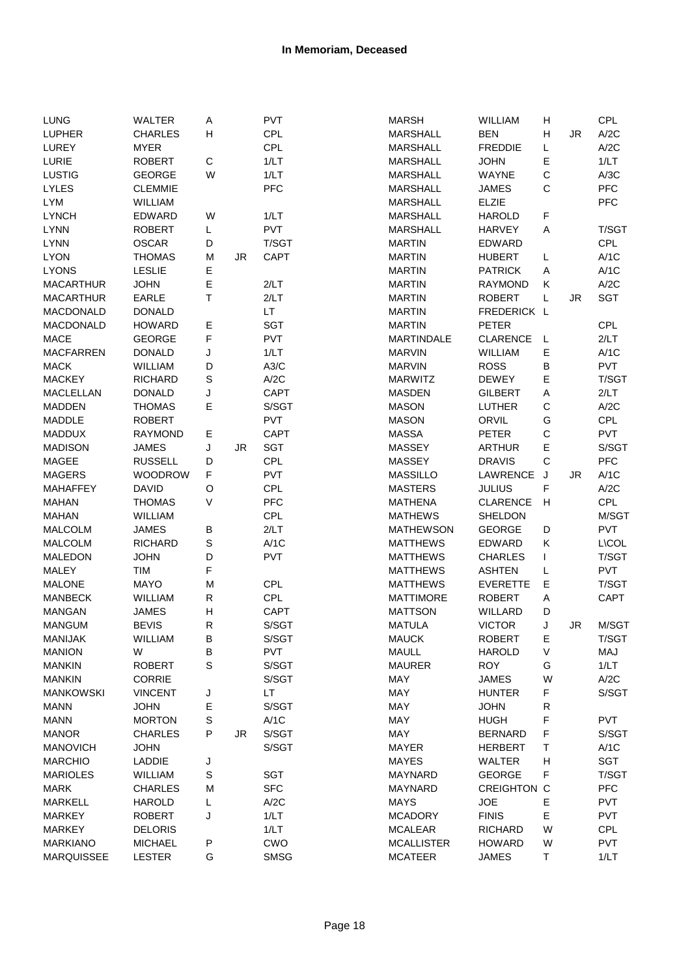| <b>LUNG</b>                     | WALTER         | Α           |           | <b>PVT</b>  | <b>MARSH</b>                  | WILLIAM            | Н           |           | CPL            |
|---------------------------------|----------------|-------------|-----------|-------------|-------------------------------|--------------------|-------------|-----------|----------------|
| <b>LUPHER</b>                   | <b>CHARLES</b> | н           |           | CPL         | <b>MARSHALL</b>               | <b>BEN</b>         | н           | <b>JR</b> | A/2C           |
| LUREY                           | <b>MYER</b>    |             |           | <b>CPL</b>  | <b>MARSHALL</b>               | <b>FREDDIE</b>     | L           |           | A/2C           |
| LURIE                           | <b>ROBERT</b>  | C           |           | 1/LT        | <b>MARSHALL</b>               | <b>JOHN</b>        | Е           |           | 1/LT           |
| <b>LUSTIG</b>                   | <b>GEORGE</b>  | W           |           | 1/LT        | MARSHALL                      | WAYNE              | C           |           | A/3C           |
| <b>LYLES</b>                    | <b>CLEMMIE</b> |             |           | PFC         | <b>MARSHALL</b>               | <b>JAMES</b>       | $\mathsf C$ |           | <b>PFC</b>     |
| <b>LYM</b>                      | <b>WILLIAM</b> |             |           |             | <b>MARSHALL</b>               | <b>ELZIE</b>       |             |           | <b>PFC</b>     |
| <b>LYNCH</b>                    | <b>EDWARD</b>  | W           |           | 1/LT        | <b>MARSHALL</b>               | <b>HAROLD</b>      | F           |           |                |
| <b>LYNN</b>                     | <b>ROBERT</b>  | L           |           | <b>PVT</b>  | <b>MARSHALL</b>               | <b>HARVEY</b>      | Α           |           | T/SGT          |
| <b>LYNN</b>                     | OSCAR          | D           |           | T/SGT       | <b>MARTIN</b>                 | EDWARD             |             |           | <b>CPL</b>     |
| <b>LYON</b>                     | <b>THOMAS</b>  | M           | <b>JR</b> | CAPT        | <b>MARTIN</b>                 | <b>HUBERT</b>      | L           |           | A/1C           |
| <b>LYONS</b>                    | <b>LESLIE</b>  | Е           |           |             | <b>MARTIN</b>                 | <b>PATRICK</b>     | Α           |           | A/1C           |
| <b>MACARTHUR</b>                | <b>JOHN</b>    | E           |           | 2/LT        | <b>MARTIN</b>                 | <b>RAYMOND</b>     | Κ           |           | A/2C           |
| <b>MACARTHUR</b>                | EARLE          | $\top$      |           | 2/LT        | <b>MARTIN</b>                 | <b>ROBERT</b>      | L           | <b>JR</b> | <b>SGT</b>     |
| MACDONALD                       | <b>DONALD</b>  |             |           | LT.         | <b>MARTIN</b>                 | FREDERICK L        |             |           |                |
| MACDONALD                       | <b>HOWARD</b>  | Е           |           | <b>SGT</b>  | <b>MARTIN</b>                 | <b>PETER</b>       |             |           | <b>CPL</b>     |
| <b>MACE</b>                     | <b>GEORGE</b>  | F           |           | PVT         | <b>MARTINDALE</b>             | CLARENCE           | L           |           | 2/LT           |
| <b>MACFARREN</b>                | <b>DONALD</b>  | J           |           | 1/LT        | <b>MARVIN</b>                 | WILLIAM            | Е           |           | A/1C           |
| <b>MACK</b>                     | WILLIAM        | D           |           | A3/C        | <b>MARVIN</b>                 | <b>ROSS</b>        | В           |           | <b>PVT</b>     |
| <b>MACKEY</b>                   | <b>RICHARD</b> | $\mathbb S$ |           | A/2C        | <b>MARWITZ</b>                | <b>DEWEY</b>       | E           |           | T/SGT          |
| <b>MACLELLAN</b>                | <b>DONALD</b>  | J           |           | <b>CAPT</b> | <b>MASDEN</b>                 | <b>GILBERT</b>     | $\mathsf A$ |           | 2/LT           |
| <b>MADDEN</b>                   | <b>THOMAS</b>  | E           |           | S/SGT       | <b>MASON</b>                  | <b>LUTHER</b>      | $\mathsf C$ |           | A/2C           |
| <b>MADDLE</b>                   | <b>ROBERT</b>  |             |           | PVT         | <b>MASON</b>                  | ORVIL              | G           |           | CPL            |
| <b>MADDUX</b>                   | <b>RAYMOND</b> | Е           |           | <b>CAPT</b> | <b>MASSA</b>                  | <b>PETER</b>       | C           |           | <b>PVT</b>     |
| <b>MADISON</b>                  | <b>JAMES</b>   | J           | <b>JR</b> | SGT         | <b>MASSEY</b>                 | <b>ARTHUR</b>      | E           |           | S/SGT          |
| <b>MAGEE</b>                    | <b>RUSSELL</b> | D           |           | <b>CPL</b>  | MASSEY                        | <b>DRAVIS</b>      | $\mathsf C$ |           | <b>PFC</b>     |
| <b>MAGERS</b>                   | <b>WOODROW</b> | F           |           | <b>PVT</b>  | <b>MASSILLO</b>               | LAWRENCE           | J           | <b>JR</b> | A/1C           |
| <b>MAHAFFEY</b>                 | <b>DAVID</b>   | O           |           | <b>CPL</b>  | <b>MASTERS</b>                | <b>JULIUS</b>      | F           |           | A/2C           |
| <b>MAHAN</b>                    | <b>THOMAS</b>  | V           |           | PFC         | <b>MATHENA</b>                | <b>CLARENCE</b>    | H           |           | CPL            |
| <b>MAHAN</b>                    | <b>WILLIAM</b> |             |           | <b>CPL</b>  | <b>MATHEWS</b>                | SHELDON            |             |           | M/SGT          |
| <b>MALCOLM</b>                  | <b>JAMES</b>   | B           |           | 2/LT        | <b>MATHEWSON</b>              | <b>GEORGE</b>      | D           |           | <b>PVT</b>     |
| <b>MALCOLM</b>                  | <b>RICHARD</b> | $\mathbb S$ |           | A/1C        | <b>MATTHEWS</b>               | EDWARD             | Κ           |           | <b>L\COL</b>   |
| <b>MALEDON</b>                  | <b>JOHN</b>    | D           |           | <b>PVT</b>  | <b>MATTHEWS</b>               | <b>CHARLES</b>     | L           |           | T/SGT          |
| <b>MALEY</b>                    | <b>TIM</b>     | F           |           |             | <b>MATTHEWS</b>               | <b>ASHTEN</b>      | L           |           | <b>PVT</b>     |
| <b>MALONE</b>                   | <b>MAYO</b>    | M           |           | CPL         | <b>MATTHEWS</b>               | <b>EVERETTE</b>    | E           |           | T/SGT          |
| <b>MANBECK</b>                  | <b>WILLIAM</b> | R           |           | CPL         | <b>MATTIMORE</b>              | <b>ROBERT</b>      | Α           |           | CAPT           |
| <b>MANGAN</b>                   | <b>JAMES</b>   | н           |           | <b>CAPT</b> | <b>MATTSON</b>                | WILLARD            | D           |           |                |
|                                 | <b>BEVIS</b>   | R           |           | S/SGT       |                               | <b>VICTOR</b>      | J           |           |                |
| <b>MANGUM</b><br><b>MANIJAK</b> | <b>WILLIAM</b> | в           |           | S/SGT       | <b>MATULA</b><br><b>MAUCK</b> | <b>ROBERT</b>      |             | <b>JR</b> | M/SGT<br>T/SGT |
| <b>MANION</b>                   | W              | B           |           | <b>PVT</b>  | <b>MAULL</b>                  | <b>HAROLD</b>      | Ε<br>V      |           | MAJ            |
|                                 |                | $\mathsf S$ |           |             |                               |                    |             |           |                |
| <b>MANKIN</b>                   | <b>ROBERT</b>  |             |           | S/SGT       | <b>MAURER</b>                 | <b>ROY</b>         | G           |           | 1/LT           |
| <b>MANKIN</b>                   | <b>CORRIE</b>  |             |           | S/SGT       | MAY                           | <b>JAMES</b>       | W           |           | A/2C           |
| <b>MANKOWSKI</b>                | <b>VINCENT</b> | J           |           | LT          | MAY                           | <b>HUNTER</b>      | F           |           | S/SGT          |
| <b>MANN</b>                     | <b>JOHN</b>    | E           |           | S/SGT       | MAY                           | <b>JOHN</b>        | R           |           |                |
| <b>MANN</b>                     | <b>MORTON</b>  | S           |           | A/1C        | MAY                           | <b>HUGH</b>        | F           |           | <b>PVT</b>     |
| <b>MANOR</b>                    | <b>CHARLES</b> | P           | JR        | S/SGT       | MAY                           | <b>BERNARD</b>     | F           |           | S/SGT          |
| <b>MANOVICH</b>                 | <b>JOHN</b>    |             |           | S/SGT       | <b>MAYER</b>                  | <b>HERBERT</b>     | Τ           |           | A/1C           |
| <b>MARCHIO</b>                  | LADDIE         | J           |           |             | <b>MAYES</b>                  | WALTER             | Н           |           | SGT            |
| <b>MARIOLES</b>                 | WILLIAM        | $\mathbb S$ |           | SGT         | <b>MAYNARD</b>                | <b>GEORGE</b>      | F           |           | T/SGT          |
| <b>MARK</b>                     | <b>CHARLES</b> | M           |           | <b>SFC</b>  | MAYNARD                       | <b>CREIGHTON C</b> |             |           | PFC            |
| MARKELL                         | <b>HAROLD</b>  | L           |           | A/2C        | <b>MAYS</b>                   | <b>JOE</b>         | E           |           | <b>PVT</b>     |
| <b>MARKEY</b>                   | <b>ROBERT</b>  | J           |           | 1/LT        | <b>MCADORY</b>                | <b>FINIS</b>       | E           |           | <b>PVT</b>     |
| <b>MARKEY</b>                   | <b>DELORIS</b> |             |           | 1/LT        | <b>MCALEAR</b>                | <b>RICHARD</b>     | W           |           | CPL            |
| <b>MARKIANO</b>                 | <b>MICHAEL</b> | P           |           | CWO         | <b>MCALLISTER</b>             | <b>HOWARD</b>      | W           |           | PVT            |
| <b>MARQUISSEE</b>               | <b>LESTER</b>  | G           |           | <b>SMSG</b> | <b>MCATEER</b>                | <b>JAMES</b>       | Τ           |           | 1/LT           |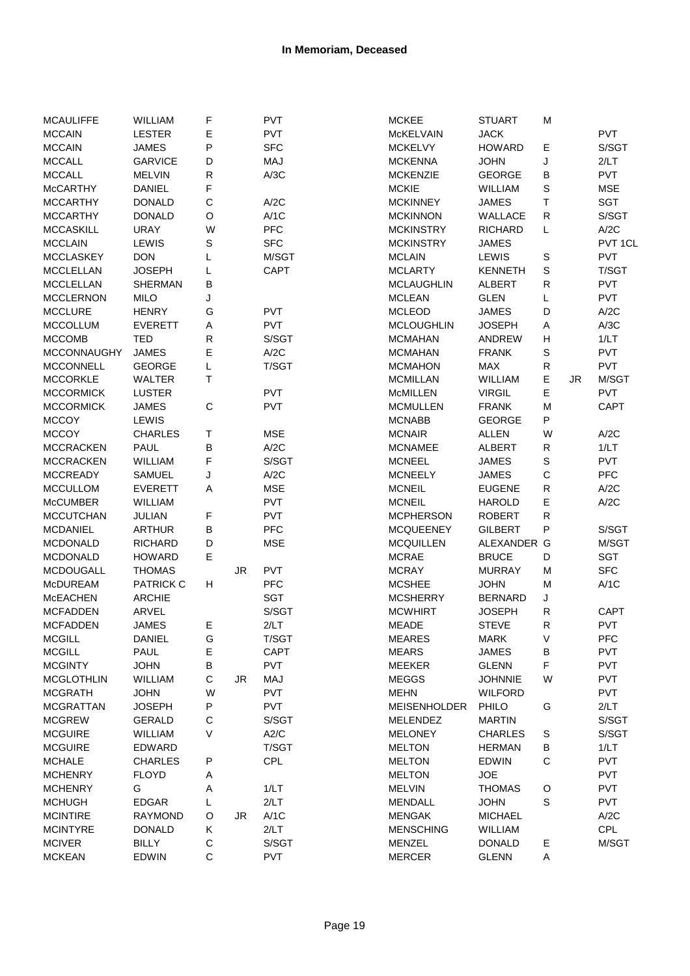| <b>MCAULIFFE</b>   | WILLIAM          | F           |     | <b>PVT</b>  | <b>MCKEE</b>        | <b>STUART</b>  | M           |    |             |
|--------------------|------------------|-------------|-----|-------------|---------------------|----------------|-------------|----|-------------|
| <b>MCCAIN</b>      | <b>LESTER</b>    | Ε           |     | <b>PVT</b>  | McKELVAIN           | <b>JACK</b>    |             |    | <b>PVT</b>  |
| <b>MCCAIN</b>      | <b>JAMES</b>     | P           |     | <b>SFC</b>  | <b>MCKELVY</b>      | <b>HOWARD</b>  | Е           |    | S/SGT       |
| <b>MCCALL</b>      | <b>GARVICE</b>   | D           |     | MAJ         | <b>MCKENNA</b>      | <b>JOHN</b>    | J           |    | 2/LT        |
| <b>MCCALL</b>      | <b>MELVIN</b>    | ${\sf R}$   |     | A/3C        | <b>MCKENZIE</b>     | <b>GEORGE</b>  | В           |    | <b>PVT</b>  |
| <b>McCARTHY</b>    | <b>DANIEL</b>    | F           |     |             | <b>MCKIE</b>        | WILLIAM        | S           |    | <b>MSE</b>  |
| <b>MCCARTHY</b>    | <b>DONALD</b>    | $\mathsf C$ |     | A/2C        | <b>MCKINNEY</b>     | <b>JAMES</b>   | Τ           |    | <b>SGT</b>  |
| <b>MCCARTHY</b>    | <b>DONALD</b>    | O           |     | A/1C        | <b>MCKINNON</b>     | WALLACE        | R           |    | S/SGT       |
| <b>MCCASKILL</b>   | <b>URAY</b>      | W           |     | <b>PFC</b>  | <b>MCKINSTRY</b>    | <b>RICHARD</b> | Г           |    | A/2C        |
| <b>MCCLAIN</b>     | LEWIS            | $\mathbb S$ |     | <b>SFC</b>  | <b>MCKINSTRY</b>    | <b>JAMES</b>   |             |    | PVT 1CL     |
| <b>MCCLASKEY</b>   | <b>DON</b>       | L           |     | M/SGT       | <b>MCLAIN</b>       | LEWIS          | S           |    | <b>PVT</b>  |
| <b>MCCLELLAN</b>   | <b>JOSEPH</b>    | L           |     | <b>CAPT</b> | <b>MCLARTY</b>      | <b>KENNETH</b> | S           |    | T/SGT       |
| <b>MCCLELLAN</b>   | <b>SHERMAN</b>   | В           |     |             | <b>MCLAUGHLIN</b>   | ALBERT         | R           |    | <b>PVT</b>  |
| <b>MCCLERNON</b>   | <b>MILO</b>      | J           |     |             | <b>MCLEAN</b>       | <b>GLEN</b>    | L           |    | <b>PVT</b>  |
| <b>MCCLURE</b>     | <b>HENRY</b>     | G           |     | <b>PVT</b>  | <b>MCLEOD</b>       | <b>JAMES</b>   | D           |    | A/2C        |
| <b>MCCOLLUM</b>    | <b>EVERETT</b>   | Α           |     | <b>PVT</b>  | <b>MCLOUGHLIN</b>   | <b>JOSEPH</b>  | Α           |    | A/3C        |
| <b>MCCOMB</b>      | <b>TED</b>       | ${\sf R}$   |     | S/SGT       | <b>MCMAHAN</b>      | ANDREW         | Н           |    | 1/LT        |
| <b>MCCONNAUGHY</b> | <b>JAMES</b>     | E           |     | A/2C        | <b>MCMAHAN</b>      | <b>FRANK</b>   | S           |    | <b>PVT</b>  |
| <b>MCCONNELL</b>   | <b>GEORGE</b>    | Г           |     | T/SGT       | <b>MCMAHON</b>      | MAX            | R           |    | <b>PVT</b>  |
| <b>MCCORKLE</b>    | WALTER           | Τ           |     |             | <b>MCMILLAN</b>     | WILLIAM        | E           | JR | M/SGT       |
| <b>MCCORMICK</b>   | <b>LUSTER</b>    |             |     | <b>PVT</b>  | <b>McMILLEN</b>     | <b>VIRGIL</b>  | E           |    | <b>PVT</b>  |
| <b>MCCORMICK</b>   | <b>JAMES</b>     | $\mathsf C$ |     | <b>PVT</b>  | <b>MCMULLEN</b>     | <b>FRANK</b>   | M           |    | <b>CAPT</b> |
| <b>MCCOY</b>       | LEWIS            |             |     |             | <b>MCNABB</b>       | <b>GEORGE</b>  | P           |    |             |
| <b>MCCOY</b>       | <b>CHARLES</b>   | Τ           |     | <b>MSE</b>  | <b>MCNAIR</b>       | <b>ALLEN</b>   | W           |    | A/2C        |
| <b>MCCRACKEN</b>   | PAUL             | B           |     | A/2C        | <b>MCNAMEE</b>      | <b>ALBERT</b>  | R           |    | 1/LT        |
| <b>MCCRACKEN</b>   | WILLIAM          | F           |     | S/SGT       | <b>MCNEEL</b>       | <b>JAMES</b>   | S           |    | <b>PVT</b>  |
| <b>MCCREADY</b>    | SAMUEL           | J           |     | A/2C        | <b>MCNEELY</b>      | JAMES          | $\mathsf C$ |    | <b>PFC</b>  |
| <b>MCCULLOM</b>    | <b>EVERETT</b>   | Α           |     | <b>MSE</b>  | <b>MCNEIL</b>       | <b>EUGENE</b>  | R           |    | A/2C        |
| <b>McCUMBER</b>    | WILLIAM          |             |     | <b>PVT</b>  | <b>MCNEIL</b>       | <b>HAROLD</b>  | Е           |    | A/2C        |
| <b>MCCUTCHAN</b>   | JULIAN           | F           |     | <b>PVT</b>  | <b>MCPHERSON</b>    | <b>ROBERT</b>  | R           |    |             |
| <b>MCDANIEL</b>    | <b>ARTHUR</b>    | B           |     | <b>PFC</b>  | <b>MCQUEENEY</b>    | <b>GILBERT</b> | P           |    | S/SGT       |
| <b>MCDONALD</b>    | <b>RICHARD</b>   | D           |     | <b>MSE</b>  | <b>MCQUILLEN</b>    | ALEXANDER G    |             |    | M/SGT       |
| <b>MCDONALD</b>    | <b>HOWARD</b>    | E           |     |             | <b>MCRAE</b>        | <b>BRUCE</b>   | D           |    | <b>SGT</b>  |
| <b>MCDOUGALL</b>   | <b>THOMAS</b>    |             | JR. | <b>PVT</b>  | <b>MCRAY</b>        | <b>MURRAY</b>  | M           |    | <b>SFC</b>  |
| <b>McDUREAM</b>    | <b>PATRICK C</b> | н           |     | <b>PFC</b>  | <b>MCSHEE</b>       | <b>JOHN</b>    | M           |    | A/1C        |
| <b>MCEACHEN</b>    | <b>ARCHIE</b>    |             |     | <b>SGT</b>  | <b>MCSHERRY</b>     | <b>BERNARD</b> | J           |    |             |
| <b>MCFADDEN</b>    | <b>ARVEL</b>     |             |     | S/SGT       | <b>MCWHIRT</b>      | <b>JOSEPH</b>  | R           |    | <b>CAPT</b> |
| <b>MCFADDEN</b>    | <b>JAMES</b>     | Е           |     | 2/LT        | <b>MEADE</b>        | <b>STEVE</b>   | R           |    | <b>PVT</b>  |
| <b>MCGILL</b>      | DANIEL           | G           |     | T/SGT       | MEARES              | MARK           | V           |    | <b>PFC</b>  |
| <b>MCGILL</b>      | PAUL             | Е           |     | <b>CAPT</b> | <b>MEARS</b>        | <b>JAMES</b>   | В           |    | PVT         |
| <b>MCGINTY</b>     | <b>JOHN</b>      | B           |     | <b>PVT</b>  | <b>MEEKER</b>       | <b>GLENN</b>   | F           |    | <b>PVT</b>  |
| <b>MCGLOTHLIN</b>  | WILLIAM          | C           | JR. | MAJ         | <b>MEGGS</b>        | <b>JOHNNIE</b> | W           |    | PVT         |
| <b>MCGRATH</b>     | <b>JOHN</b>      | W           |     | <b>PVT</b>  | <b>MEHN</b>         | <b>WILFORD</b> |             |    | PVT         |
| <b>MCGRATTAN</b>   | <b>JOSEPH</b>    | P           |     | <b>PVT</b>  | <b>MEISENHOLDER</b> |                |             |    | 2/LT        |
|                    |                  | $\mathsf C$ |     |             | <b>MELENDEZ</b>     | PHILO          | G           |    | S/SGT       |
| <b>MCGREW</b>      | <b>GERALD</b>    |             |     | S/SGT       |                     | <b>MARTIN</b>  |             |    |             |
| <b>MCGUIRE</b>     | WILLIAM          | V           |     | A2/C        | <b>MELONEY</b>      | <b>CHARLES</b> | S           |    | S/SGT       |
| <b>MCGUIRE</b>     | EDWARD           |             |     | T/SGT       | <b>MELTON</b>       | <b>HERMAN</b>  | B           |    | 1/LT        |
| <b>MCHALE</b>      | <b>CHARLES</b>   | P           |     | CPL         | <b>MELTON</b>       | <b>EDWIN</b>   | $\mathsf C$ |    | PVT         |
| <b>MCHENRY</b>     | <b>FLOYD</b>     | Α           |     |             | <b>MELTON</b>       | <b>JOE</b>     |             |    | <b>PVT</b>  |
| <b>MCHENRY</b>     | G                | Α           |     | 1/LT        | <b>MELVIN</b>       | <b>THOMAS</b>  | $\circ$     |    | <b>PVT</b>  |
| <b>MCHUGH</b>      | <b>EDGAR</b>     | L           |     | 2/LT        | MENDALL             | <b>JOHN</b>    | S           |    | <b>PVT</b>  |
| <b>MCINTIRE</b>    | <b>RAYMOND</b>   | O           | JR  | A/1C        | <b>MENGAK</b>       | <b>MICHAEL</b> |             |    | A/2C        |
| <b>MCINTYRE</b>    | <b>DONALD</b>    | Κ           |     | 2/LT        | <b>MENSCHING</b>    | WILLIAM        |             |    | CPL         |
| <b>MCIVER</b>      | <b>BILLY</b>     | C           |     | S/SGT       | MENZEL              | <b>DONALD</b>  | Ε           |    | M/SGT       |
| <b>MCKEAN</b>      | EDWIN            | $\mathsf C$ |     | <b>PVT</b>  | <b>MERCER</b>       | <b>GLENN</b>   | Α           |    |             |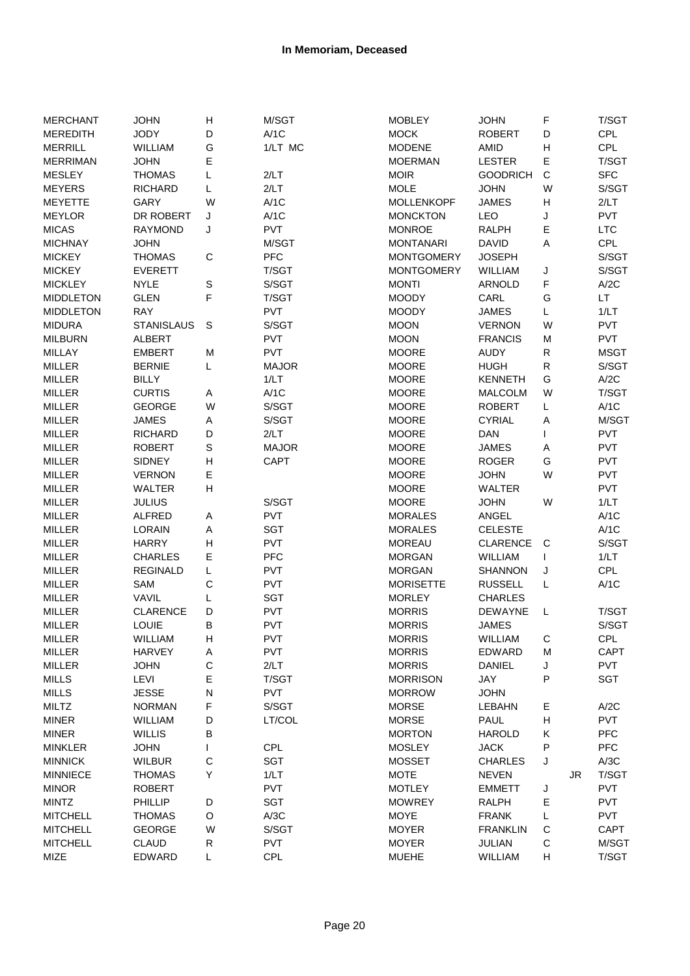| <b>MERCHANT</b>  | <b>JOHN</b>       | Н            | M/SGT        | <b>MOBLEY</b>     | <b>JOHN</b>     | F           |           | T/SGT       |
|------------------|-------------------|--------------|--------------|-------------------|-----------------|-------------|-----------|-------------|
| <b>MEREDITH</b>  | <b>JODY</b>       | D            | A/1C         | <b>MOCK</b>       | <b>ROBERT</b>   | D           |           | CPL         |
| <b>MERRILL</b>   | WILLIAM           | G            | 1/LT MC      | <b>MODENE</b>     | <b>AMID</b>     | Н           |           | CPL         |
| <b>MERRIMAN</b>  | <b>JOHN</b>       | Е            |              | <b>MOERMAN</b>    | <b>LESTER</b>   | E           |           | T/SGT       |
| <b>MESLEY</b>    | <b>THOMAS</b>     | L            | 2/LT         | <b>MOIR</b>       | <b>GOODRICH</b> | $\mathsf C$ |           | <b>SFC</b>  |
| <b>MEYERS</b>    | <b>RICHARD</b>    | Г            | 2/LT         | <b>MOLE</b>       | <b>JOHN</b>     | W           |           | S/SGT       |
| <b>MEYETTE</b>   | GARY              | W            | A/1C         | <b>MOLLENKOPF</b> | <b>JAMES</b>    | Н           |           | 2/LT        |
| <b>MEYLOR</b>    | DR ROBERT         | J            | A/1C         | <b>MONCKTON</b>   | LEO             | J           |           | <b>PVT</b>  |
| <b>MICAS</b>     |                   | J            | <b>PVT</b>   | <b>MONROE</b>     | <b>RALPH</b>    | E           |           | <b>LTC</b>  |
|                  | <b>RAYMOND</b>    |              |              | <b>MONTANARI</b>  |                 |             |           |             |
| <b>MICHNAY</b>   | <b>JOHN</b>       |              | M/SGT        |                   | <b>DAVID</b>    | Α           |           | CPL         |
| <b>MICKEY</b>    | <b>THOMAS</b>     | C            | <b>PFC</b>   | <b>MONTGOMERY</b> | <b>JOSEPH</b>   |             |           | S/SGT       |
| <b>MICKEY</b>    | <b>EVERETT</b>    |              | T/SGT        | <b>MONTGOMERY</b> | WILLIAM         | J           |           | S/SGT       |
| <b>MICKLEY</b>   | <b>NYLE</b>       | $\mathbb S$  | S/SGT        | <b>MONTI</b>      | <b>ARNOLD</b>   | F           |           | A/2C        |
| <b>MIDDLETON</b> | <b>GLEN</b>       | $\mathsf F$  | T/SGT        | <b>MOODY</b>      | CARL            | G           |           | LT.         |
| <b>MIDDLETON</b> | <b>RAY</b>        |              | <b>PVT</b>   | <b>MOODY</b>      | <b>JAMES</b>    | L.          |           | 1/LT        |
| <b>MIDURA</b>    | <b>STANISLAUS</b> | S            | S/SGT        | <b>MOON</b>       | <b>VERNON</b>   | W           |           | PVT         |
| <b>MILBURN</b>   | ALBERT            |              | PVT          | <b>MOON</b>       | <b>FRANCIS</b>  | M           |           | <b>PVT</b>  |
| MILLAY           | <b>EMBERT</b>     | M            | PVT          | <b>MOORE</b>      | <b>AUDY</b>     | ${\sf R}$   |           | <b>MSGT</b> |
| <b>MILLER</b>    | <b>BERNIE</b>     | L            | <b>MAJOR</b> | <b>MOORE</b>      | <b>HUGH</b>     | ${\sf R}$   |           | S/SGT       |
| <b>MILLER</b>    | <b>BILLY</b>      |              | 1/LT         | <b>MOORE</b>      | <b>KENNETH</b>  | G           |           | A/2C        |
| <b>MILLER</b>    | <b>CURTIS</b>     | Α            | A/1C         | <b>MOORE</b>      | <b>MALCOLM</b>  | W           |           | T/SGT       |
| <b>MILLER</b>    | <b>GEORGE</b>     | W            | S/SGT        | <b>MOORE</b>      | <b>ROBERT</b>   | L           |           | A/1C        |
| <b>MILLER</b>    | <b>JAMES</b>      | A            | S/SGT        | <b>MOORE</b>      | <b>CYRIAL</b>   | Α           |           | M/SGT       |
| <b>MILLER</b>    | <b>RICHARD</b>    | D            | 2/LT         | <b>MOORE</b>      | DAN             | L           |           | <b>PVT</b>  |
| <b>MILLER</b>    | <b>ROBERT</b>     | $\mathsf S$  | <b>MAJOR</b> | <b>MOORE</b>      | <b>JAMES</b>    | A           |           | <b>PVT</b>  |
| <b>MILLER</b>    | <b>SIDNEY</b>     | Н            | CAPT         | <b>MOORE</b>      | <b>ROGER</b>    | G           |           | <b>PVT</b>  |
| <b>MILLER</b>    | <b>VERNON</b>     | Е            |              | <b>MOORE</b>      | <b>JOHN</b>     | W           |           | <b>PVT</b>  |
| <b>MILLER</b>    | <b>WALTER</b>     | H            |              | <b>MOORE</b>      | <b>WALTER</b>   |             |           | <b>PVT</b>  |
| <b>MILLER</b>    | <b>JULIUS</b>     |              | S/SGT        | <b>MOORE</b>      | <b>JOHN</b>     | W           |           | 1/LT        |
| <b>MILLER</b>    | <b>ALFRED</b>     | A            | PVT          | <b>MORALES</b>    | ANGEL           |             |           | A/1C        |
| <b>MILLER</b>    | <b>LORAIN</b>     | Α            | SGT          | <b>MORALES</b>    | <b>CELESTE</b>  |             |           | A/1C        |
| <b>MILLER</b>    | <b>HARRY</b>      | H            | PVT          | <b>MOREAU</b>     | <b>CLARENCE</b> | С           |           | S/SGT       |
|                  |                   |              | PFC          |                   |                 |             |           |             |
| <b>MILLER</b>    | <b>CHARLES</b>    | Е            |              | <b>MORGAN</b>     | WILLIAM         | L           |           | 1/LT        |
| <b>MILLER</b>    | <b>REGINALD</b>   | L            | PVT          | <b>MORGAN</b>     | <b>SHANNON</b>  | J           |           | CPL         |
| <b>MILLER</b>    | SAM               | $\mathsf{C}$ | PVT          | <b>MORISETTE</b>  | <b>RUSSELL</b>  | L           |           | A/1C        |
| <b>MILLER</b>    | VAVIL             | L            | SGT          | <b>MORLEY</b>     | <b>CHARLES</b>  |             |           |             |
| <b>MILLER</b>    | <b>CLARENCE</b>   | D            | PVT          | <b>MORRIS</b>     | <b>DEWAYNE</b>  | L           |           | T/SGT       |
| <b>MILLER</b>    | <b>LOUIE</b>      | B            | PVT          | <b>MORRIS</b>     | <b>JAMES</b>    |             |           | S/SGT       |
| <b>MILLER</b>    | WILLIAM           | Н            | <b>PVT</b>   | <b>MORRIS</b>     | WILLIAM         | С           |           | <b>CPL</b>  |
| <b>MILLER</b>    | <b>HARVEY</b>     | Α            | PVT          | <b>MORRIS</b>     | <b>EDWARD</b>   | M           |           | <b>CAPT</b> |
| <b>MILLER</b>    | <b>JOHN</b>       | $\mathsf C$  | 2/LT         | <b>MORRIS</b>     | <b>DANIEL</b>   | J           |           | <b>PVT</b>  |
| <b>MILLS</b>     | LEVI              | Е            | T/SGT        | <b>MORRISON</b>   | JAY             | $\sf P$     |           | <b>SGT</b>  |
| <b>MILLS</b>     | <b>JESSE</b>      | $\mathsf{N}$ | PVT          | <b>MORROW</b>     | <b>JOHN</b>     |             |           |             |
| <b>MILTZ</b>     | <b>NORMAN</b>     | F            | S/SGT        | <b>MORSE</b>      | LEBAHN          | Е           |           | A/2C        |
| <b>MINER</b>     | WILLIAM           | D            | LT/COL       | <b>MORSE</b>      | PAUL            | Н           |           | <b>PVT</b>  |
| <b>MINER</b>     | <b>WILLIS</b>     | B            |              | <b>MORTON</b>     | <b>HAROLD</b>   | Κ           |           | PFC         |
| <b>MINKLER</b>   | <b>JOHN</b>       | $\mathsf{I}$ | CPL          | <b>MOSLEY</b>     | <b>JACK</b>     | P           |           | PFC         |
| <b>MINNICK</b>   | <b>WILBUR</b>     | $\mathsf C$  | SGT          | <b>MOSSET</b>     | <b>CHARLES</b>  | J           |           | A/3C        |
| <b>MINNIECE</b>  | <b>THOMAS</b>     | Υ            | 1/LT         | <b>MOTE</b>       | <b>NEVEN</b>    |             | <b>JR</b> | T/SGT       |
| <b>MINOR</b>     | <b>ROBERT</b>     |              | PVT          | <b>MOTLEY</b>     | <b>EMMETT</b>   | J           |           | <b>PVT</b>  |
| <b>MINTZ</b>     | PHILLIP           | D            | SGT          | <b>MOWREY</b>     | <b>RALPH</b>    | E           |           | <b>PVT</b>  |
| <b>MITCHELL</b>  | <b>THOMAS</b>     | O            | A/3C         | <b>MOYE</b>       | <b>FRANK</b>    | L           |           | <b>PVT</b>  |
| <b>MITCHELL</b>  | <b>GEORGE</b>     | W            | S/SGT        | <b>MOYER</b>      | <b>FRANKLIN</b> | $\mathsf C$ |           | CAPT        |
| <b>MITCHELL</b>  | <b>CLAUD</b>      | $\mathsf R$  | PVT          | <b>MOYER</b>      | JULIAN          | $\mathsf C$ |           | M/SGT       |
| MIZE             | EDWARD            | L            | CPL          | <b>MUEHE</b>      | WILLIAM         | Н           |           | T/SGT       |
|                  |                   |              |              |                   |                 |             |           |             |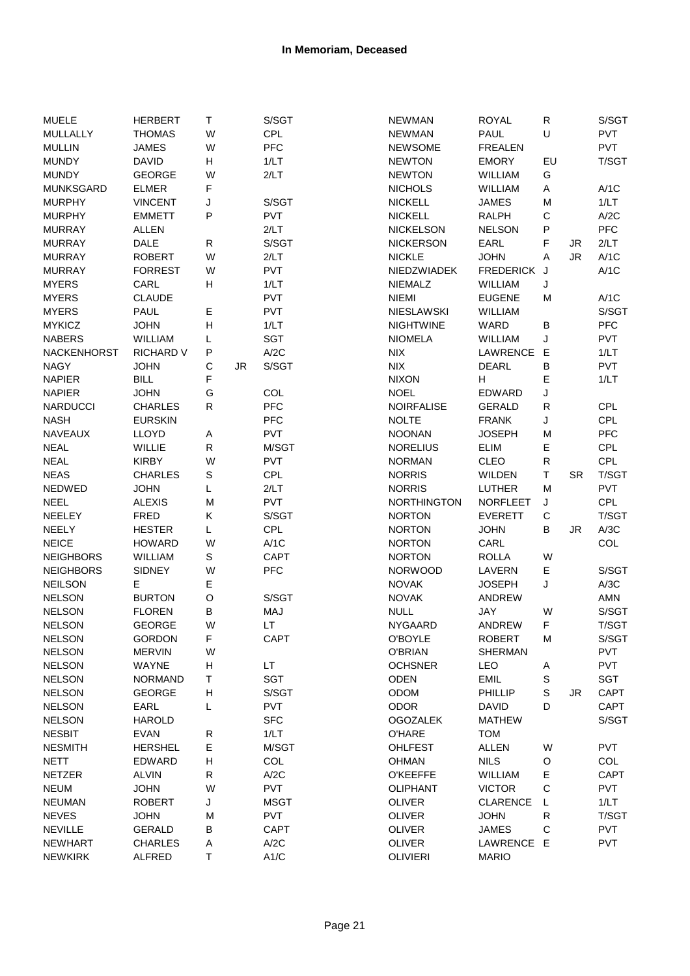| <b>MUELE</b>       | <b>HERBERT</b>               | T           |     | S/SGT       | <b>NEWMAN</b>                   | <b>ROYAL</b>        | ${\sf R}$   |           | S/SGT       |
|--------------------|------------------------------|-------------|-----|-------------|---------------------------------|---------------------|-------------|-----------|-------------|
| MULLALLY           | <b>THOMAS</b>                | W           |     | <b>CPL</b>  | <b>NEWMAN</b>                   | PAUL                | U           |           | <b>PVT</b>  |
| <b>MULLIN</b>      | <b>JAMES</b>                 | W           |     | PFC         | <b>NEWSOME</b>                  | <b>FREALEN</b>      |             |           | <b>PVT</b>  |
| <b>MUNDY</b>       | <b>DAVID</b>                 | H           |     | 1/LT        | <b>NEWTON</b>                   | <b>EMORY</b>        | EU          |           | T/SGT       |
| <b>MUNDY</b>       | <b>GEORGE</b>                | W           |     | 2/LT        | <b>NEWTON</b>                   | WILLIAM             | G           |           |             |
| <b>MUNKSGARD</b>   | <b>ELMER</b>                 | F           |     |             | <b>NICHOLS</b>                  | <b>WILLIAM</b>      | Α           |           | A/1C        |
| <b>MURPHY</b>      | <b>VINCENT</b>               | J           |     | S/SGT       | <b>NICKELL</b>                  | <b>JAMES</b>        | M           |           | 1/LT        |
| <b>MURPHY</b>      | <b>EMMETT</b>                | $\sf P$     |     | <b>PVT</b>  | <b>NICKELL</b>                  | <b>RALPH</b>        | $\mathsf C$ |           | A/2C        |
| <b>MURRAY</b>      | <b>ALLEN</b>                 |             |     | 2/LT        | <b>NICKELSON</b>                | <b>NELSON</b>       | P           |           | <b>PFC</b>  |
| <b>MURRAY</b>      | <b>DALE</b>                  | R           |     | S/SGT       | <b>NICKERSON</b>                | EARL                | F           | <b>JR</b> | 2/LT        |
| <b>MURRAY</b>      | <b>ROBERT</b>                | W           |     | 2/LT        | <b>NICKLE</b>                   | <b>JOHN</b>         | Α           | <b>JR</b> | A/1C        |
| <b>MURRAY</b>      | <b>FORREST</b>               | W           |     | <b>PVT</b>  | NIEDZWIADEK                     | <b>FREDERICK</b>    | J           |           | A/1C        |
| <b>MYERS</b>       | CARL                         | н           |     | 1/LT        | <b>NIEMALZ</b>                  | WILLIAM             | J           |           |             |
| <b>MYERS</b>       | <b>CLAUDE</b>                |             |     | <b>PVT</b>  | <b>NIEMI</b>                    | <b>EUGENE</b>       | М           |           | A/1C        |
| <b>MYERS</b>       | PAUL                         | E           |     | <b>PVT</b>  | <b>NIESLAWSKI</b>               | WILLIAM             |             |           | S/SGT       |
| <b>MYKICZ</b>      | <b>JOHN</b>                  | н           |     | 1/LT        | <b>NIGHTWINE</b>                | WARD                | В           |           | <b>PFC</b>  |
| <b>NABERS</b>      | WILLIAM                      | L           |     | <b>SGT</b>  | <b>NIOMELA</b>                  | WILLIAM             | J           |           | <b>PVT</b>  |
| <b>NACKENHORST</b> | <b>RICHARD V</b>             | P           |     | A/2C        | <b>NIX</b>                      | LAWRENCE            | E           |           | 1/LT        |
| <b>NAGY</b>        | <b>JOHN</b>                  | C           | JR. | S/SGT       | <b>NIX</b>                      | <b>DEARL</b>        | В           |           | <b>PVT</b>  |
| <b>NAPIER</b>      | <b>BILL</b>                  | F           |     |             | <b>NIXON</b>                    | H                   | E           |           | 1/LT        |
| <b>NAPIER</b>      | <b>JOHN</b>                  | G           |     | COL         | <b>NOEL</b>                     | EDWARD              | J           |           |             |
| <b>NARDUCCI</b>    | <b>CHARLES</b>               | $\mathsf R$ |     | PFC         | <b>NOIRFALISE</b>               | GERALD              | ${\sf R}$   |           | <b>CPL</b>  |
| <b>NASH</b>        | <b>EURSKIN</b>               |             |     | PFC         | <b>NOLTE</b>                    | <b>FRANK</b>        | J           |           | CPL         |
| NAVEAUX            | <b>LLOYD</b>                 | Α           |     | PVT         | <b>NOONAN</b>                   | <b>JOSEPH</b>       | M           |           | PFC         |
| <b>NEAL</b>        | <b>WILLIE</b>                | ${\sf R}$   |     | M/SGT       | <b>NORELIUS</b>                 | <b>ELIM</b>         | Е           |           | CPL         |
| <b>NEAL</b>        | <b>KIRBY</b>                 | W           |     | <b>PVT</b>  | <b>NORMAN</b>                   | <b>CLEO</b>         | ${\sf R}$   |           | <b>CPL</b>  |
| <b>NEAS</b>        | <b>CHARLES</b>               | $\mathbf S$ |     | CPL         | <b>NORRIS</b>                   | WILDEN              | T           | <b>SR</b> | T/SGT       |
| <b>NEDWED</b>      | <b>JOHN</b>                  | L           |     | 2/LT        | <b>NORRIS</b>                   | <b>LUTHER</b>       | M           |           | <b>PVT</b>  |
| <b>NEEL</b>        | <b>ALEXIS</b>                | M           |     | <b>PVT</b>  | <b>NORTHINGTON</b>              | <b>NORFLEET</b>     | J           |           | <b>CPL</b>  |
| <b>NEELEY</b>      |                              | Κ           |     | S/SGT       | <b>NORTON</b>                   | <b>EVERETT</b>      | C           |           | T/SGT       |
| <b>NEELY</b>       | <b>FRED</b><br><b>HESTER</b> | L           |     | <b>CPL</b>  |                                 |                     | В           | <b>JR</b> | A/3C        |
| <b>NEICE</b>       | <b>HOWARD</b>                | W           |     | A/1C        | <b>NORTON</b>                   | <b>JOHN</b><br>CARL |             |           | COL         |
|                    |                              |             |     |             | <b>NORTON</b>                   |                     |             |           |             |
| <b>NEIGHBORS</b>   | WILLIAM                      | S           |     | <b>CAPT</b> | <b>NORTON</b><br><b>NORWOOD</b> | <b>ROLLA</b>        | W           |           |             |
| <b>NEIGHBORS</b>   | <b>SIDNEY</b>                | W           |     | PFC         | <b>NOVAK</b>                    | LAVERN              | Е           |           | S/SGT       |
| <b>NEILSON</b>     | Е                            | Е           |     |             |                                 | <b>JOSEPH</b>       | J           |           | A/3C        |
| <b>NELSON</b>      | <b>BURTON</b>                | O           |     | S/SGT       | <b>NOVAK</b>                    | <b>ANDREW</b>       |             |           | AMN         |
| <b>NELSON</b>      | <b>FLOREN</b>                | B           |     | MAJ         | <b>NULL</b>                     | JAY                 | W           |           | S/SGT       |
| <b>NELSON</b>      | <b>GEORGE</b>                | W           |     | LT.         | <b>NYGAARD</b>                  | ANDREW              | F           |           | T/SGT       |
| <b>NELSON</b>      | <b>GORDON</b>                | F           |     | <b>CAPT</b> | O'BOYLE                         | <b>ROBERT</b>       | М           |           | S/SGT       |
| <b>NELSON</b>      | <b>MERVIN</b>                | W           |     |             | O'BRIAN                         | <b>SHERMAN</b>      |             |           | <b>PVT</b>  |
| <b>NELSON</b>      | WAYNE                        | н           |     | LT.         | <b>OCHSNER</b>                  | <b>LEO</b>          | Α           |           | <b>PVT</b>  |
| <b>NELSON</b>      | <b>NORMAND</b>               | т           |     | <b>SGT</b>  | <b>ODEN</b>                     | <b>EMIL</b>         | $\mathbb S$ |           | <b>SGT</b>  |
| <b>NELSON</b>      | <b>GEORGE</b>                | Н           |     | S/SGT       | ODOM                            | PHILLIP             | $\mathbf S$ | JR.       | <b>CAPT</b> |
| <b>NELSON</b>      | EARL                         | L           |     | <b>PVT</b>  | <b>ODOR</b>                     | <b>DAVID</b>        | D           |           | <b>CAPT</b> |
| <b>NELSON</b>      | <b>HAROLD</b>                |             |     | <b>SFC</b>  | <b>OGOZALEK</b>                 | <b>MATHEW</b>       |             |           | S/SGT       |
| <b>NESBIT</b>      | <b>EVAN</b>                  | R           |     | 1/LT        | O'HARE                          | <b>TOM</b>          |             |           |             |
| <b>NESMITH</b>     | <b>HERSHEL</b>               | Е           |     | M/SGT       | <b>OHLFEST</b>                  | <b>ALLEN</b>        | W           |           | <b>PVT</b>  |
| <b>NETT</b>        | EDWARD                       | H           |     | COL         | <b>OHMAN</b>                    | <b>NILS</b>         | O           |           | COL         |
| <b>NETZER</b>      | <b>ALVIN</b>                 | R           |     | A/2C        | <b>O'KEEFFE</b>                 | WILLIAM             | E           |           | <b>CAPT</b> |
| <b>NEUM</b>        | <b>JOHN</b>                  | W           |     | <b>PVT</b>  | <b>OLIPHANT</b>                 | <b>VICTOR</b>       | $\mathsf C$ |           | <b>PVT</b>  |
| <b>NEUMAN</b>      | <b>ROBERT</b>                | J           |     | <b>MSGT</b> | <b>OLIVER</b>                   | <b>CLARENCE</b>     | L           |           | 1/LT        |
| <b>NEVES</b>       | <b>JOHN</b>                  | M           |     | <b>PVT</b>  | <b>OLIVER</b>                   | <b>JOHN</b>         | $\mathsf R$ |           | T/SGT       |
| <b>NEVILLE</b>     | <b>GERALD</b>                | B           |     | CAPT        | <b>OLIVER</b>                   | <b>JAMES</b>        | $\mathsf C$ |           | <b>PVT</b>  |
| <b>NEWHART</b>     | <b>CHARLES</b>               | Α           |     | A/2C        | <b>OLIVER</b>                   | LAWRENCE E          |             |           | <b>PVT</b>  |
| <b>NEWKIRK</b>     | <b>ALFRED</b>                | T           |     | A1/C        | <b>OLIVIERI</b>                 | <b>MARIO</b>        |             |           |             |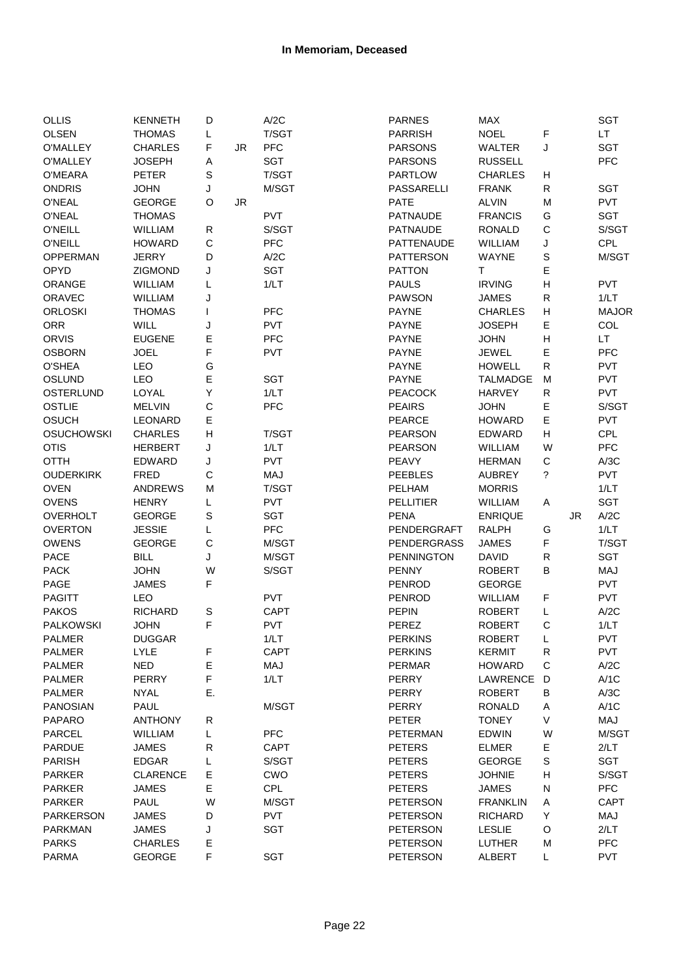| <b>OLLIS</b>      | <b>KENNETH</b>  | D            |    | A/2C        | <b>PARNES</b>      | MAX             |                      |           | <b>SGT</b>   |
|-------------------|-----------------|--------------|----|-------------|--------------------|-----------------|----------------------|-----------|--------------|
| <b>OLSEN</b>      | <b>THOMAS</b>   | L            |    | T/SGT       | <b>PARRISH</b>     | <b>NOEL</b>     | F                    |           | LT.          |
| <b>O'MALLEY</b>   | <b>CHARLES</b>  | F            | JR | PFC         | <b>PARSONS</b>     | WALTER          | J                    |           | <b>SGT</b>   |
| O'MALLEY          | <b>JOSEPH</b>   | A            |    | <b>SGT</b>  | <b>PARSONS</b>     | <b>RUSSELL</b>  |                      |           | <b>PFC</b>   |
| O'MEARA           | <b>PETER</b>    | $\mathbb S$  |    | T/SGT       | <b>PARTLOW</b>     | <b>CHARLES</b>  | н                    |           |              |
| <b>ONDRIS</b>     | <b>JOHN</b>     | J            |    | M/SGT       | PASSARELLI         | <b>FRANK</b>    | ${\sf R}$            |           | <b>SGT</b>   |
| <b>O'NEAL</b>     | <b>GEORGE</b>   | O            | JR |             | <b>PATE</b>        | <b>ALVIN</b>    | M                    |           | <b>PVT</b>   |
| <b>O'NEAL</b>     | <b>THOMAS</b>   |              |    | <b>PVT</b>  | PATNAUDE           | <b>FRANCIS</b>  | G                    |           | <b>SGT</b>   |
| <b>O'NEILL</b>    | <b>WILLIAM</b>  | R            |    | S/SGT       | PATNAUDE           | <b>RONALD</b>   | C                    |           | S/SGT        |
| <b>O'NEILL</b>    | <b>HOWARD</b>   | $\mathsf C$  |    | <b>PFC</b>  | PATTENAUDE         | <b>WILLIAM</b>  | J                    |           | <b>CPL</b>   |
| <b>OPPERMAN</b>   | <b>JERRY</b>    | D            |    | A/2C        | <b>PATTERSON</b>   | WAYNE           | $\mathbb S$          |           | M/SGT        |
| OPYD              | <b>ZIGMOND</b>  | J            |    | SGT         | <b>PATTON</b>      | T               | Ε                    |           |              |
| ORANGE            | WILLIAM         | L            |    | 1/LT        | <b>PAULS</b>       | <b>IRVING</b>   | H                    |           | <b>PVT</b>   |
| ORAVEC            | <b>WILLIAM</b>  | J            |    |             | <b>PAWSON</b>      | <b>JAMES</b>    | ${\sf R}$            |           | 1/LT         |
| <b>ORLOSKI</b>    | <b>THOMAS</b>   | $\mathbf{I}$ |    | <b>PFC</b>  | <b>PAYNE</b>       | <b>CHARLES</b>  | Η                    |           | <b>MAJOR</b> |
| <b>ORR</b>        | <b>WILL</b>     | J            |    | <b>PVT</b>  | <b>PAYNE</b>       | <b>JOSEPH</b>   | Е                    |           | COL          |
| <b>ORVIS</b>      | <b>EUGENE</b>   | E            |    | PFC         | <b>PAYNE</b>       | <b>JOHN</b>     | Η                    |           | LT.          |
| <b>OSBORN</b>     | <b>JOEL</b>     | F            |    | <b>PVT</b>  | <b>PAYNE</b>       | <b>JEWEL</b>    | Ε                    |           | PFC          |
| O'SHEA            | LEO             | G            |    |             | <b>PAYNE</b>       | <b>HOWELL</b>   | R                    |           | <b>PVT</b>   |
| <b>OSLUND</b>     | LEO             | E            |    | SGT         | <b>PAYNE</b>       | <b>TALMADGE</b> | M                    |           | <b>PVT</b>   |
| <b>OSTERLUND</b>  | LOYAL           | Υ            |    | 1/LT        | <b>PEACOCK</b>     | <b>HARVEY</b>   | ${\sf R}$            |           | <b>PVT</b>   |
| <b>OSTLIE</b>     | <b>MELVIN</b>   | $\mathsf C$  |    | PFC         | <b>PEAIRS</b>      | <b>JOHN</b>     | E                    |           | S/SGT        |
| <b>OSUCH</b>      | LEONARD         | E            |    |             | <b>PEARCE</b>      | <b>HOWARD</b>   | Ε                    |           | <b>PVT</b>   |
| <b>OSUCHOWSKI</b> | <b>CHARLES</b>  | Η            |    | T/SGT       | <b>PEARSON</b>     | <b>EDWARD</b>   | $\mathsf{H}$         |           | CPL          |
| <b>OTIS</b>       | <b>HERBERT</b>  | J            |    | 1/LT        | <b>PEARSON</b>     | WILLIAM         | W                    |           | PFC          |
|                   | <b>EDWARD</b>   | J            |    | <b>PVT</b>  | <b>PEAVY</b>       | <b>HERMAN</b>   | C                    |           | A/3C         |
| OTTH              |                 | $\mathsf C$  |    |             |                    |                 |                      |           |              |
| <b>OUDERKIRK</b>  | <b>FRED</b>     |              |    | MAJ         | <b>PEEBLES</b>     | <b>AUBREY</b>   | $\ddot{\phantom{0}}$ |           | <b>PVT</b>   |
| <b>OVEN</b>       | <b>ANDREWS</b>  | M            |    | T/SGT       | PELHAM             | <b>MORRIS</b>   |                      |           | 1/LT         |
| <b>OVENS</b>      | <b>HENRY</b>    | L            |    | <b>PVT</b>  | <b>PELLITIER</b>   | WILLIAM         | Α                    |           | SGT          |
| <b>OVERHOLT</b>   | <b>GEORGE</b>   | $\mathbb S$  |    | <b>SGT</b>  | <b>PENA</b>        | <b>ENRIQUE</b>  |                      | <b>JR</b> | A/2C         |
| <b>OVERTON</b>    | <b>JESSIE</b>   | L            |    | PFC         | PENDERGRAFT        | <b>RALPH</b>    | G                    |           | 1/LT         |
| <b>OWENS</b>      | <b>GEORGE</b>   | $\mathsf{C}$ |    | M/SGT       | <b>PENDERGRASS</b> | <b>JAMES</b>    | F                    |           | T/SGT        |
| PACE              | <b>BILL</b>     | J            |    | M/SGT       | <b>PENNINGTON</b>  | <b>DAVID</b>    | R                    |           | <b>SGT</b>   |
| <b>PACK</b>       | <b>JOHN</b>     | W            |    | S/SGT       | <b>PENNY</b>       | <b>ROBERT</b>   | B                    |           | MAJ          |
| PAGE              | <b>JAMES</b>    | F            |    |             | PENROD             | <b>GEORGE</b>   |                      |           | <b>PVT</b>   |
| <b>PAGITT</b>     | <b>LEO</b>      |              |    | <b>PVT</b>  | <b>PENROD</b>      | WILLIAM         | F                    |           | <b>PVT</b>   |
| <b>PAKOS</b>      | <b>RICHARD</b>  | S            |    | CAPT        | <b>PEPIN</b>       | <b>ROBERT</b>   | L                    |           | A/2C         |
| <b>PALKOWSKI</b>  | <b>JOHN</b>     | F            |    | <b>PVT</b>  | <b>PEREZ</b>       | <b>ROBERT</b>   | $\mathsf{C}$         |           | 1/LT         |
| PALMER            | <b>DUGGAR</b>   |              |    | 1/LT        | <b>PERKINS</b>     | <b>ROBERT</b>   | L                    |           | PVT          |
| <b>PALMER</b>     | LYLE            | F            |    | <b>CAPT</b> | <b>PERKINS</b>     | <b>KERMIT</b>   | R                    |           | <b>PVT</b>   |
| <b>PALMER</b>     | <b>NED</b>      | E            |    | MAJ         | <b>PERMAR</b>      | <b>HOWARD</b>   | $\mathsf C$          |           | A/2C         |
| <b>PALMER</b>     | <b>PERRY</b>    | F            |    | 1/LT        | PERRY              | LAWRENCE        | D                    |           | A/1C         |
| <b>PALMER</b>     | <b>NYAL</b>     | Ε.           |    |             | <b>PERRY</b>       | <b>ROBERT</b>   | в                    |           | A/3C         |
| <b>PANOSIAN</b>   | <b>PAUL</b>     |              |    | M/SGT       | PERRY              | <b>RONALD</b>   | A                    |           | A/1C         |
| <b>PAPARO</b>     | <b>ANTHONY</b>  | R            |    |             | <b>PETER</b>       | <b>TONEY</b>    | V                    |           | MAJ          |
| <b>PARCEL</b>     | WILLIAM         | L            |    | <b>PFC</b>  | <b>PETERMAN</b>    | <b>EDWIN</b>    | W                    |           | M/SGT        |
| PARDUE            | <b>JAMES</b>    | R            |    | <b>CAPT</b> | <b>PETERS</b>      | <b>ELMER</b>    | Е                    |           | 2/LT         |
| <b>PARISH</b>     | <b>EDGAR</b>    | L            |    | S/SGT       | <b>PETERS</b>      | <b>GEORGE</b>   | $\mathbf S$          |           | SGT          |
| <b>PARKER</b>     | <b>CLARENCE</b> | Е            |    | CWO         | <b>PETERS</b>      | <b>JOHNIE</b>   | Η                    |           | S/SGT        |
| <b>PARKER</b>     | <b>JAMES</b>    | E            |    | CPL         | <b>PETERS</b>      | <b>JAMES</b>    | N                    |           | <b>PFC</b>   |
| <b>PARKER</b>     | <b>PAUL</b>     | W            |    | M/SGT       | <b>PETERSON</b>    | <b>FRANKLIN</b> | A                    |           | <b>CAPT</b>  |
| <b>PARKERSON</b>  | <b>JAMES</b>    | D            |    | <b>PVT</b>  | <b>PETERSON</b>    | <b>RICHARD</b>  | Υ                    |           | MAJ          |
| <b>PARKMAN</b>    | <b>JAMES</b>    | J            |    | SGT         | <b>PETERSON</b>    | <b>LESLIE</b>   | $\mathsf O$          |           | 2/LT         |
| <b>PARKS</b>      | <b>CHARLES</b>  | Е            |    |             | PETERSON           | <b>LUTHER</b>   | М                    |           | <b>PFC</b>   |
| <b>PARMA</b>      | GEORGE          | F            |    | SGT         | <b>PETERSON</b>    | ALBERT          |                      |           | <b>PVT</b>   |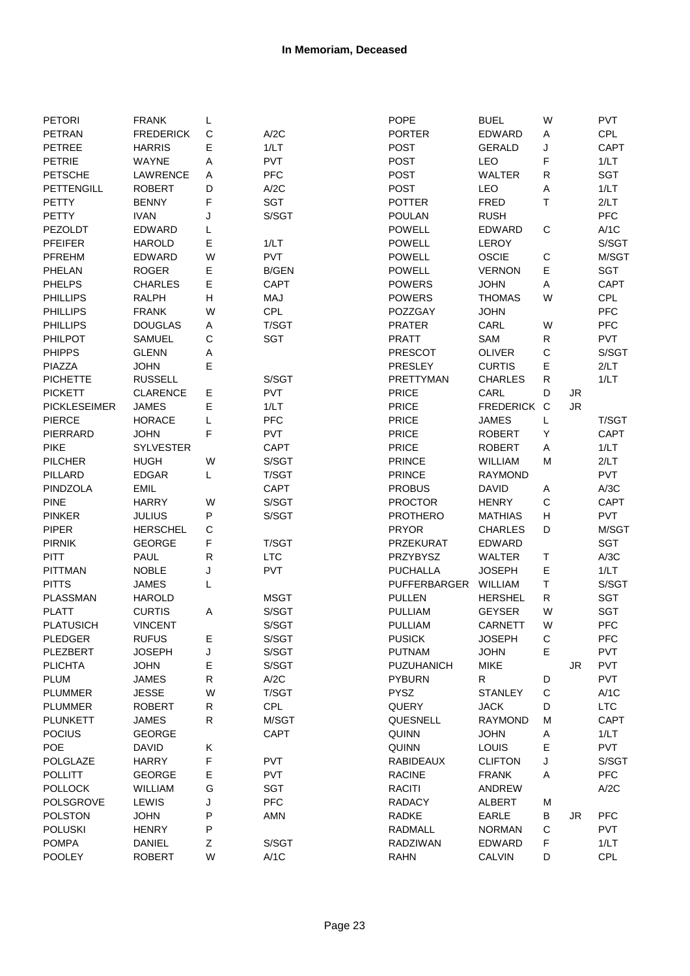| <b>PETORI</b>       | <b>FRANK</b>     | L           |              | <b>POPE</b>         | <b>BUEL</b>      | W           |     | PVT         |
|---------------------|------------------|-------------|--------------|---------------------|------------------|-------------|-----|-------------|
| <b>PETRAN</b>       | <b>FREDERICK</b> | C           | A/2C         | <b>PORTER</b>       | <b>EDWARD</b>    | Α           |     | <b>CPL</b>  |
| <b>PETREE</b>       | <b>HARRIS</b>    | Е           | 1/LT         | <b>POST</b>         | <b>GERALD</b>    | J           |     | CAPT        |
| <b>PETRIE</b>       | <b>WAYNE</b>     | Α           | PVT          | <b>POST</b>         | LEO              | F           |     | 1/LT        |
| <b>PETSCHE</b>      | <b>LAWRENCE</b>  | Α           | <b>PFC</b>   | <b>POST</b>         | <b>WALTER</b>    | R           |     | <b>SGT</b>  |
| <b>PETTENGILL</b>   | <b>ROBERT</b>    | D           | A/2C         | <b>POST</b>         | LEO              | A           |     | 1/LT        |
| <b>PETTY</b>        | <b>BENNY</b>     | F           | SGT          | <b>POTTER</b>       | <b>FRED</b>      | Τ           |     | 2/LT        |
| <b>PETTY</b>        | <b>IVAN</b>      | J           | S/SGT        | <b>POULAN</b>       | <b>RUSH</b>      |             |     | <b>PFC</b>  |
| PEZOLDT             | <b>EDWARD</b>    | L           |              | <b>POWELL</b>       | <b>EDWARD</b>    | С           |     | A/1C        |
| <b>PFEIFER</b>      | <b>HAROLD</b>    | E           | 1/LT         | <b>POWELL</b>       | <b>LEROY</b>     |             |     | S/SGT       |
| PFREHM              | EDWARD           | W           | PVT          | <b>POWELL</b>       | <b>OSCIE</b>     | C           |     | M/SGT       |
| PHELAN              | <b>ROGER</b>     | Е           | <b>B/GEN</b> | <b>POWELL</b>       | <b>VERNON</b>    | E           |     | <b>SGT</b>  |
| <b>PHELPS</b>       | <b>CHARLES</b>   | E           | <b>CAPT</b>  | <b>POWERS</b>       | <b>JOHN</b>      | A           |     | CAPT        |
| <b>PHILLIPS</b>     | <b>RALPH</b>     | Н           | MAJ          | <b>POWERS</b>       | <b>THOMAS</b>    | W           |     | <b>CPL</b>  |
|                     |                  | W           | <b>CPL</b>   |                     |                  |             |     | <b>PFC</b>  |
| <b>PHILLIPS</b>     | <b>FRANK</b>     |             |              | POZZGAY             | <b>JOHN</b>      |             |     |             |
| <b>PHILLIPS</b>     | <b>DOUGLAS</b>   | Α           | T/SGT        | <b>PRATER</b>       | CARL             | W           |     | <b>PFC</b>  |
| PHILPOT             | SAMUEL           | $\mathsf C$ | SGT          | <b>PRATT</b>        | SAM              | R           |     | <b>PVT</b>  |
| <b>PHIPPS</b>       | <b>GLENN</b>     | Α           |              | <b>PRESCOT</b>      | <b>OLIVER</b>    | C           |     | S/SGT       |
| PIAZZA              | <b>JOHN</b>      | E           |              | PRESLEY             | <b>CURTIS</b>    | E           |     | 2/LT        |
| <b>PICHETTE</b>     | <b>RUSSELL</b>   |             | S/SGT        | <b>PRETTYMAN</b>    | <b>CHARLES</b>   | R           |     | 1/LT        |
| <b>PICKETT</b>      | <b>CLARENCE</b>  | Е           | <b>PVT</b>   | <b>PRICE</b>        | CARL             | D           | JR  |             |
| <b>PICKLESEIMER</b> | <b>JAMES</b>     | E           | 1/LT         | PRICE               | <b>FREDERICK</b> | C           | JR. |             |
| <b>PIERCE</b>       | <b>HORACE</b>    | L           | <b>PFC</b>   | PRICE               | <b>JAMES</b>     | L           |     | T/SGT       |
| PIERRARD            | <b>JOHN</b>      | F           | <b>PVT</b>   | PRICE               | <b>ROBERT</b>    | Υ           |     | CAPT        |
| <b>PIKE</b>         | <b>SYLVESTER</b> |             | CAPT         | <b>PRICE</b>        | <b>ROBERT</b>    | Α           |     | 1/LT        |
| <b>PILCHER</b>      | <b>HUGH</b>      | W           | S/SGT        | <b>PRINCE</b>       | WILLIAM          | M           |     | 2/LT        |
| PILLARD             | <b>EDGAR</b>     | L           | T/SGT        | <b>PRINCE</b>       | <b>RAYMOND</b>   |             |     | <b>PVT</b>  |
| PINDZOLA            | <b>EMIL</b>      |             | <b>CAPT</b>  | <b>PROBUS</b>       | <b>DAVID</b>     | Α           |     | A/3C        |
| <b>PINE</b>         | <b>HARRY</b>     | W           | S/SGT        | <b>PROCTOR</b>      | <b>HENRY</b>     | $\mathsf C$ |     | CAPT        |
| <b>PINKER</b>       | <b>JULIUS</b>    | P           | S/SGT        | <b>PROTHERO</b>     | <b>MATHIAS</b>   | Н           |     | <b>PVT</b>  |
| <b>PIPER</b>        | <b>HERSCHEL</b>  | C           |              | <b>PRYOR</b>        | <b>CHARLES</b>   | D           |     | M/SGT       |
| <b>PIRNIK</b>       | <b>GEORGE</b>    | F           | T/SGT        | PRZEKURAT           | <b>EDWARD</b>    |             |     | <b>SGT</b>  |
| <b>PITT</b>         | <b>PAUL</b>      | ${\sf R}$   | <b>LTC</b>   | PRZYBYSZ            | <b>WALTER</b>    | Т           |     | A/3C        |
| <b>PITTMAN</b>      | <b>NOBLE</b>     | J           | <b>PVT</b>   | <b>PUCHALLA</b>     | <b>JOSEPH</b>    | Ε           |     | 1/LT        |
| <b>PITTS</b>        | <b>JAMES</b>     | L           |              | <b>PUFFERBARGER</b> | <b>WILLIAM</b>   | $\top$      |     | S/SGT       |
| <b>PLASSMAN</b>     | <b>HAROLD</b>    |             | <b>MSGT</b>  | <b>PULLEN</b>       | <b>HERSHEL</b>   | R           |     | <b>SGT</b>  |
| <b>PLATT</b>        | <b>CURTIS</b>    | Α           | S/SGT        | PULLIAM             | <b>GEYSER</b>    | W           |     | <b>SGT</b>  |
| <b>PLATUSICH</b>    | <b>VINCENT</b>   |             | S/SGT        | PULLIAM             | CARNETT          | W           |     | <b>PFC</b>  |
| PLEDGER             | <b>RUFUS</b>     | Е           | S/SGT        | <b>PUSICK</b>       | <b>JOSEPH</b>    | C           |     | PFC         |
| PLEZBERT            | <b>JOSEPH</b>    | J           | S/SGT        | <b>PUTNAM</b>       | <b>JOHN</b>      | Е           |     | <b>PVT</b>  |
|                     |                  | Е           | S/SGT        |                     | <b>MIKE</b>      |             | JR. | PVT         |
| <b>PLICHTA</b>      | <b>JOHN</b>      |             |              | PUZUHANICH          |                  |             |     |             |
| <b>PLUM</b>         | <b>JAMES</b>     | ${\sf R}$   | A/2C         | <b>PYBURN</b>       | R                | D           |     | PVT         |
| <b>PLUMMER</b>      | <b>JESSE</b>     | W           | T/SGT        | <b>PYSZ</b>         | <b>STANLEY</b>   | $\mathsf C$ |     | A/1C        |
| PLUMMER             | <b>ROBERT</b>    | R           | CPL          | <b>QUERY</b>        | <b>JACK</b>      | D           |     | <b>LTC</b>  |
| <b>PLUNKETT</b>     | <b>JAMES</b>     | $\mathsf R$ | M/SGT        | QUESNELL            | <b>RAYMOND</b>   | M           |     | <b>CAPT</b> |
| <b>POCIUS</b>       | <b>GEORGE</b>    |             | <b>CAPT</b>  | <b>QUINN</b>        | <b>JOHN</b>      | A           |     | 1/LT        |
| POE                 | <b>DAVID</b>     | Κ           |              | QUINN               | LOUIS            | Ε           |     | <b>PVT</b>  |
| POLGLAZE            | <b>HARRY</b>     | F           | <b>PVT</b>   | RABIDEAUX           | <b>CLIFTON</b>   | J           |     | S/SGT       |
| <b>POLLITT</b>      | <b>GEORGE</b>    | Е           | <b>PVT</b>   | <b>RACINE</b>       | <b>FRANK</b>     | Α           |     | <b>PFC</b>  |
| <b>POLLOCK</b>      | WILLIAM          | G           | SGT          | <b>RACITI</b>       | ANDREW           |             |     | A/2C        |
| <b>POLSGROVE</b>    | LEWIS            | J           | <b>PFC</b>   | <b>RADACY</b>       | ALBERT           | M           |     |             |
| <b>POLSTON</b>      | <b>JOHN</b>      | P           | AMN          | <b>RADKE</b>        | <b>EARLE</b>     | В           | JR  | <b>PFC</b>  |
| <b>POLUSKI</b>      | <b>HENRY</b>     | P           |              | RADMALL             | <b>NORMAN</b>    | $\mathbf C$ |     | <b>PVT</b>  |
| <b>POMPA</b>        | <b>DANIEL</b>    | Ζ           | S/SGT        | <b>RADZIWAN</b>     | <b>EDWARD</b>    | F           |     | 1/LT        |
| <b>POOLEY</b>       | <b>ROBERT</b>    | W           | A/1C         | <b>RAHN</b>         | CALVIN           | D           |     | <b>CPL</b>  |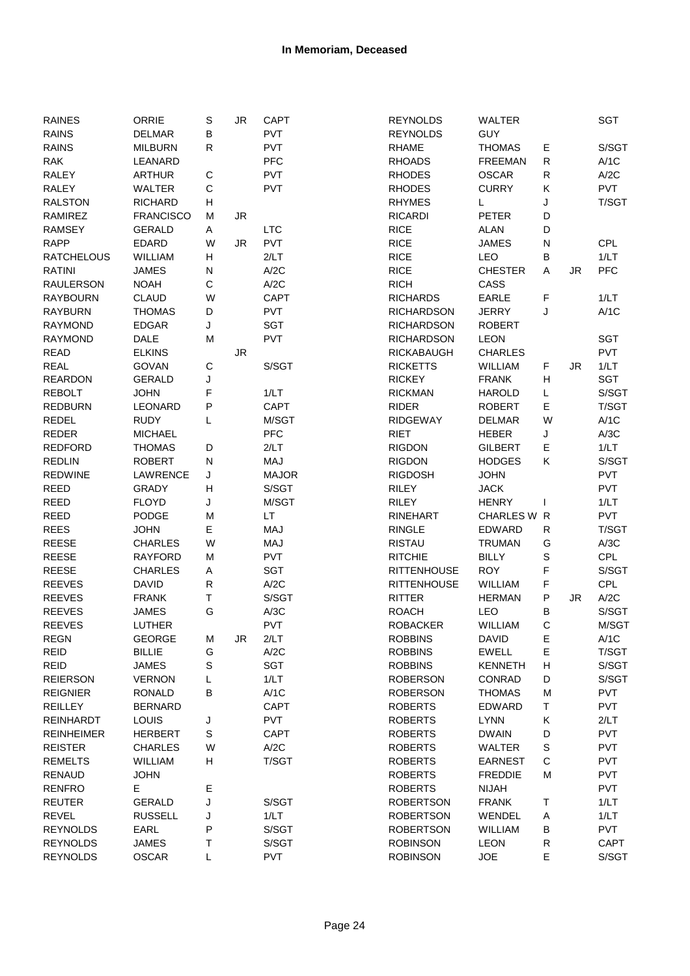| <b>RAINES</b>     | ORRIE            | $\mathsf S$ | JR        | <b>CAPT</b>  | <b>REYNOLDS</b>    | <b>WALTER</b>  |              |           | <b>SGT</b>  |
|-------------------|------------------|-------------|-----------|--------------|--------------------|----------------|--------------|-----------|-------------|
| <b>RAINS</b>      | <b>DELMAR</b>    | В           |           | PVT          | <b>REYNOLDS</b>    | <b>GUY</b>     |              |           |             |
| <b>RAINS</b>      | <b>MILBURN</b>   | R           |           | PVT          | <b>RHAME</b>       | <b>THOMAS</b>  | Е            |           | S/SGT       |
| <b>RAK</b>        | LEANARD          |             |           | PFC          | <b>RHOADS</b>      | <b>FREEMAN</b> | ${\sf R}$    |           | A/1C        |
| <b>RALEY</b>      | <b>ARTHUR</b>    | C           |           | <b>PVT</b>   | <b>RHODES</b>      | <b>OSCAR</b>   | $\mathsf R$  |           | A/2C        |
| <b>RALEY</b>      | <b>WALTER</b>    | C           |           | PVT          | <b>RHODES</b>      | <b>CURRY</b>   | Κ            |           | <b>PVT</b>  |
| <b>RALSTON</b>    | <b>RICHARD</b>   | н           |           |              | <b>RHYMES</b>      | Г              | J            |           | T/SGT       |
| <b>RAMIREZ</b>    | <b>FRANCISCO</b> | М           | JR        |              | <b>RICARDI</b>     | <b>PETER</b>   | D            |           |             |
| <b>RAMSEY</b>     | <b>GERALD</b>    | Α           |           | <b>LTC</b>   | <b>RICE</b>        | <b>ALAN</b>    | D            |           |             |
| <b>RAPP</b>       | <b>EDARD</b>     | W           | JR.       | PVT          | <b>RICE</b>        | <b>JAMES</b>   | N            |           | CPL         |
| <b>RATCHELOUS</b> | <b>WILLIAM</b>   | н           |           | 2/LT         | <b>RICE</b>        | <b>LEO</b>     | B            |           | 1/LT        |
| <b>RATINI</b>     | <b>JAMES</b>     | N           |           | A/2C         | <b>RICE</b>        | <b>CHESTER</b> | Α            | JR.       | <b>PFC</b>  |
| <b>RAULERSON</b>  | <b>NOAH</b>      | С           |           | A/2C         | <b>RICH</b>        | CASS           |              |           |             |
|                   |                  |             |           |              |                    |                |              |           |             |
| <b>RAYBOURN</b>   | <b>CLAUD</b>     | W           |           | <b>CAPT</b>  | <b>RICHARDS</b>    | EARLE          | F            |           | 1/LT        |
| <b>RAYBURN</b>    | <b>THOMAS</b>    | D           |           | PVT          | <b>RICHARDSON</b>  | <b>JERRY</b>   | J            |           | A/1C        |
| <b>RAYMOND</b>    | <b>EDGAR</b>     | J           |           | <b>SGT</b>   | <b>RICHARDSON</b>  | <b>ROBERT</b>  |              |           |             |
| <b>RAYMOND</b>    | <b>DALE</b>      | M           |           | PVT          | <b>RICHARDSON</b>  | <b>LEON</b>    |              |           | <b>SGT</b>  |
| <b>READ</b>       | <b>ELKINS</b>    |             | <b>JR</b> |              | <b>RICKABAUGH</b>  | <b>CHARLES</b> |              |           | <b>PVT</b>  |
| <b>REAL</b>       | <b>GOVAN</b>     | C           |           | S/SGT        | <b>RICKETTS</b>    | WILLIAM        | F            | JR.       | 1/LT        |
| <b>REARDON</b>    | <b>GERALD</b>    | J           |           |              | <b>RICKEY</b>      | <b>FRANK</b>   | Н            |           | SGT         |
| <b>REBOLT</b>     | <b>JOHN</b>      | F           |           | 1/LT         | <b>RICKMAN</b>     | <b>HAROLD</b>  | L            |           | S/SGT       |
| <b>REDBURN</b>    | <b>LEONARD</b>   | P           |           | <b>CAPT</b>  | <b>RIDER</b>       | <b>ROBERT</b>  | E            |           | T/SGT       |
| <b>REDEL</b>      | <b>RUDY</b>      | Г           |           | M/SGT        | <b>RIDGEWAY</b>    | <b>DELMAR</b>  | W            |           | A/1C        |
| <b>REDER</b>      | <b>MICHAEL</b>   |             |           | PFC          | <b>RIET</b>        | <b>HEBER</b>   | J            |           | A/3C        |
| <b>REDFORD</b>    | <b>THOMAS</b>    | D           |           | 2/LT         | <b>RIGDON</b>      | <b>GILBERT</b> | E            |           | 1/LT        |
| <b>REDLIN</b>     | <b>ROBERT</b>    | N           |           | MAJ          | <b>RIGDON</b>      | <b>HODGES</b>  | Κ            |           | S/SGT       |
| <b>REDWINE</b>    | <b>LAWRENCE</b>  | J           |           | <b>MAJOR</b> | <b>RIGDOSH</b>     | <b>JOHN</b>    |              |           | <b>PVT</b>  |
| <b>REED</b>       | <b>GRADY</b>     | н           |           | S/SGT        | <b>RILEY</b>       | <b>JACK</b>    |              |           | <b>PVT</b>  |
| <b>REED</b>       | <b>FLOYD</b>     | J           |           | M/SGT        | <b>RILEY</b>       | <b>HENRY</b>   |              |           | 1/LT        |
| <b>REED</b>       | <b>PODGE</b>     | M           |           | LT.          | <b>RINEHART</b>    | CHARLES W R    |              |           | <b>PVT</b>  |
| <b>REES</b>       | <b>JOHN</b>      | Е           |           | MAJ          | <b>RINGLE</b>      | <b>EDWARD</b>  | ${\sf R}$    |           | T/SGT       |
| <b>REESE</b>      | <b>CHARLES</b>   | W           |           | MAJ          | <b>RISTAU</b>      | <b>TRUMAN</b>  | G            |           | A/3C        |
| <b>REESE</b>      | <b>RAYFORD</b>   | M           |           | <b>PVT</b>   | <b>RITCHIE</b>     | <b>BILLY</b>   | $\mathbf S$  |           | <b>CPL</b>  |
| <b>REESE</b>      | <b>CHARLES</b>   | Α           |           | SGT          | <b>RITTENHOUSE</b> | <b>ROY</b>     | F            |           | S/SGT       |
| <b>REEVES</b>     | <b>DAVID</b>     | R           |           | A/2C         | <b>RITTENHOUSE</b> | WILLIAM        | F            |           | <b>CPL</b>  |
| <b>REEVES</b>     | <b>FRANK</b>     | т           |           | S/SGT        | <b>RITTER</b>      | <b>HERMAN</b>  | P            | <b>JR</b> | A/2C        |
| <b>REEVES</b>     | <b>JAMES</b>     | G           |           | A/3C         | <b>ROACH</b>       | LEO            | В            |           | S/SGT       |
| <b>REEVES</b>     | LUTHER           |             |           | <b>PVT</b>   | <b>ROBACKER</b>    | WILLIAM        | $\mathsf{C}$ |           | M/SGT       |
| <b>REGN</b>       | <b>GEORGE</b>    | M           | JR        | 2/LT         | <b>ROBBINS</b>     | <b>DAVID</b>   | Ε            |           | A/1C        |
| <b>REID</b>       | <b>BILLIE</b>    | G           |           | A/2C         | <b>ROBBINS</b>     | <b>EWELL</b>   | E            |           | T/SGT       |
| <b>REID</b>       | <b>JAMES</b>     | S           |           | SGT          | <b>ROBBINS</b>     | <b>KENNETH</b> | Η            |           | S/SGT       |
| <b>REIERSON</b>   | <b>VERNON</b>    | L           |           | 1/LT         | <b>ROBERSON</b>    | CONRAD         | D            |           | S/SGT       |
| <b>REIGNIER</b>   | <b>RONALD</b>    | В           |           | A/1C         | <b>ROBERSON</b>    | <b>THOMAS</b>  | M            |           | <b>PVT</b>  |
| <b>REILLEY</b>    | <b>BERNARD</b>   |             |           | <b>CAPT</b>  | <b>ROBERTS</b>     | <b>EDWARD</b>  | T            |           | <b>PVT</b>  |
| <b>REINHARDT</b>  | LOUIS            | J           |           | <b>PVT</b>   | <b>ROBERTS</b>     | <b>LYNN</b>    | Κ            |           | 2/LT        |
| <b>REINHEIMER</b> | <b>HERBERT</b>   | S           |           | <b>CAPT</b>  | <b>ROBERTS</b>     | <b>DWAIN</b>   | D            |           | <b>PVT</b>  |
| <b>REISTER</b>    | <b>CHARLES</b>   | W           |           | A/2C         | <b>ROBERTS</b>     | WALTER         | $\mathbb S$  |           | <b>PVT</b>  |
| <b>REMELTS</b>    | WILLIAM          | н           |           | T/SGT        | <b>ROBERTS</b>     | <b>EARNEST</b> | $\mathsf C$  |           | <b>PVT</b>  |
| <b>RENAUD</b>     | <b>JOHN</b>      |             |           |              | <b>ROBERTS</b>     | <b>FREDDIE</b> | M            |           | <b>PVT</b>  |
| <b>RENFRO</b>     | E                | Е           |           |              | <b>ROBERTS</b>     | <b>NIJAH</b>   |              |           | <b>PVT</b>  |
| <b>REUTER</b>     | GERALD           | J           |           | S/SGT        | <b>ROBERTSON</b>   | <b>FRANK</b>   | T            |           | 1/LT        |
| <b>REVEL</b>      | <b>RUSSELL</b>   | J           |           | 1/LT         | <b>ROBERTSON</b>   | WENDEL         | Α            |           | 1/LT        |
| <b>REYNOLDS</b>   | EARL             | P           |           | S/SGT        | <b>ROBERTSON</b>   | WILLIAM        | B            |           | <b>PVT</b>  |
| <b>REYNOLDS</b>   | <b>JAMES</b>     | Τ           |           | S/SGT        | <b>ROBINSON</b>    | <b>LEON</b>    | R            |           | <b>CAPT</b> |
| <b>REYNOLDS</b>   | OSCAR            | L           |           | PVT          | <b>ROBINSON</b>    | <b>JOE</b>     | E            |           | S/SGT       |
|                   |                  |             |           |              |                    |                |              |           |             |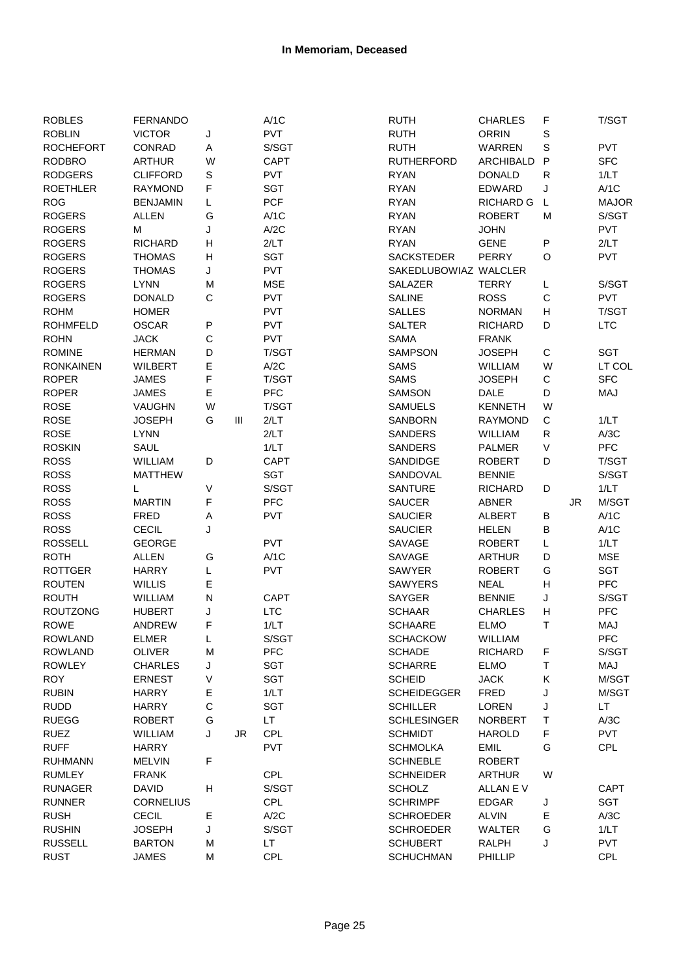| <b>ROBLES</b>    | <b>FERNANDO</b>  |              |     | A/1C        | <b>RUTH</b>           | <b>CHARLES</b>   | F            |    | T/SGT        |
|------------------|------------------|--------------|-----|-------------|-----------------------|------------------|--------------|----|--------------|
| <b>ROBLIN</b>    | <b>VICTOR</b>    | J            |     | <b>PVT</b>  | <b>RUTH</b>           | <b>ORRIN</b>     | S            |    |              |
| <b>ROCHEFORT</b> | <b>CONRAD</b>    | Α            |     | S/SGT       | <b>RUTH</b>           | WARREN           | S            |    | <b>PVT</b>   |
| <b>RODBRO</b>    | <b>ARTHUR</b>    | W            |     | CAPT        | <b>RUTHERFORD</b>     | <b>ARCHIBALD</b> | P            |    | <b>SFC</b>   |
| <b>RODGERS</b>   | <b>CLIFFORD</b>  | $\mathbb S$  |     | <b>PVT</b>  | <b>RYAN</b>           | <b>DONALD</b>    | $\mathsf R$  |    | 1/LT         |
| <b>ROETHLER</b>  | <b>RAYMOND</b>   | F            |     | <b>SGT</b>  | <b>RYAN</b>           | <b>EDWARD</b>    | J            |    | A/1C         |
| <b>ROG</b>       | <b>BENJAMIN</b>  | L            |     | <b>PCF</b>  | <b>RYAN</b>           | <b>RICHARD G</b> | $\mathsf{L}$ |    | <b>MAJOR</b> |
| <b>ROGERS</b>    | <b>ALLEN</b>     | G            |     | A/1C        | <b>RYAN</b>           | <b>ROBERT</b>    | M            |    | S/SGT        |
| <b>ROGERS</b>    | M                | J            |     | A/2C        | <b>RYAN</b>           | <b>JOHN</b>      |              |    | <b>PVT</b>   |
| <b>ROGERS</b>    | <b>RICHARD</b>   | H            |     | 2/LT        | <b>RYAN</b>           | <b>GENE</b>      | ${\sf P}$    |    | 2/LT         |
|                  |                  |              |     | <b>SGT</b>  |                       |                  |              |    | <b>PVT</b>   |
| <b>ROGERS</b>    | <b>THOMAS</b>    | H            |     |             | <b>SACKSTEDER</b>     | <b>PERRY</b>     | O            |    |              |
| <b>ROGERS</b>    | <b>THOMAS</b>    | J            |     | <b>PVT</b>  | SAKEDLUBOWIAZ WALCLER |                  |              |    |              |
| <b>ROGERS</b>    | <b>LYNN</b>      | M            |     | <b>MSE</b>  | SALAZER               | <b>TERRY</b>     | L            |    | S/SGT        |
| <b>ROGERS</b>    | <b>DONALD</b>    | $\mathsf C$  |     | PVT         | <b>SALINE</b>         | <b>ROSS</b>      | $\mathsf C$  |    | <b>PVT</b>   |
| <b>ROHM</b>      | <b>HOMER</b>     |              |     | <b>PVT</b>  | <b>SALLES</b>         | <b>NORMAN</b>    | $\mathsf{H}$ |    | T/SGT        |
| <b>ROHMFELD</b>  | <b>OSCAR</b>     | P            |     | <b>PVT</b>  | <b>SALTER</b>         | <b>RICHARD</b>   | D            |    | <b>LTC</b>   |
| <b>ROHN</b>      | <b>JACK</b>      | $\mathsf C$  |     | <b>PVT</b>  | <b>SAMA</b>           | <b>FRANK</b>     |              |    |              |
| <b>ROMINE</b>    | <b>HERMAN</b>    | D            |     | T/SGT       | <b>SAMPSON</b>        | <b>JOSEPH</b>    | $\mathsf C$  |    | SGT          |
| <b>RONKAINEN</b> | <b>WILBERT</b>   | E            |     | A/2C        | SAMS                  | WILLIAM          | W            |    | LT COL       |
| <b>ROPER</b>     | <b>JAMES</b>     | F            |     | T/SGT       | <b>SAMS</b>           | <b>JOSEPH</b>    | $\mathsf C$  |    | <b>SFC</b>   |
| <b>ROPER</b>     | <b>JAMES</b>     | E            |     | PFC         | <b>SAMSON</b>         | DALE             | D            |    | MAJ          |
| <b>ROSE</b>      | <b>VAUGHN</b>    | W            |     | T/SGT       | <b>SAMUELS</b>        | <b>KENNETH</b>   | W            |    |              |
| <b>ROSE</b>      | <b>JOSEPH</b>    | G            | III | 2/LT        | <b>SANBORN</b>        | <b>RAYMOND</b>   | C            |    | 1/LT         |
| <b>ROSE</b>      | <b>LYNN</b>      |              |     | 2/LT        | <b>SANDERS</b>        | <b>WILLIAM</b>   | R            |    | A/3C         |
| <b>ROSKIN</b>    | SAUL             |              |     | 1/LT        | <b>SANDERS</b>        | <b>PALMER</b>    | V            |    | PFC          |
| <b>ROSS</b>      | WILLIAM          | $\mathsf D$  |     | CAPT        | SANDIDGE              | <b>ROBERT</b>    | D            |    | T/SGT        |
| <b>ROSS</b>      | <b>MATTHEW</b>   |              |     | SGT         | SANDOVAL              | <b>BENNIE</b>    |              |    | S/SGT        |
| <b>ROSS</b>      | L                | $\vee$       |     | S/SGT       | <b>SANTURE</b>        | <b>RICHARD</b>   | D            |    | 1/LT         |
| <b>ROSS</b>      | <b>MARTIN</b>    | F            |     | <b>PFC</b>  | <b>SAUCER</b>         | <b>ABNER</b>     |              | JR | M/SGT        |
| <b>ROSS</b>      | <b>FRED</b>      | Α            |     | <b>PVT</b>  | <b>SAUCIER</b>        | <b>ALBERT</b>    | B            |    | A/1C         |
| <b>ROSS</b>      | <b>CECIL</b>     | J            |     |             | <b>SAUCIER</b>        | <b>HELEN</b>     | B            |    | A/1C         |
| <b>ROSSELL</b>   | <b>GEORGE</b>    |              |     | PVT         | SAVAGE                | <b>ROBERT</b>    | L            |    | 1/LT         |
| <b>ROTH</b>      | <b>ALLEN</b>     | G            |     | A/1C        | SAVAGE                | <b>ARTHUR</b>    | D            |    | <b>MSE</b>   |
| <b>ROTTGER</b>   | <b>HARRY</b>     |              |     | <b>PVT</b>  | <b>SAWYER</b>         | <b>ROBERT</b>    | G            |    | SGT          |
|                  |                  | L            |     |             |                       |                  |              |    | PFC          |
| <b>ROUTEN</b>    | <b>WILLIS</b>    | E            |     |             | <b>SAWYERS</b>        | <b>NEAL</b>      | н            |    |              |
| <b>ROUTH</b>     | WILLIAM          | ${\sf N}$    |     | <b>CAPT</b> | <b>SAYGER</b>         | <b>BENNIE</b>    | J            |    | S/SGT        |
| <b>ROUTZONG</b>  | <b>HUBERT</b>    | J            |     | <b>LTC</b>  | <b>SCHAAR</b>         | <b>CHARLES</b>   | н            |    | <b>PFC</b>   |
| <b>ROWE</b>      | <b>ANDREW</b>    | F            |     | 1/LT        | <b>SCHAARE</b>        | <b>ELMO</b>      | T.           |    | MAJ          |
| ROWLAND          | ELMER            | L            |     | S/SGT       | <b>SCHACKOW</b>       | WILLIAM          |              |    | PFC          |
| <b>ROWLAND</b>   | <b>OLIVER</b>    | M            |     | PFC         | <b>SCHADE</b>         | <b>RICHARD</b>   | F            |    | S/SGT        |
| <b>ROWLEY</b>    | <b>CHARLES</b>   | J            |     | SGT         | <b>SCHARRE</b>        | <b>ELMO</b>      | Τ            |    | MAJ          |
| <b>ROY</b>       | <b>ERNEST</b>    | V            |     | SGT         | <b>SCHEID</b>         | <b>JACK</b>      | Κ            |    | M/SGT        |
| <b>RUBIN</b>     | <b>HARRY</b>     | Е            |     | 1/LT        | <b>SCHEIDEGGER</b>    | <b>FRED</b>      | J            |    | M/SGT        |
| <b>RUDD</b>      | <b>HARRY</b>     | $\mathsf{C}$ |     | SGT         | <b>SCHILLER</b>       | <b>LOREN</b>     | J            |    | LT.          |
| <b>RUEGG</b>     | <b>ROBERT</b>    | G            |     | LT.         | <b>SCHLESINGER</b>    | <b>NORBERT</b>   | Т            |    | A/3C         |
| <b>RUEZ</b>      | WILLIAM          | J            | JR  | <b>CPL</b>  | <b>SCHMIDT</b>        | <b>HAROLD</b>    | F            |    | <b>PVT</b>   |
| <b>RUFF</b>      | <b>HARRY</b>     |              |     | <b>PVT</b>  | <b>SCHMOLKA</b>       | <b>EMIL</b>      | G            |    | CPL          |
| <b>RUHMANN</b>   | <b>MELVIN</b>    | F            |     |             | <b>SCHNEBLE</b>       | <b>ROBERT</b>    |              |    |              |
| <b>RUMLEY</b>    | <b>FRANK</b>     |              |     | CPL         | <b>SCHNEIDER</b>      | <b>ARTHUR</b>    | W            |    |              |
| <b>RUNAGER</b>   | <b>DAVID</b>     | H            |     | S/SGT       | <b>SCHOLZ</b>         | ALLAN EV         |              |    | <b>CAPT</b>  |
| <b>RUNNER</b>    | <b>CORNELIUS</b> |              |     | CPL         | <b>SCHRIMPF</b>       | <b>EDGAR</b>     | J            |    | SGT          |
| <b>RUSH</b>      | <b>CECIL</b>     | Е            |     | A/2C        | <b>SCHROEDER</b>      | <b>ALVIN</b>     | Е            |    | A/3C         |
| <b>RUSHIN</b>    | <b>JOSEPH</b>    | J            |     | S/SGT       | <b>SCHROEDER</b>      | WALTER           | G            |    | 1/LT         |
| <b>RUSSELL</b>   | <b>BARTON</b>    | M            |     | LT.         | <b>SCHUBERT</b>       | <b>RALPH</b>     | J            |    | <b>PVT</b>   |
| <b>RUST</b>      | JAMES            | M            |     | CPL         | <b>SCHUCHMAN</b>      | PHILLIP          |              |    | CPL          |
|                  |                  |              |     |             |                       |                  |              |    |              |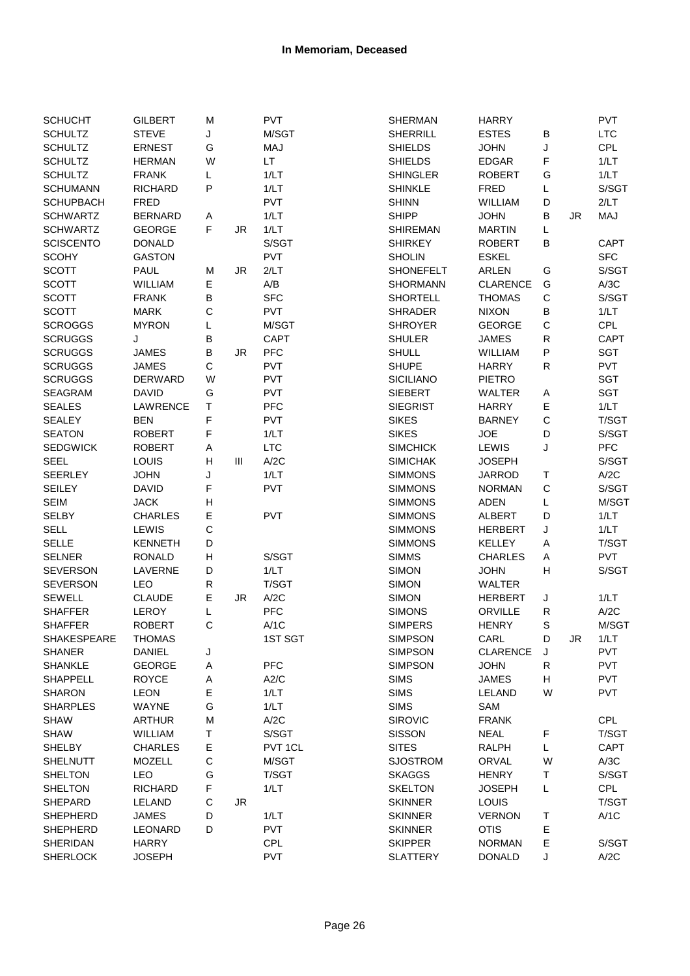| <b>SCHUCHT</b>   | <b>GILBERT</b>              | M           |     | PVT         | <b>SHERMAN</b>   | <b>HARRY</b>    |              |           | <b>PVT</b>  |
|------------------|-----------------------------|-------------|-----|-------------|------------------|-----------------|--------------|-----------|-------------|
| <b>SCHULTZ</b>   | <b>STEVE</b>                | J           |     | M/SGT       | <b>SHERRILL</b>  | <b>ESTES</b>    | B            |           | <b>LTC</b>  |
| <b>SCHULTZ</b>   | <b>ERNEST</b>               | G           |     | MAJ         | <b>SHIELDS</b>   | <b>JOHN</b>     | J            |           | CPL         |
| <b>SCHULTZ</b>   | <b>HERMAN</b>               | W           |     | LT.         | <b>SHIELDS</b>   | <b>EDGAR</b>    | F            |           | 1/LT        |
| <b>SCHULTZ</b>   | <b>FRANK</b>                | L           |     | 1/LT        | <b>SHINGLER</b>  | <b>ROBERT</b>   | G            |           | 1/LT        |
| <b>SCHUMANN</b>  | <b>RICHARD</b>              | P           |     | 1/LT        | <b>SHINKLE</b>   | <b>FRED</b>     | L            |           | S/SGT       |
| <b>SCHUPBACH</b> | <b>FRED</b>                 |             |     | PVT         | <b>SHINN</b>     | <b>WILLIAM</b>  | D            |           | 2/LT        |
| <b>SCHWARTZ</b>  | <b>BERNARD</b>              | Α           |     | 1/LT        | <b>SHIPP</b>     | <b>JOHN</b>     | Β            | <b>JR</b> | MAJ         |
| <b>SCHWARTZ</b>  | <b>GEORGE</b>               | F           | JR. | 1/LT        | <b>SHIREMAN</b>  | <b>MARTIN</b>   | L            |           |             |
| <b>SCISCENTO</b> | <b>DONALD</b>               |             |     | S/SGT       | <b>SHIRKEY</b>   | <b>ROBERT</b>   | B            |           | <b>CAPT</b> |
| <b>SCOHY</b>     | <b>GASTON</b>               |             |     | <b>PVT</b>  | <b>SHOLIN</b>    | <b>ESKEL</b>    |              |           | <b>SFC</b>  |
| <b>SCOTT</b>     | <b>PAUL</b>                 | Μ           | JR  | 2/LT        | <b>SHONEFELT</b> | <b>ARLEN</b>    | G            |           | S/SGT       |
| <b>SCOTT</b>     | WILLIAM                     | Е           |     | A/B         | <b>SHORMANN</b>  | <b>CLARENCE</b> | G            |           | A/3C        |
| <b>SCOTT</b>     | <b>FRANK</b>                | B           |     | <b>SFC</b>  | SHORTELL         | <b>THOMAS</b>   | $\mathsf{C}$ |           | S/SGT       |
| <b>SCOTT</b>     | <b>MARK</b>                 | $\mathsf C$ |     | <b>PVT</b>  | <b>SHRADER</b>   | <b>NIXON</b>    | B            |           | 1/LT        |
| <b>SCROGGS</b>   | <b>MYRON</b>                | L           |     | M/SGT       | <b>SHROYER</b>   | <b>GEORGE</b>   | $\mathsf C$  |           | CPL         |
| <b>SCRUGGS</b>   | J                           | B           |     | <b>CAPT</b> | <b>SHULER</b>    | <b>JAMES</b>    | R            |           | CAPT        |
| <b>SCRUGGS</b>   | <b>JAMES</b>                | В           | JR  | <b>PFC</b>  | SHULL            | WILLIAM         | P            |           | SGT         |
| <b>SCRUGGS</b>   | <b>JAMES</b>                | C           |     | PVT         | <b>SHUPE</b>     | <b>HARRY</b>    | R            |           | <b>PVT</b>  |
| <b>SCRUGGS</b>   | <b>DERWARD</b>              | W           |     | <b>PVT</b>  | <b>SICILIANO</b> | <b>PIETRO</b>   |              |           | <b>SGT</b>  |
| <b>SEAGRAM</b>   | <b>DAVID</b>                | G           |     | PVT         | <b>SIEBERT</b>   | WALTER          | A            |           | SGT         |
| <b>SEALES</b>    | LAWRENCE                    | Τ           |     | <b>PFC</b>  | <b>SIEGRIST</b>  | <b>HARRY</b>    | Е            |           | 1/LT        |
| SEALEY           | <b>BEN</b>                  | F           |     | PVT         | <b>SIKES</b>     | <b>BARNEY</b>   | $\mathsf{C}$ |           | T/SGT       |
| <b>SEATON</b>    | <b>ROBERT</b>               | F           |     | 1/LT        | <b>SIKES</b>     | <b>JOE</b>      | D            |           | S/SGT       |
| <b>SEDGWICK</b>  | <b>ROBERT</b>               | Α           |     | <b>LTC</b>  | <b>SIMCHICK</b>  |                 |              |           | <b>PFC</b>  |
| <b>SEEL</b>      | LOUIS                       | н           | Ш   | A/2C        | <b>SIMICHAK</b>  | LEWIS           | J            |           | S/SGT       |
| <b>SEERLEY</b>   |                             |             |     | 1/LT        |                  | <b>JOSEPH</b>   |              |           | A/2C        |
|                  | <b>JOHN</b><br><b>DAVID</b> | J           |     | PVT         | <b>SIMMONS</b>   | <b>JARROD</b>   | Τ            |           |             |
| SEILEY           |                             | F           |     |             | <b>SIMMONS</b>   | <b>NORMAN</b>   | $\mathsf C$  |           | S/SGT       |
| <b>SEIM</b>      | <b>JACK</b>                 | Н           |     |             | <b>SIMMONS</b>   | <b>ADEN</b>     | L            |           | M/SGT       |
| <b>SELBY</b>     | <b>CHARLES</b>              | Е           |     | PVT         | <b>SIMMONS</b>   | <b>ALBERT</b>   | D            |           | 1/LT        |
| <b>SELL</b>      | LEWIS                       | C           |     |             | <b>SIMMONS</b>   | <b>HERBERT</b>  | J            |           | 1/LT        |
| <b>SELLE</b>     | <b>KENNETH</b>              | D           |     |             | <b>SIMMONS</b>   | <b>KELLEY</b>   | Α            |           | T/SGT       |
| <b>SELNER</b>    | <b>RONALD</b>               | н           |     | S/SGT       | <b>SIMMS</b>     | <b>CHARLES</b>  | Α            |           | <b>PVT</b>  |
| <b>SEVERSON</b>  | LAVERNE                     | D           |     | 1/LT        | <b>SIMON</b>     | <b>JOHN</b>     | Н            |           | S/SGT       |
| <b>SEVERSON</b>  | <b>LEO</b>                  | R           |     | T/SGT       | <b>SIMON</b>     | WALTER          |              |           |             |
| <b>SEWELL</b>    | <b>CLAUDE</b>               | Е           | JR. | A/2C        | <b>SIMON</b>     | <b>HERBERT</b>  | J            |           | 1/LT        |
| <b>SHAFFER</b>   | LEROY                       | L           |     | PFC         | <b>SIMONS</b>    | ORVILLE         | R            |           | A/2C        |
| <b>SHAFFER</b>   | <b>ROBERT</b>               | C           |     | A/1C        | <b>SIMPERS</b>   | <b>HENRY</b>    | S            |           | M/SGT       |
| SHAKESPEARE      | THOMAS                      |             |     | 1ST SGT     | SIMPSON          | CARL            | D            | JR        | 1/LT        |
| SHANER           | <b>DANIEL</b>               | J           |     |             | <b>SIMPSON</b>   | <b>CLARENCE</b> | J            |           | PVT         |
| <b>SHANKLE</b>   | <b>GEORGE</b>               | Α           |     | PFC         | <b>SIMPSON</b>   | <b>JOHN</b>     | R            |           | <b>PVT</b>  |
| SHAPPELL         | <b>ROYCE</b>                | Α           |     | A2/C        | <b>SIMS</b>      | <b>JAMES</b>    | н            |           | <b>PVT</b>  |
| <b>SHARON</b>    | <b>LEON</b>                 | Е           |     | 1/LT        | <b>SIMS</b>      | LELAND          | W            |           | PVT         |
| <b>SHARPLES</b>  | WAYNE                       | G           |     | 1/LT        | <b>SIMS</b>      | SAM             |              |           |             |
| <b>SHAW</b>      | <b>ARTHUR</b>               | M           |     | A/2C        | <b>SIROVIC</b>   | <b>FRANK</b>    |              |           | CPL         |
| <b>SHAW</b>      | WILLIAM                     | Τ           |     | S/SGT       | <b>SISSON</b>    | <b>NEAL</b>     | F            |           | T/SGT       |
| <b>SHELBY</b>    | <b>CHARLES</b>              | Е           |     | PVT 1CL     | <b>SITES</b>     | <b>RALPH</b>    | L            |           | CAPT        |
| <b>SHELNUTT</b>  | <b>MOZELL</b>               | $\mathsf C$ |     | M/SGT       | <b>SJOSTROM</b>  | <b>ORVAL</b>    | W            |           | A/3C        |
| <b>SHELTON</b>   | <b>LEO</b>                  | G           |     | T/SGT       | <b>SKAGGS</b>    | <b>HENRY</b>    | T            |           | S/SGT       |
| <b>SHELTON</b>   | <b>RICHARD</b>              | F           |     | 1/LT        | <b>SKELTON</b>   | <b>JOSEPH</b>   | L            |           | <b>CPL</b>  |
| SHEPARD          | LELAND                      | C           | JR. |             | <b>SKINNER</b>   | LOUIS           |              |           | T/SGT       |
| <b>SHEPHERD</b>  | <b>JAMES</b>                | D           |     | 1/LT        | <b>SKINNER</b>   | <b>VERNON</b>   | Τ            |           | A/1C        |
| <b>SHEPHERD</b>  | LEONARD                     | D           |     | PVT         | <b>SKINNER</b>   | <b>OTIS</b>     | Е            |           |             |
| <b>SHERIDAN</b>  | <b>HARRY</b>                |             |     | CPL         | <b>SKIPPER</b>   | <b>NORMAN</b>   | Е            |           | S/SGT       |
| <b>SHERLOCK</b>  | <b>JOSEPH</b>               |             |     | <b>PVT</b>  | <b>SLATTERY</b>  | <b>DONALD</b>   | J            |           | A/2C        |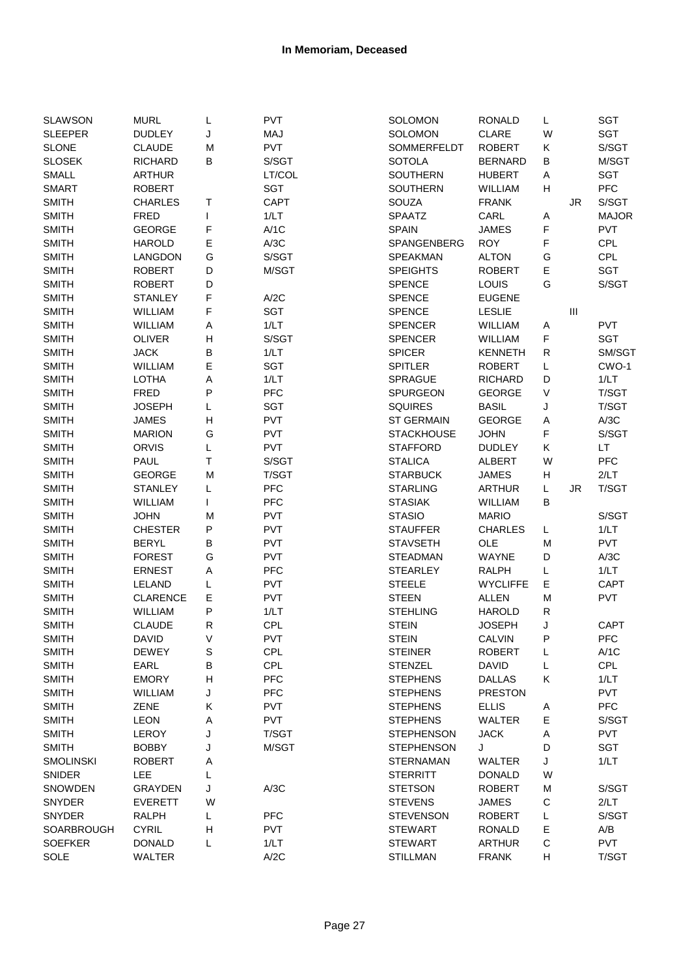| <b>SLAWSON</b>   | <b>MURL</b>     | L            | PVT         | SOLOMON           | <b>RONALD</b>   | L           |                                    | SGT          |
|------------------|-----------------|--------------|-------------|-------------------|-----------------|-------------|------------------------------------|--------------|
| <b>SLEEPER</b>   | <b>DUDLEY</b>   | J            | MAJ         | SOLOMON           | <b>CLARE</b>    | W           |                                    | <b>SGT</b>   |
| <b>SLONE</b>     | <b>CLAUDE</b>   | M            | PVT         | SOMMERFELDT       | <b>ROBERT</b>   | Κ           |                                    | S/SGT        |
| <b>SLOSEK</b>    | <b>RICHARD</b>  | B            | S/SGT       | <b>SOTOLA</b>     | <b>BERNARD</b>  | $\sf B$     |                                    | M/SGT        |
| SMALL            | <b>ARTHUR</b>   |              | LT/COL      | SOUTHERN          | <b>HUBERT</b>   | Α           |                                    | SGT          |
| <b>SMART</b>     | <b>ROBERT</b>   |              | <b>SGT</b>  | <b>SOUTHERN</b>   | WILLIAM         | Н           |                                    | PFC          |
| <b>SMITH</b>     | <b>CHARLES</b>  | T            | <b>CAPT</b> | SOUZA             | <b>FRANK</b>    |             | JR.                                | S/SGT        |
| <b>SMITH</b>     | FRED            | $\mathbf{I}$ | 1/LT        | <b>SPAATZ</b>     | CARL            | Α           |                                    | <b>MAJOR</b> |
| <b>SMITH</b>     | <b>GEORGE</b>   | F            | A/1C        | <b>SPAIN</b>      | <b>JAMES</b>    | F           |                                    | <b>PVT</b>   |
| <b>SMITH</b>     | <b>HAROLD</b>   | E            | A/3C        | SPANGENBERG       | <b>ROY</b>      | F           |                                    | CPL          |
| <b>SMITH</b>     | <b>LANGDON</b>  | G            | S/SGT       | <b>SPEAKMAN</b>   | <b>ALTON</b>    | G           |                                    | <b>CPL</b>   |
| <b>SMITH</b>     | <b>ROBERT</b>   | D            | M/SGT       | <b>SPEIGHTS</b>   | <b>ROBERT</b>   | E           |                                    | <b>SGT</b>   |
| <b>SMITH</b>     | <b>ROBERT</b>   | D            |             | <b>SPENCE</b>     | LOUIS           | G           |                                    | S/SGT        |
| <b>SMITH</b>     | <b>STANLEY</b>  | F            | A/2C        | <b>SPENCE</b>     | <b>EUGENE</b>   |             |                                    |              |
|                  |                 | F            | SGT         | <b>SPENCE</b>     | <b>LESLIE</b>   |             | $\ensuremath{\mathsf{III}}\xspace$ |              |
| <b>SMITH</b>     | WILLIAM         |              |             |                   |                 |             |                                    |              |
| <b>SMITH</b>     | WILLIAM         | A            | 1/LT        | <b>SPENCER</b>    | WILLIAM         | Α           |                                    | <b>PVT</b>   |
| <b>SMITH</b>     | <b>OLIVER</b>   | Н            | S/SGT       | <b>SPENCER</b>    | WILLIAM         | F           |                                    | SGT          |
| <b>SMITH</b>     | <b>JACK</b>     | $\sf B$      | 1/LT        | <b>SPICER</b>     | <b>KENNETH</b>  | R           |                                    | SM/SGT       |
| <b>SMITH</b>     | WILLIAM         | E            | SGT         | <b>SPITLER</b>    | <b>ROBERT</b>   | L           |                                    | CWO-1        |
| <b>SMITH</b>     | LOTHA           | A            | 1/LT        | <b>SPRAGUE</b>    | <b>RICHARD</b>  | D           |                                    | 1/LT         |
| <b>SMITH</b>     | <b>FRED</b>     | $\sf P$      | PFC         | SPURGEON          | <b>GEORGE</b>   | V           |                                    | T/SGT        |
| <b>SMITH</b>     | <b>JOSEPH</b>   | L            | <b>SGT</b>  | <b>SQUIRES</b>    | <b>BASIL</b>    | J           |                                    | T/SGT        |
| <b>SMITH</b>     | <b>JAMES</b>    | н            | <b>PVT</b>  | <b>ST GERMAIN</b> | <b>GEORGE</b>   | Α           |                                    | A/3C         |
| <b>SMITH</b>     | <b>MARION</b>   | G            | <b>PVT</b>  | <b>STACKHOUSE</b> | <b>JOHN</b>     | F           |                                    | S/SGT        |
| <b>SMITH</b>     | <b>ORVIS</b>    | L            | PVT         | <b>STAFFORD</b>   | <b>DUDLEY</b>   | Κ           |                                    | LT.          |
| <b>SMITH</b>     | PAUL            | $\top$       | S/SGT       | <b>STALICA</b>    | <b>ALBERT</b>   | W           |                                    | PFC          |
| <b>SMITH</b>     | <b>GEORGE</b>   | M            | T/SGT       | <b>STARBUCK</b>   | <b>JAMES</b>    | Н           |                                    | 2/LT         |
| <b>SMITH</b>     | <b>STANLEY</b>  | L            | <b>PFC</b>  | <b>STARLING</b>   | <b>ARTHUR</b>   | L           | <b>JR</b>                          | T/SGT        |
| <b>SMITH</b>     | WILLIAM         |              | PFC         | <b>STASIAK</b>    | WILLIAM         | B           |                                    |              |
| <b>SMITH</b>     | <b>JOHN</b>     | M            | <b>PVT</b>  | <b>STASIO</b>     | <b>MARIO</b>    |             |                                    | S/SGT        |
| <b>SMITH</b>     | <b>CHESTER</b>  | P            | <b>PVT</b>  | <b>STAUFFER</b>   | <b>CHARLES</b>  | L           |                                    | 1/LT         |
| <b>SMITH</b>     | <b>BERYL</b>    | В            | PVT         | <b>STAVSETH</b>   | OLE             | M           |                                    | <b>PVT</b>   |
| <b>SMITH</b>     | <b>FOREST</b>   | G            | PVT         | <b>STEADMAN</b>   | <b>WAYNE</b>    | D           |                                    | A/3C         |
| <b>SMITH</b>     | <b>ERNEST</b>   | Α            | PFC         | <b>STEARLEY</b>   | <b>RALPH</b>    | L           |                                    | 1/LT         |
| <b>SMITH</b>     | LELAND          | L            | <b>PVT</b>  | <b>STEELE</b>     | <b>WYCLIFFE</b> | E           |                                    | <b>CAPT</b>  |
| <b>SMITH</b>     | <b>CLARENCE</b> | E            | <b>PVT</b>  | <b>STEEN</b>      | <b>ALLEN</b>    | M           |                                    | <b>PVT</b>   |
| <b>SMITH</b>     | WILLIAM         | P            | 1/LT        | <b>STEHLING</b>   | <b>HAROLD</b>   | R           |                                    |              |
| <b>SMITH</b>     | <b>CLAUDE</b>   | R            | <b>CPL</b>  | <b>STEIN</b>      | <b>JOSEPH</b>   | J           |                                    | <b>CAPT</b>  |
| <b>SMITH</b>     | DAVID           | V            | <b>PVT</b>  | <b>STEIN</b>      | <b>CALVIN</b>   | Ρ           |                                    | <b>PFC</b>   |
| <b>SMITH</b>     | <b>DEWEY</b>    | S            | <b>CPL</b>  | <b>STEINER</b>    | <b>ROBERT</b>   | L           |                                    | A/1C         |
| <b>SMITH</b>     | EARL            | $\sf B$      | <b>CPL</b>  | <b>STENZEL</b>    | <b>DAVID</b>    | L           |                                    | CPL          |
| <b>SMITH</b>     | <b>EMORY</b>    | Η            | <b>PFC</b>  | <b>STEPHENS</b>   | <b>DALLAS</b>   | Κ           |                                    | 1/LT         |
| <b>SMITH</b>     | WILLIAM         | J            | PFC         | <b>STEPHENS</b>   | <b>PRESTON</b>  |             |                                    | <b>PVT</b>   |
|                  |                 |              |             |                   |                 |             |                                    |              |
| <b>SMITH</b>     | ZENE            | Κ            | <b>PVT</b>  | <b>STEPHENS</b>   | <b>ELLIS</b>    | Α           |                                    | PFC          |
| <b>SMITH</b>     | <b>LEON</b>     | Α            | PVT         | <b>STEPHENS</b>   | <b>WALTER</b>   | Е           |                                    | S/SGT        |
| <b>SMITH</b>     | LEROY           | J            | T/SGT       | <b>STEPHENSON</b> | <b>JACK</b>     | Α           |                                    | <b>PVT</b>   |
| <b>SMITH</b>     | <b>BOBBY</b>    | J            | M/SGT       | <b>STEPHENSON</b> | J               | D           |                                    | SGT          |
| <b>SMOLINSKI</b> | <b>ROBERT</b>   | Α            |             | <b>STERNAMAN</b>  | WALTER          | J           |                                    | 1/LT         |
| <b>SNIDER</b>    | LEE             | L            |             | <b>STERRITT</b>   | <b>DONALD</b>   | W           |                                    |              |
| <b>SNOWDEN</b>   | <b>GRAYDEN</b>  | J            | A/3C        | <b>STETSON</b>    | <b>ROBERT</b>   | M           |                                    | S/SGT        |
| <b>SNYDER</b>    | <b>EVERETT</b>  | W            |             | <b>STEVENS</b>    | <b>JAMES</b>    | $\mathsf C$ |                                    | 2/LT         |
| <b>SNYDER</b>    | <b>RALPH</b>    | L            | <b>PFC</b>  | <b>STEVENSON</b>  | <b>ROBERT</b>   | L           |                                    | S/SGT        |
| SOARBROUGH       | <b>CYRIL</b>    | Η            | <b>PVT</b>  | <b>STEWART</b>    | <b>RONALD</b>   | Е           |                                    | A/B          |
| <b>SOEFKER</b>   | <b>DONALD</b>   | L            | 1/LT        | <b>STEWART</b>    | <b>ARTHUR</b>   | $\mathsf C$ |                                    | <b>PVT</b>   |
| SOLE             | WALTER          |              | A/2C        | <b>STILLMAN</b>   | <b>FRANK</b>    | н           |                                    | T/SGT        |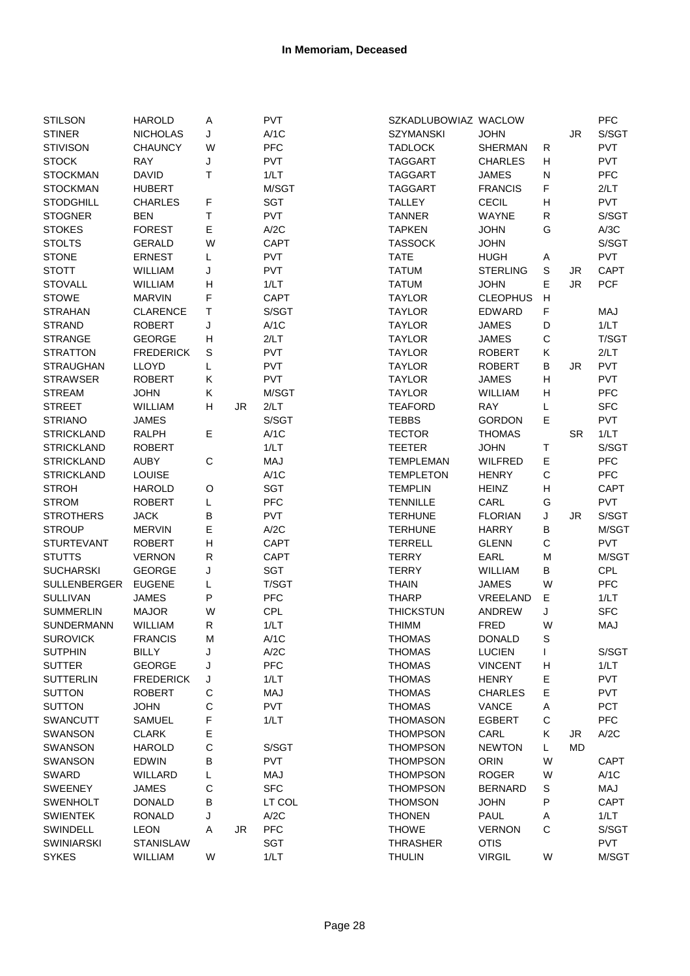| <b>STILSON</b>      | <b>HAROLD</b>    | Α           |     | PVT          | SZKADLUBOWIAZ WACLOW               |                 |             |           | <b>PFC</b>  |
|---------------------|------------------|-------------|-----|--------------|------------------------------------|-----------------|-------------|-----------|-------------|
| <b>STINER</b>       | <b>NICHOLAS</b>  | J           |     | A/1C         | <b>SZYMANSKI</b>                   | <b>JOHN</b>     |             | JR.       | S/SGT       |
| <b>STIVISON</b>     | <b>CHAUNCY</b>   | W           |     | PFC          | <b>TADLOCK</b>                     | <b>SHERMAN</b>  | R           |           | <b>PVT</b>  |
| <b>STOCK</b>        | <b>RAY</b>       | J           |     | PVT          | <b>TAGGART</b>                     | <b>CHARLES</b>  | н           |           | <b>PVT</b>  |
| <b>STOCKMAN</b>     | <b>DAVID</b>     | T           |     | 1/LT         | <b>TAGGART</b>                     | <b>JAMES</b>    | N           |           | <b>PFC</b>  |
| <b>STOCKMAN</b>     | <b>HUBERT</b>    |             |     | M/SGT        | <b>TAGGART</b>                     | <b>FRANCIS</b>  | F           |           | 2/LT        |
| <b>STODGHILL</b>    | <b>CHARLES</b>   | F           |     | SGT          | <b>TALLEY</b>                      | <b>CECIL</b>    | Н           |           | <b>PVT</b>  |
| <b>STOGNER</b>      | <b>BEN</b>       | Τ           |     | <b>PVT</b>   | <b>TANNER</b>                      | WAYNE           | R           |           | S/SGT       |
| <b>STOKES</b>       | <b>FOREST</b>    | E           |     | A/2C         | <b>TAPKEN</b>                      | <b>JOHN</b>     | G           |           | A/3C        |
| <b>STOLTS</b>       | <b>GERALD</b>    | W           |     | <b>CAPT</b>  | <b>TASSOCK</b>                     | <b>JOHN</b>     |             |           | S/SGT       |
| <b>STONE</b>        | <b>ERNEST</b>    | L           |     | <b>PVT</b>   | <b>TATE</b>                        | <b>HUGH</b>     | Α           |           | <b>PVT</b>  |
| <b>STOTT</b>        | WILLIAM          | J           |     | PVT          | <b>TATUM</b>                       | <b>STERLING</b> | S           | JR        | CAPT        |
| <b>STOVALL</b>      | WILLIAM          | Н           |     | 1/LT         | <b>TATUM</b>                       | <b>JOHN</b>     | E           | <b>JR</b> | <b>PCF</b>  |
| <b>STOWE</b>        | <b>MARVIN</b>    | F           |     | CAPT         | <b>TAYLOR</b>                      | <b>CLEOPHUS</b> | н           |           |             |
| <b>STRAHAN</b>      | <b>CLARENCE</b>  | T           |     | S/SGT        | <b>TAYLOR</b>                      | <b>EDWARD</b>   | F           |           | MAJ         |
| <b>STRAND</b>       | <b>ROBERT</b>    | J           |     | A/1C         | <b>TAYLOR</b>                      | <b>JAMES</b>    | D           |           | 1/LT        |
| <b>STRANGE</b>      | <b>GEORGE</b>    | н           |     | 2/LT         | <b>TAYLOR</b>                      | <b>JAMES</b>    | $\mathsf C$ |           | T/SGT       |
| <b>STRATTON</b>     | <b>FREDERICK</b> | S           |     | PVT          | <b>TAYLOR</b>                      | <b>ROBERT</b>   | Κ           |           | 2/LT        |
| <b>STRAUGHAN</b>    | LLOYD            | L           |     | PVT          | <b>TAYLOR</b>                      | <b>ROBERT</b>   | $\sf B$     | JR.       | <b>PVT</b>  |
| <b>STRAWSER</b>     | <b>ROBERT</b>    | Κ           |     | PVT          | <b>TAYLOR</b>                      | <b>JAMES</b>    | Н           |           | <b>PVT</b>  |
| <b>STREAM</b>       | <b>JOHN</b>      | Κ           |     | M/SGT        | <b>TAYLOR</b>                      | WILLIAM         | Н           |           | <b>PFC</b>  |
| <b>STREET</b>       | <b>WILLIAM</b>   | н           | JR. | 2/LT         | <b>TEAFORD</b>                     | <b>RAY</b>      | L           |           | <b>SFC</b>  |
| <b>STRIANO</b>      | <b>JAMES</b>     |             |     | S/SGT        | <b>TEBBS</b>                       | <b>GORDON</b>   | E           |           | <b>PVT</b>  |
| <b>STRICKLAND</b>   | <b>RALPH</b>     | E           |     | A/1C         | <b>TECTOR</b>                      | <b>THOMAS</b>   |             | <b>SR</b> | 1/LT        |
| <b>STRICKLAND</b>   | <b>ROBERT</b>    |             |     | 1/LT         | <b>TEETER</b>                      | <b>JOHN</b>     | T           |           | S/SGT       |
| <b>STRICKLAND</b>   | <b>AUBY</b>      | C           |     | MAJ          | <b>TEMPLEMAN</b>                   | <b>WILFRED</b>  | E           |           | PFC         |
| <b>STRICKLAND</b>   | <b>LOUISE</b>    |             |     | A/1C         | <b>TEMPLETON</b>                   | <b>HENRY</b>    | $\mathsf C$ |           | <b>PFC</b>  |
| <b>STROH</b>        | <b>HAROLD</b>    | O           |     | SGT          | <b>TEMPLIN</b>                     | <b>HEINZ</b>    | Н           |           | CAPT        |
| <b>STROM</b>        | <b>ROBERT</b>    | L           |     | PFC          | <b>TENNILLE</b>                    | CARL            | G           |           | <b>PVT</b>  |
| <b>STROTHERS</b>    | <b>JACK</b>      | B           |     | <b>PVT</b>   | <b>TERHUNE</b>                     | <b>FLORIAN</b>  | J           | JR.       | S/SGT       |
| <b>STROUP</b>       | <b>MERVIN</b>    | Е           |     | A/2C         | <b>TERHUNE</b>                     | <b>HARRY</b>    | $\sf B$     |           | M/SGT       |
| <b>STURTEVANT</b>   | <b>ROBERT</b>    | Н           |     | CAPT         | <b>TERRELL</b>                     | <b>GLENN</b>    | C           |           | <b>PVT</b>  |
| <b>STUTTS</b>       | <b>VERNON</b>    | R           |     | CAPT         | <b>TERRY</b>                       | EARL            | M           |           | M/SGT       |
| <b>SUCHARSKI</b>    | <b>GEORGE</b>    | J           |     | <b>SGT</b>   | <b>TERRY</b>                       | <b>WILLIAM</b>  | B           |           | CPL         |
| <b>SULLENBERGER</b> | <b>EUGENE</b>    | L           |     | T/SGT        | <b>THAIN</b>                       | <b>JAMES</b>    | W           |           | <b>PFC</b>  |
| <b>SULLIVAN</b>     | <b>JAMES</b>     | P           |     | <b>PFC</b>   | <b>THARP</b>                       | VREELAND        | Е           |           | 1/LT        |
| <b>SUMMERLIN</b>    | <b>MAJOR</b>     | W           |     | CPL          | <b>THICKSTUN</b>                   | <b>ANDREW</b>   | J           |           | <b>SFC</b>  |
| <b>SUNDERMANN</b>   | <b>WILLIAM</b>   | R           |     | 1/LT         | <b>THIMM</b>                       | <b>FRED</b>     | W           |           | MAJ         |
| <b>SUROVICK</b>     | <b>FRANCIS</b>   | M           |     | A/1C         | <b>THOMAS</b>                      | <b>DONALD</b>   | S           |           |             |
| <b>SUTPHIN</b>      | <b>BILLY</b>     | J           |     | A/2C         | <b>THOMAS</b>                      | <b>LUCIEN</b>   | L           |           | S/SGT       |
| <b>SUTTER</b>       | <b>GEORGE</b>    | J           |     | PFC          | <b>THOMAS</b>                      | <b>VINCENT</b>  | Н           |           | 1/LT        |
| <b>SUTTERLIN</b>    | <b>FREDERICK</b> | J           |     | 1/LT         | <b>THOMAS</b>                      | <b>HENRY</b>    | Е           |           | <b>PVT</b>  |
| <b>SUTTON</b>       | <b>ROBERT</b>    | С           |     | MAJ          | <b>THOMAS</b>                      | <b>CHARLES</b>  | E           |           | <b>PVT</b>  |
| <b>SUTTON</b>       | <b>JOHN</b>      | C           |     | PVT          | <b>THOMAS</b>                      | <b>VANCE</b>    | $\mathsf A$ |           | <b>PCT</b>  |
| SWANCUTT            | SAMUEL           | F           |     | 1/LT         | <b>THOMASON</b>                    | EGBERT          | С           |           | PFC         |
| SWANSON             | <b>CLARK</b>     | Е           |     |              | <b>THOMPSON</b>                    | CARL            | Κ           | JR        | A/2C        |
|                     |                  | $\mathsf C$ |     |              |                                    |                 |             | <b>MD</b> |             |
| SWANSON             | <b>HAROLD</b>    |             |     | S/SGT<br>PVT | <b>THOMPSON</b><br><b>THOMPSON</b> | <b>NEWTON</b>   | L<br>W      |           | <b>CAPT</b> |
| SWANSON             | <b>EDWIN</b>     | В           |     |              |                                    | <b>ORIN</b>     |             |           |             |
| SWARD               | WILLARD          | L           |     | MAJ          | <b>THOMPSON</b>                    | <b>ROGER</b>    | W           |           | A/1C        |
| <b>SWEENEY</b>      | <b>JAMES</b>     | $\mathsf C$ |     | <b>SFC</b>   | <b>THOMPSON</b>                    | <b>BERNARD</b>  | S           |           | MAJ         |
| <b>SWENHOLT</b>     | <b>DONALD</b>    | В           |     | LT COL       | <b>THOMSON</b>                     | <b>JOHN</b>     | P           |           | <b>CAPT</b> |
| <b>SWIENTEK</b>     | RONALD           | J           |     | A/2C         | <b>THONEN</b>                      | PAUL            | Α           |           | 1/LT        |
| SWINDELL            | <b>LEON</b>      | Α           | JR. | <b>PFC</b>   | <b>THOWE</b>                       | <b>VERNON</b>   | $\mathsf C$ |           | S/SGT       |
| <b>SWINIARSKI</b>   | <b>STANISLAW</b> |             |     | SGT          | THRASHER                           | <b>OTIS</b>     |             |           | <b>PVT</b>  |
| <b>SYKES</b>        | WILLIAM          | W           |     | 1/LT         | <b>THULIN</b>                      | <b>VIRGIL</b>   | W           |           | M/SGT       |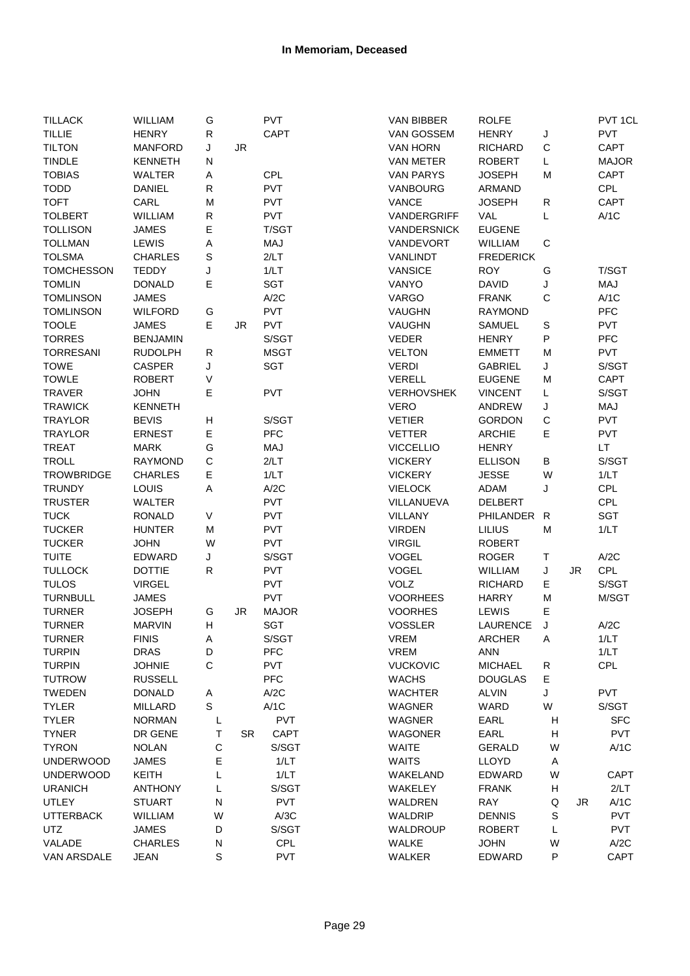| <b>TILLACK</b>                  | WILLIAM                        | G                         |           | <b>PVT</b>   | <b>VAN BIBBER</b>            | <b>ROLFE</b>     |             |           | PVT 1CL      |
|---------------------------------|--------------------------------|---------------------------|-----------|--------------|------------------------------|------------------|-------------|-----------|--------------|
| <b>TILLIE</b>                   | <b>HENRY</b>                   | R                         |           | <b>CAPT</b>  | <b>VAN GOSSEM</b>            | <b>HENRY</b>     | J           |           | <b>PVT</b>   |
| <b>TILTON</b>                   | <b>MANFORD</b>                 | J                         | JR.       |              | <b>VAN HORN</b>              | <b>RICHARD</b>   | $\mathsf C$ |           | <b>CAPT</b>  |
| <b>TINDLE</b>                   | <b>KENNETH</b>                 | N                         |           |              | <b>VAN METER</b>             | <b>ROBERT</b>    | L           |           | <b>MAJOR</b> |
| <b>TOBIAS</b>                   | WALTER                         | Α                         |           | <b>CPL</b>   | VAN PARYS                    | <b>JOSEPH</b>    | M           |           | CAPT         |
| <b>TODD</b>                     | <b>DANIEL</b>                  | R                         |           | <b>PVT</b>   | <b>VANBOURG</b>              | ARMAND           |             |           | <b>CPL</b>   |
| <b>TOFT</b>                     | CARL                           | M                         |           | <b>PVT</b>   | <b>VANCE</b>                 | <b>JOSEPH</b>    | R           |           | CAPT         |
| <b>TOLBERT</b>                  | WILLIAM                        | R                         |           | <b>PVT</b>   | VANDERGRIFF                  | <b>VAL</b>       | Г           |           | A/1C         |
| <b>TOLLISON</b>                 | <b>JAMES</b>                   | Е                         |           | T/SGT        | <b>VANDERSNICK</b>           | <b>EUGENE</b>    |             |           |              |
| <b>TOLLMAN</b>                  | LEWIS                          | A                         |           | MAJ          | VANDEVORT                    | WILLIAM          | C           |           |              |
| <b>TOLSMA</b>                   | <b>CHARLES</b>                 | S                         |           | 2/LT         | <b>VANLINDT</b>              | <b>FREDERICK</b> |             |           |              |
| <b>TOMCHESSON</b>               | <b>TEDDY</b>                   | J                         |           | 1/LT         | <b>VANSICE</b>               | <b>ROY</b>       | G           |           | T/SGT        |
| <b>TOMLIN</b>                   | <b>DONALD</b>                  | Е                         |           | SGT          | VANYO                        | <b>DAVID</b>     | J           |           | MAJ          |
| <b>TOMLINSON</b>                | <b>JAMES</b>                   |                           |           | A/2C         | <b>VARGO</b>                 | <b>FRANK</b>     | $\mathsf C$ |           | A/1C         |
| <b>TOMLINSON</b>                | <b>WILFORD</b>                 | G                         |           | <b>PVT</b>   | <b>VAUGHN</b>                | <b>RAYMOND</b>   |             |           | <b>PFC</b>   |
| <b>TOOLE</b>                    | <b>JAMES</b>                   | E                         | JR        | <b>PVT</b>   | VAUGHN                       | SAMUEL           | S           |           | <b>PVT</b>   |
| <b>TORRES</b>                   | <b>BENJAMIN</b>                |                           |           | S/SGT        | <b>VEDER</b>                 | <b>HENRY</b>     | P           |           | <b>PFC</b>   |
| <b>TORRESANI</b>                | <b>RUDOLPH</b>                 | R                         |           | <b>MSGT</b>  | <b>VELTON</b>                | <b>EMMETT</b>    | M           |           | <b>PVT</b>   |
| <b>TOWE</b>                     | <b>CASPER</b>                  | J                         |           | SGT          | <b>VERDI</b>                 | <b>GABRIEL</b>   | J           |           | S/SGT        |
| <b>TOWLE</b>                    | <b>ROBERT</b>                  | $\mathsf{V}$              |           |              | VERELL                       | <b>EUGENE</b>    | M           |           | CAPT         |
| <b>TRAVER</b>                   | <b>JOHN</b>                    | Е                         |           | <b>PVT</b>   | <b>VERHOVSHEK</b>            | <b>VINCENT</b>   | L           |           | S/SGT        |
| <b>TRAWICK</b>                  | <b>KENNETH</b>                 |                           |           |              | <b>VERO</b>                  | <b>ANDREW</b>    | J           |           | MAJ          |
| <b>TRAYLOR</b>                  | <b>BEVIS</b>                   | $\boldsymbol{\mathsf{H}}$ |           | S/SGT        | <b>VETIER</b>                | <b>GORDON</b>    | $\mathsf C$ |           | <b>PVT</b>   |
| <b>TRAYLOR</b>                  | <b>ERNEST</b>                  | Е                         |           | <b>PFC</b>   | <b>VETTER</b>                | <b>ARCHIE</b>    | E           |           | <b>PVT</b>   |
| <b>TREAT</b>                    | <b>MARK</b>                    | G                         |           | MAJ          | <b>VICCELLIO</b>             | <b>HENRY</b>     |             |           | LT.          |
| <b>TROLL</b>                    | <b>RAYMOND</b>                 | $\mathsf C$               |           | 2/LT         | <b>VICKERY</b>               | <b>ELLISON</b>   | $\sf B$     |           | S/SGT        |
| <b>TROWBRIDGE</b>               | <b>CHARLES</b>                 | E                         |           | 1/LT         | <b>VICKERY</b>               | <b>JESSE</b>     | W           |           | 1/LT         |
|                                 |                                |                           |           | A/2C         |                              |                  |             |           | <b>CPL</b>   |
| <b>TRUNDY</b><br><b>TRUSTER</b> | LOUIS                          | A                         |           | <b>PVT</b>   | <b>VIELOCK</b><br>VILLANUEVA | ADAM             | J           |           |              |
|                                 | WALTER                         |                           |           |              |                              | DELBERT          |             |           | <b>CPL</b>   |
| <b>TUCK</b><br><b>TUCKER</b>    | <b>RONALD</b><br><b>HUNTER</b> | $\mathsf{V}$              |           | <b>PVT</b>   | <b>VILLANY</b>               | PHILANDER        | R           |           | <b>SGT</b>   |
|                                 |                                | M                         |           | <b>PVT</b>   | <b>VIRDEN</b>                | <b>LILIUS</b>    | M           |           | 1/LT         |
| <b>TUCKER</b>                   | <b>JOHN</b>                    | W                         |           | <b>PVT</b>   | <b>VIRGIL</b>                | <b>ROBERT</b>    |             |           |              |
| <b>TUITE</b>                    | <b>EDWARD</b>                  | J                         |           | S/SGT        | <b>VOGEL</b>                 | <b>ROGER</b>     | Τ           |           | A/2C         |
| <b>TULLOCK</b>                  | <b>DOTTIE</b>                  | R                         |           | <b>PVT</b>   | <b>VOGEL</b>                 | WILLIAM          | J           | <b>JR</b> | <b>CPL</b>   |
| <b>TULOS</b>                    | <b>VIRGEL</b>                  |                           |           | <b>PVT</b>   | <b>VOLZ</b>                  | <b>RICHARD</b>   | Е           |           | S/SGT        |
| <b>TURNBULL</b>                 | JAMES                          |                           |           | <b>PVT</b>   | <b>VOORHEES</b>              | <b>HARRY</b>     | M           |           | M/SGT        |
| <b>TURNER</b>                   | <b>JOSEPH</b>                  | G                         | JR        | <b>MAJOR</b> | <b>VOORHES</b>               | LEWIS            | Е           |           |              |
| <b>TURNER</b>                   | <b>MARVIN</b>                  | н                         |           | SGT          | <b>VOSSLER</b>               | LAURENCE         | J           |           | A/2C         |
| <b>TURNER</b>                   | <b>FINIS</b>                   | Α                         |           | S/SGT        | <b>VREM</b>                  | <b>ARCHER</b>    | A           |           | 1/LT         |
| <b>TURPIN</b>                   | <b>DRAS</b>                    | D                         |           | <b>PFC</b>   | <b>VREM</b>                  | <b>ANN</b>       |             |           | 1/LT         |
| <b>TURPIN</b>                   | <b>JOHNIE</b>                  | $\mathsf C$               |           | PVT          | <b>VUCKOVIC</b>              | <b>MICHAEL</b>   | ${\sf R}$   |           | CPL          |
| <b>TUTROW</b>                   | <b>RUSSELL</b>                 |                           |           | <b>PFC</b>   | <b>WACHS</b>                 | <b>DOUGLAS</b>   | Е           |           |              |
| <b>TWEDEN</b>                   | <b>DONALD</b>                  | A                         |           | A/2C         | <b>WACHTER</b>               | <b>ALVIN</b>     | J           |           | <b>PVT</b>   |
| <b>TYLER</b>                    | MILLARD                        | S                         |           | A/1C         | WAGNER                       | WARD             | W           |           | S/SGT        |
| <b>TYLER</b>                    | <b>NORMAN</b>                  | L                         |           | <b>PVT</b>   | WAGNER                       | EARL             | н           |           | <b>SFC</b>   |
| <b>TYNER</b>                    | DR GENE                        | $\sf T$                   | <b>SR</b> | <b>CAPT</b>  | <b>WAGONER</b>               | EARL             | Н           |           | <b>PVT</b>   |
| <b>TYRON</b>                    | <b>NOLAN</b>                   | $\mathsf C$               |           | S/SGT        | <b>WAITE</b>                 | <b>GERALD</b>    | W           |           | A/1C         |
| <b>UNDERWOOD</b>                | <b>JAMES</b>                   | Ε                         |           | 1/LT         | <b>WAITS</b>                 | <b>LLOYD</b>     | Α           |           |              |
| <b>UNDERWOOD</b>                | KEITH                          | Г                         |           | 1/LT         | WAKELAND                     | <b>EDWARD</b>    | W           |           | <b>CAPT</b>  |
| <b>URANICH</b>                  | <b>ANTHONY</b>                 | L                         |           | S/SGT        | <b>WAKELEY</b>               | <b>FRANK</b>     | н           |           | 2/LT         |
| <b>UTLEY</b>                    | <b>STUART</b>                  | N                         |           | <b>PVT</b>   | WALDREN                      | RAY              | Q           | JR.       | A/1C         |
| <b>UTTERBACK</b>                | WILLIAM                        | W                         |           | A/3C         | WALDRIP                      | <b>DENNIS</b>    | $\mathsf S$ |           | <b>PVT</b>   |
| UTZ                             | <b>JAMES</b>                   | D                         |           | S/SGT        | WALDROUP                     | <b>ROBERT</b>    | L           |           | <b>PVT</b>   |
| VALADE                          | <b>CHARLES</b>                 | N                         |           | <b>CPL</b>   | WALKE                        | <b>JOHN</b>      | W           |           | A/2C         |
| VAN ARSDALE                     | <b>JEAN</b>                    | $\mathbf S$               |           | PVT          | WALKER                       | EDWARD           | ${\sf P}$   |           | CAPT         |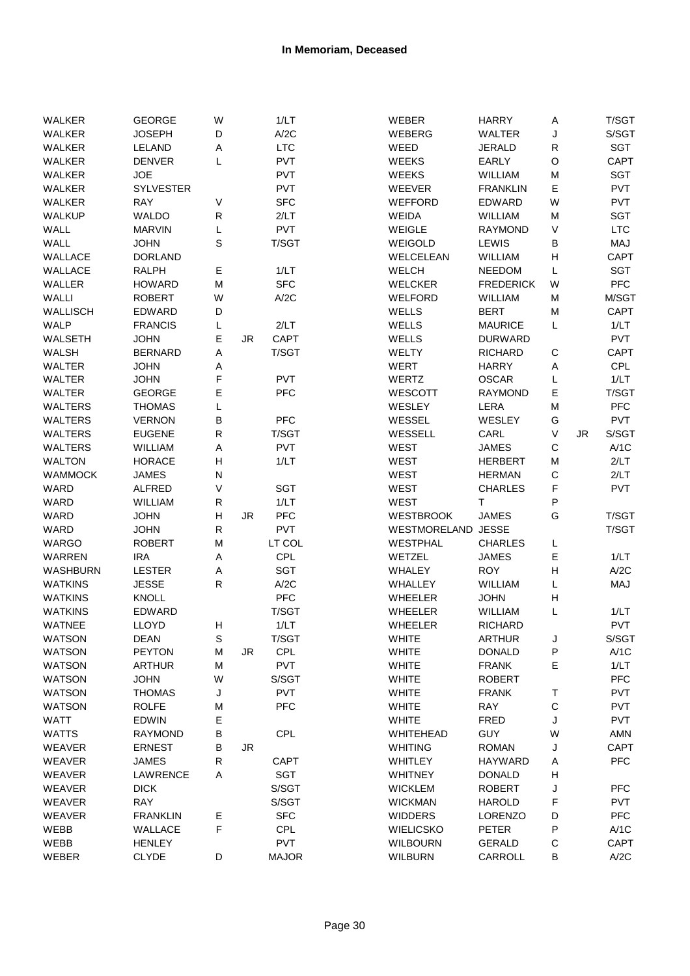| WALKER                           | <b>GEORGE</b>    | W         |           | 1/LT         | <b>WEBER</b>     | <b>HARRY</b>     | A           |           | T/SGT       |
|----------------------------------|------------------|-----------|-----------|--------------|------------------|------------------|-------------|-----------|-------------|
| <b>WALKER</b>                    | <b>JOSEPH</b>    | D         |           | A/2C         | <b>WEBERG</b>    | <b>WALTER</b>    | J           |           | S/SGT       |
| <b>WALKER</b>                    | LELAND           | A         |           | <b>LTC</b>   | WEED             | <b>JERALD</b>    | R           |           | SGT         |
| <b>WALKER</b>                    | <b>DENVER</b>    | L         |           | <b>PVT</b>   | <b>WEEKS</b>     | <b>EARLY</b>     | $\mathsf O$ |           | <b>CAPT</b> |
| WALKER                           | <b>JOE</b>       |           |           | <b>PVT</b>   | <b>WEEKS</b>     | WILLIAM          | M           |           | <b>SGT</b>  |
| <b>WALKER</b>                    | <b>SYLVESTER</b> |           |           | <b>PVT</b>   | WEEVER           | <b>FRANKLIN</b>  | E           |           | <b>PVT</b>  |
| <b>WALKER</b>                    | <b>RAY</b>       | V         |           | <b>SFC</b>   | <b>WEFFORD</b>   | <b>EDWARD</b>    | W           |           | <b>PVT</b>  |
| <b>WALKUP</b>                    | WALDO            | ${\sf R}$ |           | 2/LT         | <b>WEIDA</b>     | WILLIAM          | M           |           | <b>SGT</b>  |
| WALL                             | <b>MARVIN</b>    | L         |           | <b>PVT</b>   | WEIGLE           | <b>RAYMOND</b>   | V           |           | <b>LTC</b>  |
| WALL                             | <b>JOHN</b>      | S         |           | T/SGT        | WEIGOLD          | LEWIS            | B           |           | MAJ         |
| <b>WALLACE</b>                   | <b>DORLAND</b>   |           |           |              | <b>WELCELEAN</b> | WILLIAM          | Н           |           | <b>CAPT</b> |
| WALLACE                          | <b>RALPH</b>     | Ε         |           | 1/LT         | <b>WELCH</b>     | <b>NEEDOM</b>    | L           |           | SGT         |
| WALLER                           | <b>HOWARD</b>    | M         |           | <b>SFC</b>   | WELCKER          | <b>FREDERICK</b> | W           |           | <b>PFC</b>  |
| WALLI                            | <b>ROBERT</b>    | W         |           | A/2C         | <b>WELFORD</b>   | <b>WILLIAM</b>   | M           |           | M/SGT       |
| <b>WALLISCH</b>                  | <b>EDWARD</b>    | D         |           |              | WELLS            | <b>BERT</b>      | M           |           | CAPT        |
| <b>WALP</b>                      | <b>FRANCIS</b>   | L         |           | 2/LT         | WELLS            | <b>MAURICE</b>   | L           |           | 1/LT        |
| <b>WALSETH</b>                   | <b>JOHN</b>      | Ε         | JR.       | <b>CAPT</b>  | WELLS            | <b>DURWARD</b>   |             |           | <b>PVT</b>  |
| <b>WALSH</b>                     | <b>BERNARD</b>   | A         |           | T/SGT        | WELTY            | <b>RICHARD</b>   | С           |           | CAPT        |
| <b>WALTER</b>                    | <b>JOHN</b>      | A         |           |              | WERT             | <b>HARRY</b>     | Α           |           | CPL         |
| WALTER                           | <b>JOHN</b>      | F         |           | <b>PVT</b>   | WERTZ            | <b>OSCAR</b>     | L           |           | 1/LT        |
| <b>WALTER</b>                    | <b>GEORGE</b>    | E         |           | <b>PFC</b>   | WESCOTT          | <b>RAYMOND</b>   | Е           |           | T/SGT       |
| <b>WALTERS</b>                   | <b>THOMAS</b>    | L         |           |              | WESLEY           | LERA             | M           |           | <b>PFC</b>  |
| <b>WALTERS</b>                   | <b>VERNON</b>    | В         |           | PFC          | WESSEL           | WESLEY           | G           |           | <b>PVT</b>  |
| <b>WALTERS</b>                   | <b>EUGENE</b>    | ${\sf R}$ |           | T/SGT        | WESSELL          | CARL             | V           | <b>JR</b> | S/SGT       |
| <b>WALTERS</b>                   | WILLIAM          | A         |           | <b>PVT</b>   | <b>WEST</b>      | <b>JAMES</b>     | $\mathsf C$ |           | A/1C        |
| <b>WALTON</b>                    | <b>HORACE</b>    | Η         |           | 1/LT         | WEST             | <b>HERBERT</b>   | M           |           | 2/LT        |
| <b>WAMMOCK</b>                   | <b>JAMES</b>     | N         |           |              | WEST             | <b>HERMAN</b>    | $\mathsf C$ |           | 2/LT        |
| WARD                             | <b>ALFRED</b>    | $\vee$    |           | <b>SGT</b>   | <b>WEST</b>      | <b>CHARLES</b>   | F           |           | <b>PVT</b>  |
| WARD                             | WILLIAM          | ${\sf R}$ |           | 1/LT         | WEST             | T                | P           |           |             |
|                                  | <b>JOHN</b>      | Η         | <b>JR</b> | PFC          | <b>WESTBROOK</b> | <b>JAMES</b>     | G           |           | T/SGT       |
| WARD                             |                  | ${\sf R}$ |           | <b>PVT</b>   | WESTMORELAND     | <b>JESSE</b>     |             |           | T/SGT       |
| WARD                             | <b>JOHN</b>      | M         |           | LT COL       | <b>WESTPHAL</b>  |                  |             |           |             |
| WARGO                            | <b>ROBERT</b>    |           |           |              |                  | <b>CHARLES</b>   | L           |           |             |
| <b>WARREN</b><br><b>WASHBURN</b> | <b>IRA</b>       | A         |           | <b>CPL</b>   | WETZEL           | <b>JAMES</b>     | Ε           |           | 1/LT        |
|                                  | <b>LESTER</b>    | Α         |           | <b>SGT</b>   | WHALEY           | <b>ROY</b>       | н           |           | A/2C        |
| <b>WATKINS</b>                   | JESSE            | ${\sf R}$ |           | A/2C         | WHALLEY          | WILLIAM          | L           |           | MAJ         |
| <b>WATKINS</b>                   | <b>KNOLL</b>     |           |           | PFC          | WHEELER          | <b>JOHN</b>      | Н           |           |             |
| <b>WATKINS</b>                   | <b>EDWARD</b>    |           |           | T/SGT        | <b>WHEELER</b>   | WILLIAM          | L           |           | 1/LT        |
| <b>WATNEE</b>                    | LLOYD            | Н         |           | 1/LT         | <b>WHEELER</b>   | <b>RICHARD</b>   |             |           | <b>PVT</b>  |
| WATSON                           | <b>DEAN</b>      | S         |           | T/SGT        | <b>WHITE</b>     | <b>ARTHUR</b>    | J           |           | S/SGT       |
| <b>WATSON</b>                    | <b>PEYTON</b>    | М         | JR.       | <b>CPL</b>   | <b>WHITE</b>     | <b>DONALD</b>    | P           |           | A/1C        |
| <b>WATSON</b>                    | <b>ARTHUR</b>    | M         |           | <b>PVT</b>   | <b>WHITE</b>     | <b>FRANK</b>     | E           |           | 1/LT        |
| <b>WATSON</b>                    | <b>JOHN</b>      | W         |           | S/SGT        | <b>WHITE</b>     | <b>ROBERT</b>    |             |           | <b>PFC</b>  |
| <b>WATSON</b>                    | <b>THOMAS</b>    | J         |           | <b>PVT</b>   | <b>WHITE</b>     | <b>FRANK</b>     | Τ           |           | <b>PVT</b>  |
| <b>WATSON</b>                    | <b>ROLFE</b>     | M         |           | <b>PFC</b>   | <b>WHITE</b>     | RAY              | $\mathsf C$ |           | <b>PVT</b>  |
| <b>WATT</b>                      | <b>EDWIN</b>     | Ε         |           |              | <b>WHITE</b>     | <b>FRED</b>      | J           |           | <b>PVT</b>  |
| <b>WATTS</b>                     | <b>RAYMOND</b>   | $\sf B$   |           | <b>CPL</b>   | WHITEHEAD        | <b>GUY</b>       | W           |           | AMN         |
| <b>WEAVER</b>                    | <b>ERNEST</b>    | B         | JR.       |              | <b>WHITING</b>   | <b>ROMAN</b>     | J           |           | <b>CAPT</b> |
| WEAVER                           | <b>JAMES</b>     | ${\sf R}$ |           | CAPT         | WHITLEY          | HAYWARD          | Α           |           | <b>PFC</b>  |
| <b>WEAVER</b>                    | <b>LAWRENCE</b>  | A         |           | <b>SGT</b>   | <b>WHITNEY</b>   | <b>DONALD</b>    | Н           |           |             |
| WEAVER                           | <b>DICK</b>      |           |           | S/SGT        | <b>WICKLEM</b>   | <b>ROBERT</b>    | J           |           | <b>PFC</b>  |
| WEAVER                           | RAY              |           |           | S/SGT        | <b>WICKMAN</b>   | <b>HAROLD</b>    | F           |           | <b>PVT</b>  |
| <b>WEAVER</b>                    | <b>FRANKLIN</b>  | Е         |           | <b>SFC</b>   | <b>WIDDERS</b>   | LORENZO          | D           |           | <b>PFC</b>  |
| WEBB                             | WALLACE          | F         |           | <b>CPL</b>   | <b>WIELICSKO</b> | <b>PETER</b>     | Ρ           |           | A/1C        |
| WEBB                             | <b>HENLEY</b>    |           |           | <b>PVT</b>   | <b>WILBOURN</b>  | <b>GERALD</b>    | C           |           | <b>CAPT</b> |
| WEBER                            | <b>CLYDE</b>     | D         |           | <b>MAJOR</b> | <b>WILBURN</b>   | CARROLL          | B           |           | A/2C        |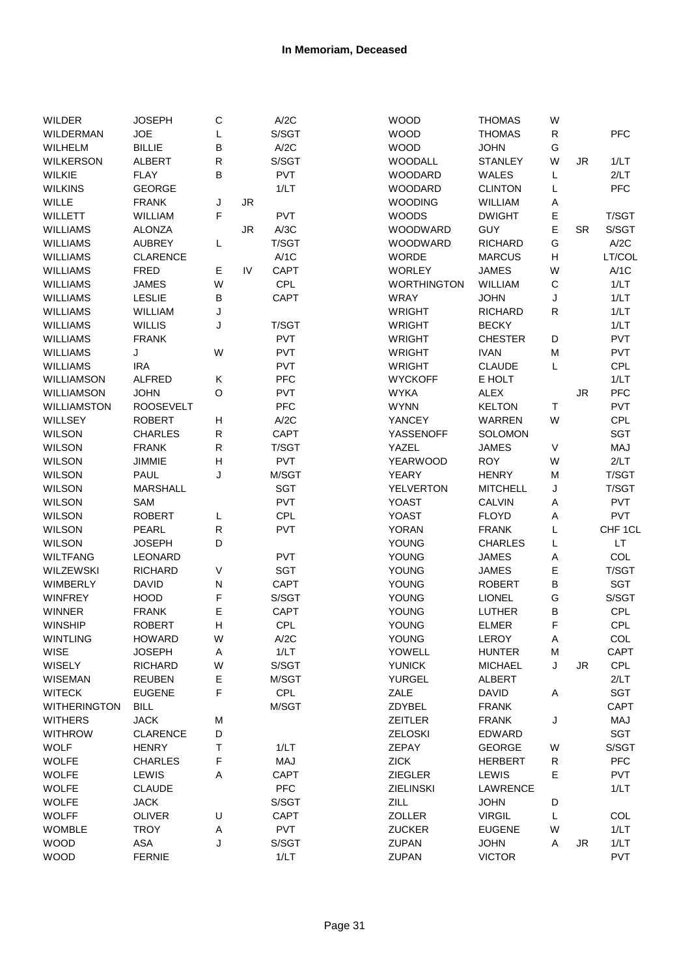| WILDER              | <b>JOSEPH</b>    | C            |     | A/2C        | <b>WOOD</b>        | <b>THOMAS</b>   | W           |           |             |
|---------------------|------------------|--------------|-----|-------------|--------------------|-----------------|-------------|-----------|-------------|
| <b>WILDERMAN</b>    | <b>JOE</b>       | L            |     | S/SGT       | <b>WOOD</b>        | <b>THOMAS</b>   | R           |           | PFC         |
| WILHELM             | <b>BILLIE</b>    | В            |     | A/2C        | <b>WOOD</b>        | <b>JOHN</b>     | G           |           |             |
| <b>WILKERSON</b>    | <b>ALBERT</b>    | $\mathsf{R}$ |     | S/SGT       | <b>WOODALL</b>     | <b>STANLEY</b>  | W           | <b>JR</b> | 1/LT        |
| <b>WILKIE</b>       | <b>FLAY</b>      | B            |     | PVT         | <b>WOODARD</b>     | WALES           | L           |           | 2/LT        |
| <b>WILKINS</b>      | <b>GEORGE</b>    |              |     | 1/LT        | <b>WOODARD</b>     | <b>CLINTON</b>  | L           |           | PFC         |
| WILLE               | <b>FRANK</b>     | J            | JR  |             | <b>WOODING</b>     | <b>WILLIAM</b>  | Α           |           |             |
| WILLETT             | WILLIAM          | F            |     | <b>PVT</b>  | <b>WOODS</b>       | <b>DWIGHT</b>   | E           |           | T/SGT       |
| WILLIAMS            | <b>ALONZA</b>    |              | JR. | A/3C        | <b>WOODWARD</b>    | <b>GUY</b>      | E           | SR.       | S/SGT       |
|                     |                  |              |     |             |                    |                 | G           |           |             |
| <b>WILLIAMS</b>     | <b>AUBREY</b>    | L            |     | T/SGT       | WOODWARD           | <b>RICHARD</b>  |             |           | A/2C        |
| <b>WILLIAMS</b>     | <b>CLARENCE</b>  |              |     | A/1C        | <b>WORDE</b>       | <b>MARCUS</b>   | н           |           | LT/COL      |
| WILLIAMS            | <b>FRED</b>      | Ε            | IV  | CAPT        | <b>WORLEY</b>      | <b>JAMES</b>    | W           |           | A/1C        |
| WILLIAMS            | <b>JAMES</b>     | W            |     | <b>CPL</b>  | <b>WORTHINGTON</b> | WILLIAM         | $\mathsf C$ |           | 1/LT        |
| WILLIAMS            | LESLIE           | $\sf B$      |     | CAPT        | WRAY               | <b>JOHN</b>     | J           |           | 1/LT        |
| WILLIAMS            | WILLIAM          | J            |     |             | <b>WRIGHT</b>      | <b>RICHARD</b>  | R           |           | 1/LT        |
| WILLIAMS            | <b>WILLIS</b>    | J            |     | T/SGT       | <b>WRIGHT</b>      | <b>BECKY</b>    |             |           | 1/LT        |
| WILLIAMS            | <b>FRANK</b>     |              |     | PVT         | <b>WRIGHT</b>      | <b>CHESTER</b>  | D           |           | PVT         |
| <b>WILLIAMS</b>     | J                | W            |     | PVT         | <b>WRIGHT</b>      | <b>IVAN</b>     | M           |           | PVT         |
| WILLIAMS            | IRA              |              |     | <b>PVT</b>  | <b>WRIGHT</b>      | <b>CLAUDE</b>   | L           |           | CPL         |
| <b>WILLIAMSON</b>   | <b>ALFRED</b>    | Κ            |     | <b>PFC</b>  | <b>WYCKOFF</b>     | E HOLT          |             |           | 1/LT        |
| <b>WILLIAMSON</b>   | <b>JOHN</b>      | $\circ$      |     | <b>PVT</b>  | <b>WYKA</b>        | <b>ALEX</b>     |             | JR.       | PFC         |
| <b>WILLIAMSTON</b>  | <b>ROOSEVELT</b> |              |     | <b>PFC</b>  | <b>WYNN</b>        | <b>KELTON</b>   | Τ           |           | <b>PVT</b>  |
| WILLSEY             | <b>ROBERT</b>    | Н            |     | A/2C        | <b>YANCEY</b>      | <b>WARREN</b>   | W           |           | CPL         |
| <b>WILSON</b>       | <b>CHARLES</b>   | ${\sf R}$    |     | CAPT        | YASSENOFF          | <b>SOLOMON</b>  |             |           | SGT         |
| <b>WILSON</b>       | <b>FRANK</b>     | $\mathsf{R}$ |     | T/SGT       | YAZEL              | <b>JAMES</b>    | V           |           | MAJ         |
| <b>WILSON</b>       | <b>JIMMIE</b>    | Н            |     | <b>PVT</b>  | <b>YEARWOOD</b>    | <b>ROY</b>      | W           |           | 2/LT        |
| <b>WILSON</b>       | PAUL             | J            |     | M/SGT       | YEARY              | <b>HENRY</b>    | M           |           | T/SGT       |
|                     |                  |              |     |             |                    |                 |             |           |             |
| <b>WILSON</b>       | <b>MARSHALL</b>  |              |     | <b>SGT</b>  | <b>YELVERTON</b>   | <b>MITCHELL</b> | J           |           | T/SGT       |
| <b>WILSON</b>       | SAM              |              |     | PVT         | <b>YOAST</b>       | <b>CALVIN</b>   | Α           |           | <b>PVT</b>  |
| <b>WILSON</b>       | <b>ROBERT</b>    | L            |     | <b>CPL</b>  | <b>YOAST</b>       | <b>FLOYD</b>    | Α           |           | <b>PVT</b>  |
| <b>WILSON</b>       | PEARL            | ${\sf R}$    |     | PVT         | <b>YORAN</b>       | <b>FRANK</b>    | L           |           | CHF 1CL     |
| <b>WILSON</b>       | <b>JOSEPH</b>    | D            |     |             | <b>YOUNG</b>       | <b>CHARLES</b>  | L           |           | LT.         |
| <b>WILTFANG</b>     | LEONARD          |              |     | <b>PVT</b>  | <b>YOUNG</b>       | <b>JAMES</b>    | Α           |           | COL         |
| <b>WILZEWSKI</b>    | <b>RICHARD</b>   | $\vee$       |     | SGT         | <b>YOUNG</b>       | <b>JAMES</b>    | E           |           | T/SGT       |
| WIMBERLY            | <b>DAVID</b>     | $\mathsf{N}$ |     | CAPT        | YOUNG              | <b>ROBERT</b>   | B           |           | SGT         |
| <b>WINFREY</b>      | <b>HOOD</b>      | F            |     | S/SGT       | YOUNG              | <b>LIONEL</b>   | G           |           | S/SGT       |
| <b>WINNER</b>       | <b>FRANK</b>     | Ε            |     | CAPT        | <b>YOUNG</b>       | <b>LUTHER</b>   | B           |           | CPL         |
| <b>WINSHIP</b>      | <b>ROBERT</b>    | H            |     | <b>CPL</b>  | YOUNG              | <b>ELMER</b>    | F           |           | <b>CPL</b>  |
| <b>WINTLING</b>     | <b>HOWARD</b>    | W            |     | A/2C        | YOUNG              | LEROY           | A           |           | COL         |
| <b>WISE</b>         | <b>JOSEPH</b>    | A            |     | 1/LT        | YOWELL             | <b>HUNTER</b>   | M           |           | CAPT        |
| WISELY              | <b>RICHARD</b>   | W            |     | S/SGT       | <b>YUNICK</b>      | <b>MICHAEL</b>  | J           | JR        | CPL         |
| <b>WISEMAN</b>      | <b>REUBEN</b>    | Ε            |     | M/SGT       | YURGEL             | ALBERT          |             |           | 2/LT        |
| <b>WITECK</b>       | <b>EUGENE</b>    | F            |     | CPL         | ZALE               | <b>DAVID</b>    | A           |           | SGT         |
| <b>WITHERINGTON</b> | <b>BILL</b>      |              |     | M/SGT       | ZDYBEL             | <b>FRANK</b>    |             |           | <b>CAPT</b> |
| <b>WITHERS</b>      | <b>JACK</b>      | М            |     |             | <b>ZEITLER</b>     | <b>FRANK</b>    | J           |           | MAJ         |
| <b>WITHROW</b>      | <b>CLARENCE</b>  | D            |     |             | <b>ZELOSKI</b>     | <b>EDWARD</b>   |             |           | SGT         |
| <b>WOLF</b>         | <b>HENRY</b>     | T            |     | 1/LT        | ZEPAY              | <b>GEORGE</b>   | W           |           | S/SGT       |
| <b>WOLFE</b>        | <b>CHARLES</b>   | F            |     | MAJ         | <b>ZICK</b>        | <b>HERBERT</b>  | R           |           | PFC         |
|                     |                  |              |     |             |                    |                 |             |           |             |
| <b>WOLFE</b>        | LEWIS            | A            |     | <b>CAPT</b> | <b>ZIEGLER</b>     | LEWIS           | E           |           | <b>PVT</b>  |
| <b>WOLFE</b>        | <b>CLAUDE</b>    |              |     | PFC         | <b>ZIELINSKI</b>   | <b>LAWRENCE</b> |             |           | 1/LT        |
| <b>WOLFE</b>        | <b>JACK</b>      |              |     | S/SGT       | ZILL               | <b>JOHN</b>     | D           |           |             |
| <b>WOLFF</b>        | <b>OLIVER</b>    | U            |     | <b>CAPT</b> | ZOLLER             | <b>VIRGIL</b>   | L           |           | COL         |
| <b>WOMBLE</b>       | <b>TROY</b>      | A            |     | <b>PVT</b>  | <b>ZUCKER</b>      | <b>EUGENE</b>   | W           |           | 1/LT        |
| <b>WOOD</b>         | ASA              | J            |     | S/SGT       | <b>ZUPAN</b>       | <b>JOHN</b>     | Α           | JR        | 1/LT        |
| <b>WOOD</b>         | <b>FERNIE</b>    |              |     | 1/LT        | ZUPAN              | <b>VICTOR</b>   |             |           | PVT         |